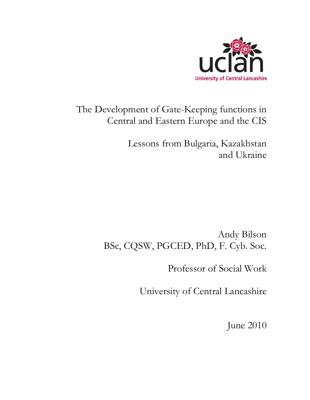

# The Development of Gate-Keeping functions in Central and Eastern Europe and the CIS

Lessons from Bulgaria, Kazakhstan and Ukraine

Andy Bilson BSc, CQSW, PGCED, PhD, F. Cyb. Soc.

Professor of Social Work

University of Central Lancashire

June 2010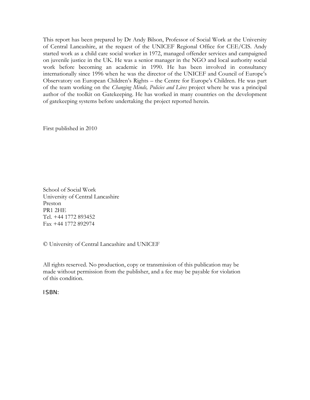This report has been prepared by Dr Andy Bilson, Professor of Social Work at the University of Central Lancashire, at the request of the UNICEF Regional Office for CEE/CIS. Andy started work as a child care social worker in 1972, managed offender services and campaigned on juvenile justice in the UK. He was a senior manager in the NGO and local authority social work before becoming an academic in 1990. He has been involved in consultancy internationally since 1996 when he was the director of the UNICEF and Council of Europe's Observatory on European Children's Rights – the Centre for Europe's Children. He was part of the team working on the *Changing Minds, Policies and Lives* project where he was a principal author of the toolkit on Gatekeeping. He has worked in many countries on the development of gatekeeping systems before undertaking the project reported herein.

First published in 2010

School of Social Work University of Central Lancashire Preston PR1 2HE Tel. +44 1772 893452 Fax +44 1772 892974

© University of Central Lancashire and UNICEF

All rights reserved. No production, copy or transmission of this publication may be made without permission from the publisher, and a fee may be payable for violation of this condition.

ISBN: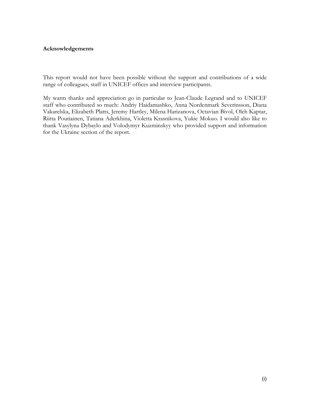#### <span id="page-3-0"></span>**Acknowledgements**

This report would not have been possible without the support and contributions of a wide range of colleagues, staff in UNICEF offices and interview participants.

My warm thanks and appreciation go in particular to Jean-Claude Legrand and to UNICEF staff who contributed so much: Andriy Haidamashko, Anna Nordenmark Severinsson, Diana Vakarelska, Elizabeth Platts, Jeremy Hartley, Milena Harizanova, Octavian Bivol, Oleh Kaptar, Riitta Poutiainen, Tatiana Aderkhina, Violetta Krasnikova, Yukie Mokuo. I would also like to thank Vasylyna Dybaylo and Volodymyr Kuzminskyy who provided support and information for the Ukraine section of the report.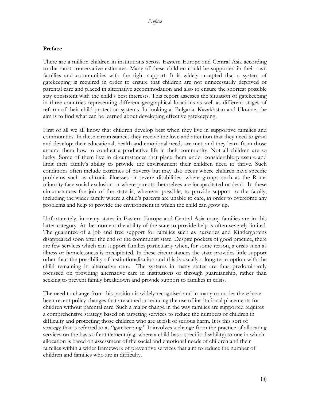#### <span id="page-4-0"></span>**Preface**

There are a million children in institutions across Eastern Europe and Central Asia according to the most conservative estimates. Many of these children could be supported in their own families and communities with the right support. It is widely accepted that a system of gatekeeping is required in order to ensure that children are not unnecessarily deprived of parental care and placed in alternative accommodation and also to ensure the shortest possible stay consistent with the child's best interests. This report assesses the situation of gatekeeping in three countries representing different geographical locations as well as different stages of reform of their child protection systems. In looking at Bulgaria, Kazakhstan and Ukraine, the aim is to find what can be learned about developing effective gatekeeping.

First of all we all know that children develop best when they live in supportive families and communities. In these circumstances they receive the love and attention that they need to grow and develop; their educational, health and emotional needs are met; and they learn from those around them how to conduct a productive life in their community. Not all children are so lucky. Some of them live in circumstances that place them under considerable pressure and limit their family's ability to provide the environment their children need to thrive. Such conditions often include extremes of poverty but may also occur where children have specific problems such as chronic illnesses or severe disabilities; where groups such as the Roma minority face social exclusion or where parents themselves are incapacitated or dead. In these circumstances the job of the state is, wherever possible, to provide support to the family, including the wider family where a child's parents are unable to care, in order to overcome any problems and help to provide the environment in which the child can grow up.

Unfortunately, in many states in Eastern Europe and Central Asia many families are in this latter category. At the moment the ability of the state to provide help is often severely limited. The guarantee of a job and free support for families such as nurseries and Kindergartens disappeared soon after the end of the communist state. Despite pockets of good practice, there are few services which can support families particularly when, for some reason, a crisis such as illness or homelessness is precipitated. In these circumstances the state provides little support other than the possibility of institutionalisation and this is usually a long-term option with the child remaining in alternative care. The systems in many states are thus predominantly focussed on providing alternative care in institutions or through guardianship, rather than seeking to prevent family breakdown and provide support to families in crisis.

The need to change from this position is widely recognised and in many countries there have been recent policy changes that are aimed at reducing the use of institutional placements for children without parental care. Such a major change in the way families are supported requires a comprehensive strategy based on targeting services to reduce the numbers of children in difficulty and protecting those children who are at risk of serious harm. It is this sort of strategy that is referred to as "gatekeeping." It involves a change from the practice of allocating services on the basis of entitlement (e.g. where a child has a specific disability) to one in which allocation is based on assessment of the social and emotional needs of children and their families within a wider framework of preventive services that aim to reduce the number of children and families who are in difficulty.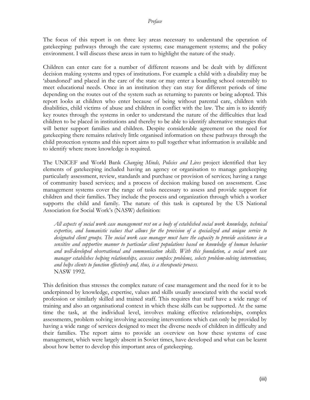#### *Preface*

The focus of this report is on three key areas necessary to understand the operation of gatekeeping: pathways through the care systems; case management systems; and the policy environment. I will discuss these areas in turn to highlight the nature of the study.

Children can enter care for a number of different reasons and be dealt with by different decision making systems and types of institutions. For example a child with a disability may be 'abandoned' and placed in the care of the state or may enter a boarding school ostensibly to meet educational needs. Once in an institution they can stay for different periods of time depending on the routes out of the system such as returning to parents or being adopted. This report looks at children who enter because of being without parental care, children with disabilities, child victims of abuse and children in conflict with the law. The aim is to identify key routes through the systems in order to understand the nature of the difficulties that lead children to be placed in institutions and thereby to be able to identify alternative strategies that will better support families and children. Despite considerable agreement on the need for gatekeeping there remains relatively little organised information on these pathways through the child protection systems and this report aims to pull together what information is available and to identify where more knowledge is required.

The UNICEF and World Bank *Changing Minds, Policies and Lives* project identified that key elements of gatekeeping included having an agency or organisation to manage gatekeeping particularly assessment, review, standards and purchase or provision of services; having a range of community based services; and a process of decision making based on assessment. Case management systems cover the range of tasks necessary to assess and provide support for children and their families. They include the process and organization through which a worker supports the child and family. The nature of this task is captured by the US National Association for Social Work's (NASW) definition:

*All aspects of social work case management rest on a body of established social work knowledge, technical expertise, and humanistic values that allows for the provision of a specialized and unique service to designated client groups. The social work case manager must have the capacity to provide assistance in a sensitive and supportive manner to particular client populations based on knowledge of human behavior and well-developed observational and communication skills. With this foundation, a social work case manager establishes helping relationships, assesses complex problems, selects problem-solving interventions, and helps clients to function effectively and, thus, is a therapeutic process.* NASW 1992.

This definition thus stresses the complex nature of case management and the need for it to be underpinned by knowledge, expertise, values and skills usually associated with the social work profession or similarly skilled and trained staff. This requires that staff have a wide range of training and also an organisational context in which these skills can be supported. At the same time the task, at the individual level, involves making effective relationships, complex assessments, problem solving involving accessing interventions which can only be provided by having a wide range of services designed to meet the diverse needs of children in difficulty and their families. The report aims to provide an overview on how these systems of case management, which were largely absent in Soviet times, have developed and what can be learnt about how better to develop this important area of gatekeeping.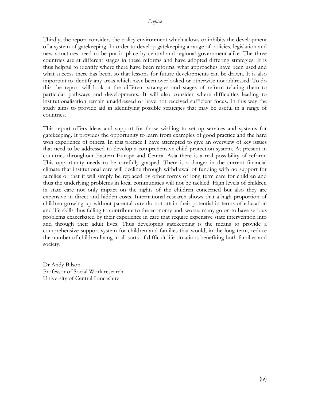Thirdly, the report considers the policy environment which allows or inhibits the development of a system of gatekeeping. In order to develop gatekeeping a range of policies, legislation and new structures need to be put in place by central and regional government alike. The three countries are at different stages in these reforms and have adopted differing strategies. It is thus helpful to identify where there have been reforms, what approaches have been used and what success there has been, so that lessons for future developments can be drawn. It is also important to identify any areas which have been overlooked or otherwise not addressed. To do this the report will look at the different strategies and stages of reform relating them to particular pathways and developments. It will also consider where difficulties leading to institutionalisation remain unaddressed or have not received sufficient focus. In this way the study aims to provide aid in identifying possible strategies that may be useful in a range of countries.

This report offers ideas and support for those wishing to set up services and systems for gatekeeping. It provides the opportunity to learn from examples of good practice and the hard won experience of others. In this preface I have attempted to give an overview of key issues that need to be addressed to develop a comprehensive child protection system. At present in countries throughout Eastern Europe and Central Asia there is a real possibility of reform. This opportunity needs to be carefully grasped. There is a danger in the current financial climate that institutional care will decline through withdrawal of funding with no support for families or that it will simply be replaced by other forms of long term care for children and thus the underlying problems in local communities will not be tackled. High levels of children in state care not only impact on the rights of the children concerned but also they are expensive in direct and hidden costs. International research shows that a high proportion of children growing up without parental care do not attain their potential in terms of education and life skills thus failing to contribute to the economy and, worse, many go on to have serious problems exacerbated by their experience in care that require expensive state intervention into and through their adult lives. Thus developing gatekeeping is the means to provide a comprehensive support system for children and families that would, in the long term, reduce the number of children living in all sorts of difficult life situations benefiting both families and society.

Dr Andy Bilson Professor of Social Work research University of Central Lancashire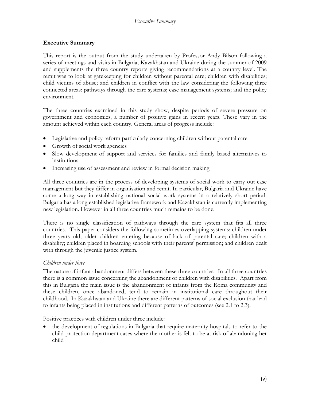#### <span id="page-7-0"></span>**Executive Summary**

This report is the output from the study undertaken by Professor Andy Bilson following a series of meetings and visits in Bulgaria, Kazakhstan and Ukraine during the summer of 2009 and supplements the three country reports giving recommendations at a country level. The remit was to look at gatekeeping for children without parental care; children with disabilities; child victims of abuse; and children in conflict with the law considering the following three connected areas: pathways through the care systems; case management systems; and the policy environment.

The three countries examined in this study show, despite periods of severe pressure on government and economies, a number of positive gains in recent years. These vary in the amount achieved within each country. General areas of progress include:

- Legislative and policy reform particularly concerning children without parental care
- Growth of social work agencies
- Slow development of support and services for families and family based alternatives to institutions
- Increasing use of assessment and review in formal decision making

All three countries are in the process of developing systems of social work to carry out case management but they differ in organisation and remit. In particular, Bulgaria and Ukraine have come a long way in establishing national social work systems in a relatively short period. Bulgaria has a long established legislative framework and Kazakhstan is currently implementing new legislation. However in all three countries much remains to be done.

There is no single classification of pathways through the care system that fits all three countries. This paper considers the following sometimes overlapping systems: children under three years old; older children entering because of lack of parental care; children with a disability; children placed in boarding schools with their parents' permission; and children dealt with through the juvenile justice system.

#### *Children under three*

The nature of infant abandonment differs between these three countries. In all three countries there is a common issue concerning the abandonment of children with disabilities. Apart from this in Bulgaria the main issue is the abandonment of infants from the Roma community and these children, once abandoned, tend to remain in institutional care throughout their childhood. In Kazakhstan and Ukraine there are different patterns of social exclusion that lead to infants being placed in institutions and different patterns of outcomes (see 2.1 to 2.3).

Positive practices with children under three include:

• the development of regulations in Bulgaria that require maternity hospitals to refer to the child protection department cases where the mother is felt to be at risk of abandoning her child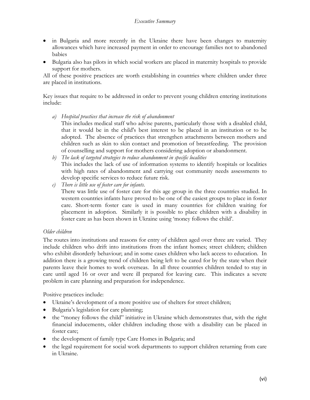- in Bulgaria and more recently in the Ukraine there have been changes to maternity allowances which have increased payment in order to encourage families not to abandoned babies
- Bulgaria also has pilots in which social workers are placed in maternity hospitals to provide support for mothers.

All of these positive practices are worth establishing in countries where children under three are placed in institutions.

Key issues that require to be addressed in order to prevent young children entering institutions include:

*a) Hospital practices that increase the risk of abandonment*

This includes medical staff who advise parents, particularly those with a disabled child, that it would be in the child's best interest to be placed in an institution or to be adopted. The absence of practices that strengthen attachments between mothers and children such as skin to skin contact and promotion of breastfeeding. The provision of counselling and support for mothers considering adoption or abandonment.

- *b) The lack of targeted strategies to reduce abandonment in specific localities* This includes the lack of use of information systems to identify hospitals or localities with high rates of abandonment and carrying out community needs assessments to develop specific services to reduce future risk.
- *c) There is little use of foster care for infants.*

There was little use of foster care for this age group in the three countries studied. In western countries infants have proved to be one of the easiest groups to place in foster care. Short-term foster care is used in many countries for children waiting for placement in adoption. Similarly it is possible to place children with a disability in foster care as has been shown in Ukraine using 'money follows the child'.

#### *Older children*

The routes into institutions and reasons for entry of children aged over three are varied. They include children who drift into institutions from the infant homes; street children; children who exhibit disorderly behaviour; and in some cases children who lack access to education. In addition there is a growing trend of children being left to be cared for by the state when their parents leave their homes to work overseas. In all three countries children tended to stay in care until aged 16 or over and were ill prepared for leaving care. This indicates a severe problem in care planning and preparation for independence.

Positive practices include:

- Ukraine's development of a more positive use of shelters for street children;
- Bulgaria's legislation for care planning;
- the "money follows the child" initiative in Ukraine which demonstrates that, with the right financial inducements, older children including those with a disability can be placed in foster care;
- the development of family type Care Homes in Bulgaria; and
- the legal requirement for social work departments to support children returning from care in Ukraine.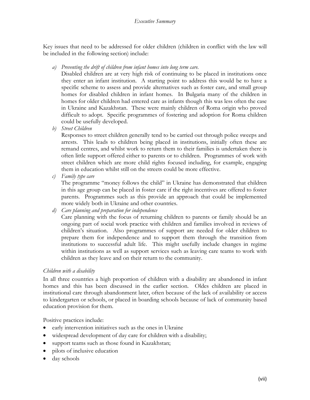Key issues that need to be addressed for older children (children in conflict with the law will be included in the following section) include:

*a) Preventing the drift of children from infant homes into long term care.*

Disabled children are at very high risk of continuing to be placed in institutions once they enter an infant institution. A starting point to address this would be to have a specific scheme to assess and provide alternatives such as foster care, and small group homes for disabled children in infant homes. In Bulgaria many of the children in homes for older children had entered care as infants though this was less often the case in Ukraine and Kazakhstan. These were mainly children of Roma origin who proved difficult to adopt. Specific programmes of fostering and adoption for Roma children could be usefully developed.

*b) Street Children*

Responses to street children generally tend to be carried out through police sweeps and arrests. This leads to children being placed in institutions, initially often these are remand centres, and whilst work to return them to their families is undertaken there is often little support offered either to parents or to children. Programmes of work with street children which are more child rights focused including, for example, engaging them in education whilst still on the streets could be more effective.

*c) Family type care*

The programme "money follows the child" in Ukraine has demonstrated that children in this age group can be placed in foster care if the right incentives are offered to foster parents. Programmes such as this provide an approach that could be implemented more widely both in Ukraine and other countries.

*d) Care planning and preparation for independence*

Care planning with the focus of returning children to parents or family should be an ongoing part of social work practice with children and families involved in reviews of children's situation. Also programmes of support are needed for older children to prepare them for independence and to support them through the transition from institutions to successful adult life. This might usefully include changes in regime within institutions as well as support services such as leaving care teams to work with children as they leave and on their return to the community.

## *Children with a disability*

In all three countries a high proportion of children with a disability are abandoned in infant homes and this has been discussed in the earlier section. Oldes children are placed in institutional care through abandonment later, often because of the lack of availability or access to kindergarten or schools, or placed in boarding schools because of lack of community based education provision for them.

Positive practices include:

- early intervention initiatives such as the ones in Ukraine
- widespread development of day care for children with a disability;
- support teams such as those found in Kazakhstan;
- pilots of inclusive education
- day schools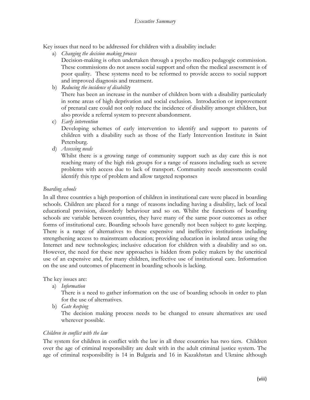Key issues that need to be addressed for children with a disability include:

a) *Changing the decision making process*

Decision-making is often undertaken through a psycho medico pedagogic commission. These commissions do not assess social support and often the medical assessment is of poor quality. These systems need to be reformed to provide access to social support and improved diagnosis and treatment.

b) *Reducing the incidence of disability*

There has been an increase in the number of children born with a disability particularly in some areas of high deprivation and social exclusion. Introduction or improvement of prenatal care could not only reduce the incidence of disability amongst children, but also provide a referral system to prevent abandonment.

c) *Early intervention*

Developing schemes of early intervention to identify and support to parents of children with a disability such as those of the Early Intervention Institute in Saint Petersburg.

d) *Assessing needs*

Whilst there is a growing range of community support such as day care this is not reaching many of the high risk groups for a range of reasons including such as severe problems with access due to lack of transport. Community needs assessments could identify this type of problem and allow targeted responses

#### *Boarding schools*

In all three countries a high proportion of children in institutional care were placed in boarding schools. Children are placed for a range of reasons including having a disability, lack of local educational provision, disorderly behaviour and so on. Whilst the functions of boarding schools are variable between countries, they have many of the same poor outcomes as other forms of institutional care. Boarding schools have generally not been subject to gate keeping. There is a range of alternatives to these expensive and ineffective institutions including strengthening access to mainstream education; providing education in isolated areas using the Internet and new technologies; inclusive education for children with a disability and so on. However, the need for these new approaches is hidden from policy makers by the uncritical use of an expensive and, for many children, ineffective use of institutional care. Information on the use and outcomes of placement in boarding schools is lacking.

The key issues are:

a) *Information*

There is a need to gather information on the use of boarding schools in order to plan for the use of alternatives.

b) *Gate keeping*

The decision making process needs to be changed to ensure alternatives are used wherever possible.

#### *Children in conflict with the law*

The system for children in conflict with the law in all three countries has two tiers. Children over the age of criminal responsibility are dealt with in the adult criminal justice system. The age of criminal responsibility is 14 in Bulgaria and 16 in Kazakhstan and Ukraine although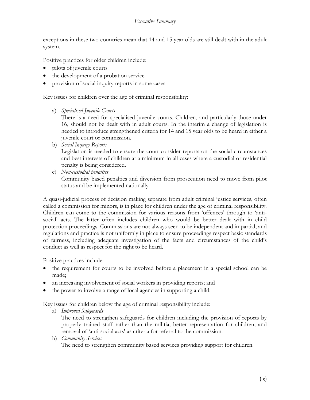#### *Executive Summary*

exceptions in these two countries mean that 14 and 15 year olds are still dealt with in the adult system.

Positive practices for older children include:

- pilots of juvenile courts
- the development of a probation service
- provision of social inquiry reports in some cases

Key issues for children over the age of criminal responsibility:

a) *Specialised Juvenile Courts*

There is a need for specialised juvenile courts. Children, and particularly those under 16, should not be dealt with in adult courts. In the interim a change of legislation is needed to introduce strengthened criteria for 14 and 15 year olds to be heard in either a juvenile court or commission.

b) *Social Inquiry Reports*

Legislation is needed to ensure the court consider reports on the social circumstances and best interests of children at a minimum in all cases where a custodial or residential penalty is being considered.

c) *Non-custodial penalties* Community based penalties and diversion from prosecution need to move from pilot status and be implemented nationally.

A quasi-judicial process of decision making separate from adult criminal justice services, often called a commission for minors, is in place for children under the age of criminal responsibility. Children can come to the commission for various reasons from 'offences' through to 'antisocial' acts. The latter often includes children who would be better dealt with in child protection proceedings. Commissions are not always seen to be independent and impartial, and regulations and practice is not uniformly in place to ensure proceedings respect basic standards of fairness, including adequate investigation of the facts and circumstances of the child's conduct as well as respect for the right to be heard.

Positive practices include:

- the requirement for courts to be involved before a placement in a special school can be made;
- an increasing involvement of social workers in providing reports; and
- the power to involve a range of local agencies in supporting a child.

Key issues for children below the age of criminal responsibility include:

a) *Improved Safeguards*

The need to strengthen safeguards for children including the provision of reports by properly trained staff rather than the militia; better representation for children; and removal of 'anti-social acts' as criteria for referral to the commission.

b) *Community Services*

The need to strengthen community based services providing support for children.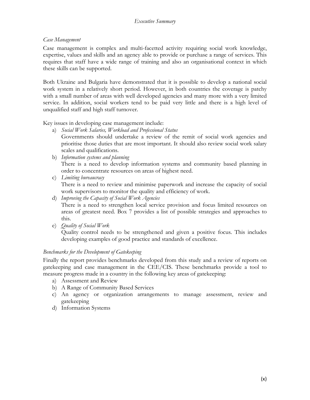#### *Case Management*

Case management is complex and multi-facetted activity requiring social work knowledge, expertise, values and skills and an agency able to provide or purchase a range of services. This requires that staff have a wide range of training and also an organisational context in which these skills can be supported.

Both Ukraine and Bulgaria have demonstrated that it is possible to develop a national social work system in a relatively short period. However, in both countries the coverage is patchy with a small number of areas with well developed agencies and many more with a very limited service. In addition, social workers tend to be paid very little and there is a high level of unqualified staff and high staff turnover.

Key issues in developing case management include:

- a) *Social Work Salaries, Workload and Professional Status* Governments should undertake a review of the remit of social work agencies and prioritise those duties that are most important. It should also review social work salary scales and qualifications.
- b) *Information systems and planning* There is a need to develop information systems and community based planning in order to concentrate resources on areas of highest need.
- c) *Limiting bureaucracy* There is a need to review and minimise paperwork and increase the capacity of social work supervisors to monitor the quality and efficiency of work.
- d) *Improving the Capacity of Social Work Agencies*

There is a need to strengthen local service provision and focus limited resources on areas of greatest need. Box 7 provides a list of possible strategies and approaches to this.

e) *Quality of Social Work*

Quality control needs to be strengthened and given a positive focus. This includes developing examples of good practice and standards of excellence.

## *Benchmarks for the Development of Gatekeeping*

Finally the report provides benchmarks developed from this study and a review of reports on gatekeeping and case management in the CEE/CIS. These benchmarks provide a tool to measure progress made in a country in the following key areas of gatekeeping:

- a) Assessment and Review
- b) A Range of Community Based Services
- c) An agency or organization arrangements to manage assessment, review and gatekeeping
- d) Information Systems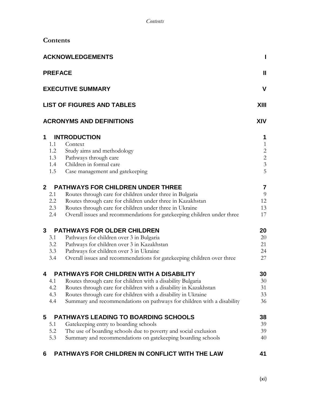| <b>ACKNOWLEDGEMENTS</b> |                | ı                                                                       |                                                 |
|-------------------------|----------------|-------------------------------------------------------------------------|-------------------------------------------------|
|                         | <b>PREFACE</b> |                                                                         | Ш                                               |
|                         |                | <b>EXECUTIVE SUMMARY</b>                                                | $\mathbf v$                                     |
|                         |                | <b>LIST OF FIGURES AND TABLES</b>                                       | XIII                                            |
|                         |                | <b>ACRONYMS AND DEFINITIONS</b>                                         | <b>XIV</b>                                      |
| 1                       |                | <b>INTRODUCTION</b>                                                     | 1                                               |
|                         | 1.1            | Context                                                                 | $\mathbf{1}$                                    |
|                         | 1.2            | Study aims and methodology                                              |                                                 |
|                         | 1.3            | Pathways through care                                                   | $\begin{array}{c} 2 \\ 2 \\ 3 \\ 5 \end{array}$ |
|                         | 1.4            | Children in formal care                                                 |                                                 |
|                         | 1.5            | Case management and gatekeeping                                         |                                                 |
| $\mathbf{2}$            |                | <b>PATHWAYS FOR CHILDREN UNDER THREE</b>                                | $\overline{\mathbf{7}}$                         |
|                         | 2.1            | Routes through care for children under three in Bulgaria                | 9                                               |
|                         | 2.2            | Routes through care for children under three in Kazakhstan              | 12                                              |
|                         | 2.3            | Routes through care for children under three in Ukraine                 | 13                                              |
|                         | 2.4            | Overall issues and recommendations for gatekeeping children under three | 17                                              |
| $\mathbf{3}$            |                | <b>PATHWAYS FOR OLDER CHILDREN</b>                                      | 20                                              |
|                         | 3.1            | Pathways for children over 3 in Bulgaria                                | 20                                              |
|                         | 3.2            | Pathways for children over 3 in Kazakhstan                              | 21                                              |
|                         | 3.3            | Pathways for children over 3 in Ukraine                                 | 24                                              |
|                         | 3.4            | Overall issues and recommendations for gatekeeping children over three  | 27                                              |
| 4                       |                | <b>PATHWAYS FOR CHILDREN WITH A DISABILITY</b>                          | 30                                              |
|                         | 4.1            | Routes through care for children with a disability Bulgaria             | 30                                              |
|                         | 4.2            | Routes through care for children with a disability in Kazakhstan        | 31                                              |
|                         | 4.3            | Routes through care for children with a disability in Ukraine           | 33                                              |
|                         | 4.4            | Summary and recommendations on pathways for children with a disability  | 36                                              |
| 5                       |                | <b>PATHWAYS LEADING TO BOARDING SCHOOLS</b>                             | 38                                              |
|                         | 5.1            | Gatekeeping entry to boarding schools                                   | 39                                              |
|                         | 5.2            | The use of boarding schools due to poverty and social exclusion         | 39                                              |
|                         | 5.3            | Summary and recommendations on gatekeeping boarding schools             | 40                                              |
| 6                       |                | PATHWAYS FOR CHILDREN IN CONFLICT WITH THE LAW                          | 41                                              |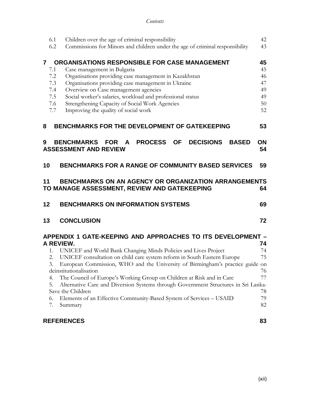| 6.1<br>6.2                                                                                                       | Children over the age of criminal responsibility<br>Commissions for Minors and children under the age of criminal responsibility                                                                                                                                                                                                                                                                           | 42<br>43                                     |  |
|------------------------------------------------------------------------------------------------------------------|------------------------------------------------------------------------------------------------------------------------------------------------------------------------------------------------------------------------------------------------------------------------------------------------------------------------------------------------------------------------------------------------------------|----------------------------------------------|--|
| $\overline{7}$<br>7.1<br>7.2<br>7.3<br>7.4<br>7.5<br>7.6<br>7.7                                                  | <b>ORGANISATIONS RESPONSIBLE FOR CASE MANAGEMENT</b><br>Case management in Bulgaria<br>Organisations providing case management in Kazakhstan<br>Organisations providing case management in Ukraine<br>Overview on Case management agencies<br>Social worker's salaries, workload and professional status<br>Strengthening Capacity of Social Work Agencies<br>Improving the quality of social work         | 45<br>45<br>46<br>47<br>49<br>49<br>50<br>52 |  |
| 8                                                                                                                | <b>BENCHMARKS FOR THE DEVELOPMENT OF GATEKEEPING</b>                                                                                                                                                                                                                                                                                                                                                       | 53                                           |  |
| 9                                                                                                                | <b>PROCESS</b><br>BENCHMARKS FOR A<br><b>OF</b><br><b>DECISIONS</b><br><b>BASED</b><br><b>ASSESSMENT AND REVIEW</b>                                                                                                                                                                                                                                                                                        | ΟN<br>54                                     |  |
| 10                                                                                                               | <b>BENCHMARKS FOR A RANGE OF COMMUNITY BASED SERVICES</b>                                                                                                                                                                                                                                                                                                                                                  | 59                                           |  |
| 11<br>BENCHMARKS ON AN AGENCY OR ORGANIZATION ARRANGEMENTS<br>TO MANAGE ASSESSMENT, REVIEW AND GATEKEEPING<br>64 |                                                                                                                                                                                                                                                                                                                                                                                                            |                                              |  |
| 12                                                                                                               | <b>BENCHMARKS ON INFORMATION SYSTEMS</b>                                                                                                                                                                                                                                                                                                                                                                   | 69                                           |  |
| 13                                                                                                               | <b>CONCLUSION</b>                                                                                                                                                                                                                                                                                                                                                                                          | 72                                           |  |
| 1.<br>2.<br>3.                                                                                                   | APPENDIX 1 GATE-KEEPING AND APPROACHES TO ITS DEVELOPMENT -<br>A REVIEW.<br>UNICEF and World Bank Changing Minds Policies and Lives Project<br>UNICEF consultation on child care system reform in South Eastern Europe<br>European Commission, WHO and the University of Birmingham's practice guide on<br>deinstitutionalisation<br>The Council of Europe's Working Group on Children at Risk and in Care | 74<br>74<br>75<br>76                         |  |

# **[REFERENCES](#page-100-0) 83**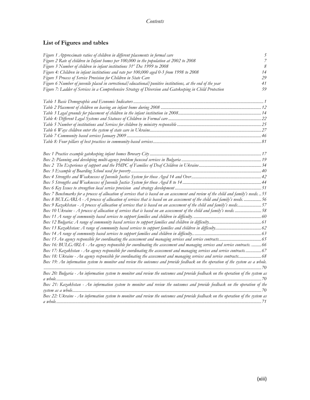# <span id="page-15-0"></span>**List of Figures and tables**

| Figure 1 Approximate ratios of children in different placements in formal care                                                       | 5              |
|--------------------------------------------------------------------------------------------------------------------------------------|----------------|
| Figure 2 Rate of children in Infant homes per 100,000 in the population at 2002 to 2008                                              | $\overline{7}$ |
| Figure 3 Number of children in infant institutions 31st Dec 1999 to 2008                                                             | 8              |
| Figure 4: Children in infant institutions and rate per 100,000 aged 0-3 from 1998 to 2008                                            | 14             |
| Figure 5 Process of Service Provision for Children in State Care                                                                     | 29             |
| Figure 6 Number of juvenile placed in correctional/educational/punitive institutions, at the end of the year                         | 41             |
| Figure 7: Ladder of Services in a Comprehensive Strategy of Diversion and Gatekeeping in Child Protection                            | 59             |
|                                                                                                                                      |                |
|                                                                                                                                      |                |
|                                                                                                                                      |                |
|                                                                                                                                      |                |
|                                                                                                                                      |                |
|                                                                                                                                      |                |
|                                                                                                                                      |                |
|                                                                                                                                      |                |
|                                                                                                                                      |                |
|                                                                                                                                      |                |
|                                                                                                                                      |                |
|                                                                                                                                      |                |
|                                                                                                                                      |                |
|                                                                                                                                      |                |
|                                                                                                                                      |                |
|                                                                                                                                      |                |
|                                                                                                                                      |                |
| Box 7 Benchmarks for a process of allocation of services that is based on an assessment and review of the child and family's needs55 |                |
| Box 8 BULGARIA - A process of allocation of services that is based on an assessment of the child and family's needs.  56             |                |
| Box 9 Kazakhstan - A process of allocation of services that is based on an assessment of the child and family's needs57              |                |
| Box 10 Ukraine - A process of allocation of services that is based on an assessment of the child and family's needs 58               |                |
|                                                                                                                                      |                |
|                                                                                                                                      |                |
|                                                                                                                                      |                |
|                                                                                                                                      |                |
|                                                                                                                                      |                |
| Box 16: BULGARIA - An agency responsible for coordinating the assessment and managing services and service contracts.  66            |                |
| Box 17: Kazakhstan - An agency responsible for coordinating the assessment and managing services and service contracts 67            |                |
| Box 18: Ukraine - An agency responsible for coordinating the assessment and managing services and service contracts 68               |                |
| Box 19: An information system to monitor and review the outcomes and provide feedback on the operation of the system as a whole.     |                |
|                                                                                                                                      |                |
| Box 20: Bulgaria - An information system to monitor and review the outcomes and provide feedback on the operation of the system as   |                |
|                                                                                                                                      |                |
| Box 21: Kazakhstan - An information system to monitor and review the outcomes and provide feedback on the operation of the           |                |
|                                                                                                                                      |                |
| Box 22: Ukraine - An information system to monitor and review the outcomes and provide feedback on the operation of the system as    |                |
|                                                                                                                                      |                |
|                                                                                                                                      |                |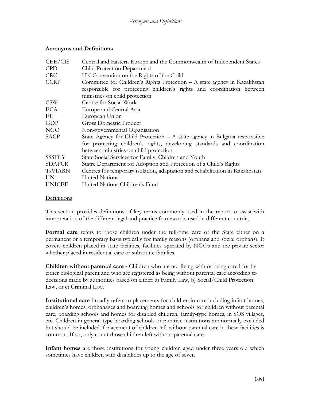#### <span id="page-16-0"></span>**Acronyms and Definitions**

| CEE/CIS       | Central and Eastern Europe and the Commonwealth of Independent States        |
|---------------|------------------------------------------------------------------------------|
| <b>CPD</b>    | Child Protection Department                                                  |
| <b>CRC</b>    | UN Convention on the Rights of the Child                                     |
| <b>CCRP</b>   | Committee for Children's Rights Protection $-A$ state agency in Kazakhstan   |
|               | responsible for protecting children's rights and coordination between        |
|               | ministries on child protection                                               |
| <b>CSW</b>    | Centre for Social Work                                                       |
| ECA           | Europe and Central Asia                                                      |
| EU            | European Union                                                               |
| GDP           | <b>Gross Domestic Product</b>                                                |
| <b>NGO</b>    | Non-governmental Organisation                                                |
| <b>SACP</b>   | State Agency for Child Protection - A state agency in Bulgaria responsible   |
|               | for protecting children's rights, developing standards and coordination      |
|               | between ministries on child protection                                       |
| <b>SSSFCY</b> | State Social Services for Family, Children and Youth                         |
| <b>SDAPCR</b> | Statre Department for Adoption and Protection of a Child's Rights            |
| TsVIARN       | Centres for temporary isolation, adaptation and rehabilitation in Kazakhstan |
| UN            | <b>United Nations</b>                                                        |
| <b>UNICEF</b> | United Nations Children's Fund                                               |

#### **Definitions**

This section provides definitions of key terms commonly used in the report to assist with interpretation of the different legal and practice frameworks used in different countries

**Formal care** refers to those children under the full-time care of the State either on a permanent or a temporary basis typically for family reasons (orphans and social orphans). It covers children placed in state facilities, facilities operated by NGOs and the private sector whether placed in residential care or substitute families.

**Children without parental care -** Children who are not living with or being cared for by either biological parent and who are registered as being without parental care according to decisions made by authorities based on either: a) Family Law, b) Social/Child Protection Law, or c) Criminal Law.

**Institutional care** broadly refers to placements for children in care including infant homes, children's homes, orphanages and boarding homes and schools for children without parental care, boarding schools and homes for disabled children, family-type homes, in SOS villages, etc. Children in general-type boarding schools or punitive institutions are normally excluded but should be included if placement of children left without parental care in these facilities is common. If so, only count those children left without parental care.

**Infant homes** are those institutions for young children aged under three years old which sometimes have children with disabilities up to the age of seven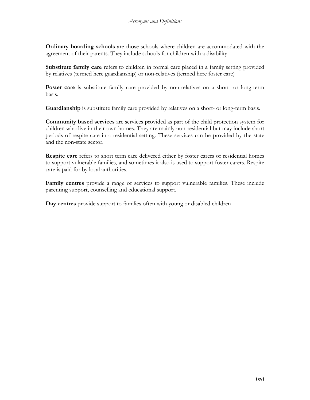**Ordinary boarding schools** are those schools where children are accommodated with the agreement of their parents. They include schools for children with a disability

**Substitute family care** refers to children in formal care placed in a family setting provided by relatives (termed here guardianship) or non-relatives (termed here foster care)

**Foster care** is substitute family care provided by non-relatives on a short- or long-term basis.

**Guardianship** is substitute family care provided by relatives on a short- or long-term basis.

**Community based services** are services provided as part of the child protection system for children who live in their own homes. They are mainly non-residential but may include short periods of respite care in a residential setting. These services can be provided by the state and the non-state sector.

**Respite care** refers to short term care delivered either by foster carers or residential homes to support vulnerable families, and sometimes it also is used to support foster carers. Respite care is paid for by local authorities.

**Family centres** provide a range of services to support vulnerable families. These include parenting support, counselling and educational support.

**Day centres** provide support to families often with young or disabled children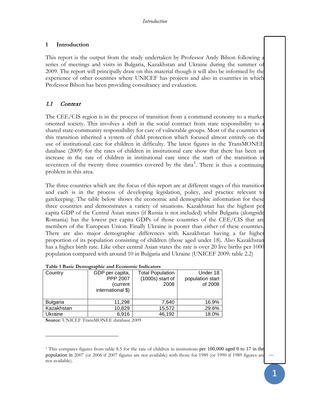#### <span id="page-18-0"></span>**1 Introduction**

This report is the output from the study undertaken by Professor Andy Bilson following a series of meetings and visits in Bulgaria, Kazakhstan and Ukraine during the summer of 2009. The report will principally draw on this material though it will also be informed by the experience of other countries where UNICEF has projects and also in countries in which Professor Bilson has been providing consultancy and evaluation.

## <span id="page-18-1"></span>1.1 Context

The CEE/CIS region is in the process of transition from a command economy to a market oriented society. This involves a shift in the social contract from state responsibility to a shared state-community responsibility for care of vulnerable groups. Most of the countries in this transition inherited a system of child protection which focused almost entirely on the use of institutional care for children in difficulty. The latest figures in the TransMONEE database (2009) for the rates of children in institutional care show that there has been an increase in the rate of children in institutional care since the start of the transition in seventeen of the twenty three countries covered by the data<sup>[1](#page-18-3)</sup>. There is thus a continuing problem in this area.

The three countries which are the focus of this report are at different stages of this transition and each is in the process of developing legislation, policy, and practice relevant to gatekeeping. The table below shows the economic and demographic information for these three countries and demonstrates a variety of situations. Kazakhstan has the highest per capita GDP of the Central Asian states (if Russia is not included) whilst Bulgaria (alongside Romania) has the lowest per capita GDPs of those countries of the CEE/CIS that are members of the European Union. Finally Ukraine is poorer than either of these countries. There are also major demographic differences with Kazakhstan having a far higher proportion of its population consisting of children (those aged under 18). Also Kazakhstan has a higher birth rate. Like other central Asian states the rate is over 20 live births per 1000 population compared with around 10 in Bulgaria and Ukraine (UNICEF 2009: table 2.2)

| Table 1 David Dennographic and Leonomic mulcators |                   |                         |                  |  |
|---------------------------------------------------|-------------------|-------------------------|------------------|--|
| Country                                           | GDP per capita,   | <b>Total Population</b> | Under 18         |  |
|                                                   | <b>PPP 2007</b>   | $(1000s)$ start of      | population start |  |
|                                                   | (current          | 2008                    | of 2008          |  |
|                                                   | international \$) |                         |                  |  |
|                                                   |                   |                         |                  |  |
| <b>Bulgaria</b>                                   | 11,298            | 7.640                   | 16.9%            |  |
| Kazakhstan                                        | 10,829            | 15,572                  | 29.6%            |  |
| Ukraine                                           | 6,916             | 46,192                  | 18.0%            |  |

#### <span id="page-18-2"></span>**Table 1 Basic Demographic and Economic Indicators**

**Source**: UNICEF TransMONEE database 2009

 $\overline{a}$ 

<span id="page-18-3"></span><sup>&</sup>lt;sup>1</sup> This compares figures from table 8.5 for the rate of children in institutions per 100,000 aged 0 to 17 in the population in 2007 (or 2006 if 2007 figures are not available) with those for 1989 (or 1990 if 1989 figures are not available).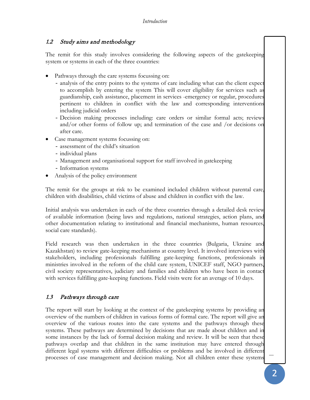## <span id="page-19-0"></span>1.2 Study aims and methodology

The remit for this study involves considering the following aspects of the gatekeeping system or systems in each of the three countries:

- Pathways through the care systems focussing on:
	- analysis of the entry points to the systems of care including what can the client expect to accomplish by entering the system This will cover eligibility for services such as guardianship, cash assistance, placement in services -emergency or regular, procedures pertinent to children in conflict with the law and corresponding interventions including judicial orders
	- Decision making processes including: care orders or similar formal acts; reviews and/or other forms of follow up; and termination of the case and /or decisions on after care.
- Case management systems focussing on:
	- assessment of the child's situation
	- individual plans
	- Management and organisational support for staff involved in gatekeeping
	- Information systems
- Analysis of the policy environment

The remit for the groups at risk to be examined included children without parental care, children with disabilities, child victims of abuse and children in conflict with the law.

Initial analysis was undertaken in each of the three countries through a detailed desk review of available information (being laws and regulations, national strategies, action plans, and other documentation relating to institutional and financial mechanisms, human resources, social care standards).

Field research was then undertaken in the three countries (Bulgaria, Ukraine and Kazakhstan) to review gate-keeping mechanisms at country level. It involved interviews with stakeholders, including professionals fulfilling gate-keeping functions, professionals in ministries involved in the reform of the child care system, UNICEF staff, NGO partners, civil society representatives, judiciary and families and children who have been in contact with services fulfilling gate-keeping functions. Field visits were for an average of 10 days.

## <span id="page-19-1"></span>1.3 Pathways through care

The report will start by looking at the context of the gatekeeping systems by providing an overview of the numbers of children in various forms of formal care. The report will give an overview of the various routes into the care systems and the pathways through these systems. These pathways are determined by decisions that are made about children and in some instances by the lack of formal decision making and review. It will be seen that these pathways overlap and that children in the same institution may have entered through different legal systems with different difficulties or problems and be involved in different processes of case management and decision making. Not all children enter these systems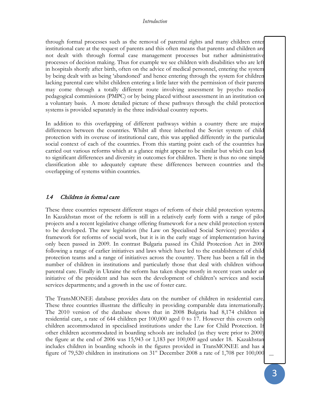#### *Introduction*

through formal processes such as the removal of parental rights and many children enter institutional care at the request of parents and this often means that parents and children are not dealt with through formal case management processes but rather administrative processes of decision making. Thus for example we see children with disabilities who are left in hospitals shortly after birth, often on the advice of medical personnel, entering the system by being dealt with as being 'abandoned' and hence entering through the system for children lacking parental care whilst children entering a little later with the permission of their parents may come through a totally different route involving assessment by psycho medico pedagogical commissions (PMPC) or by being placed without assessment in an institution on a voluntary basis. A more detailed picture of these pathways through the child protection systems is provided separately in the three individual country reports.

In addition to this overlapping of different pathways within a country there are major differences between the countries. Whilst all three inherited the Soviet system of child protection with its overuse of institutional care, this was applied differently in the particular social context of each of the countries. From this starting point each of the countries has carried out various reforms which at a glance might appear to be similar but which can lead to significant differences and diversity in outcomes for children. There is thus no one simple classification able to adequately capture these differences between countries and the overlapping of systems within countries.

#### <span id="page-20-0"></span>1.4 Children in formal care

These three countries represent different stages of reform of their child protection systems. In Kazakhstan most of the reform is still in a relatively early form with a range of pilot projects and a recent legislative change offering framework for a new child protection system to be developed. The new legislation (the Law on Specialised Social Services) provides a framework for reforms of social work, but it is in the early stage of implementation having only been passed in 2009. In contrast Bulgaria passed its Child Protection Act in 2000 following a range of earlier initiatives and laws which have led to the establishment of child protection teams and a range of initiatives across the country. There has been a fall in the number of children in institutions and particularly those that deal with children without parental care. Finally in Ukraine the reform has taken shape mostly in recent years under an initiative of the president and has seen the development of children's services and social services departments; and a growth in the use of foster care.

The TransMONEE database provides data on the number of children in residential care. These three countries illustrate the difficulty in providing comparable data internationally. The 2010 version of the database shows that in 2008 Bulgaria had 8,174 children in residential care, a rate of 644 children per 100,000 aged 0 to 17. However this covers only children accommodated in specialised institutions under the Law for Child Protection. If other children accommodated in boarding schools are included (as they were prior to 2000) the figure at the end of 2006 was 15,943 or 1,183 per 100,000 aged under 18. Kazakhstan includes children in boarding schools in the figures provided in TransMONEE and has a figure of 79,520 children in institutions on  $31<sup>st</sup>$  December 2008 a rate of 1,708 per 100,000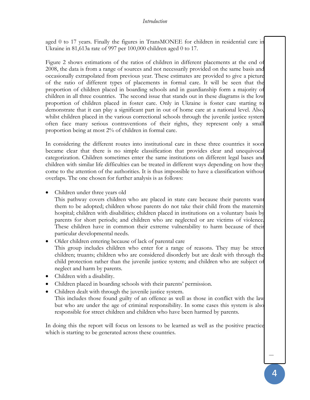#### *Introduction*

aged 0 to 17 years. Finally the figures in TransMONEE for children in residential care in Ukraine in 81,613a rate of 997 per 100,000 children aged 0 to 17.

Figure 2 shows estimations of the ratios of children in different placements at the end of 2008, the data is from a range of sources and not necessarily provided on the same basis and occasionally extrapolated from previous year. These estimates are provided to give a picture of the ratio of different types of placements in formal care. It will be seen that the proportion of children placed in boarding schools and in guardianship form a majority of children in all three countries. The second issue that stands out in these diagrams is the low proportion of children placed in foster care. Only in Ukraine is foster care starting to demonstrate that it can play a significant part in out of home care at a national level. Also, whilst children placed in the various correctional schools through the juvenile justice system often face many serious contraventions of their rights, they represent only a small proportion being at most 2% of children in formal care.

In considering the different routes into institutional care in these three countries it soon became clear that there is no simple classification that provides clear and unequivocal categorization. Children sometimes enter the same institutions on different legal bases and children with similar life difficulties can be treated in different ways depending on how they come to the attention of the authorities. It is thus impossible to have a classification without overlaps. The one chosen for further analysis is as follows:

• Children under three years old

This pathway covers children who are placed in state care because their parents want them to be adopted; children whose parents do not take their child from the maternity hospital; children with disabilities; children placed in institutions on a voluntary basis by parents for short periods; and children who are neglected or are victims of violence. These children have in common their extreme vulnerability to harm because of their particular developmental needs.

- Older children entering because of lack of parental care This group includes children who enter for a range of reasons. They may be street children; truants; children who are considered disorderly but are dealt with through the child protection rather than the juvenile justice system; and children who are subject of neglect and harm by parents.
- Children with a disability.
- Children placed in boarding schools with their parents' permission.
- Children dealt with through the juvenile justice system.

This includes those found guilty of an offence as well as those in conflict with the law but who are under the age of criminal responsibility. In some cases this system is also responsible for street children and children who have been harmed by parents.

In doing this the report will focus on lessons to be learned as well as the positive practice which is starting to be generated across these countries.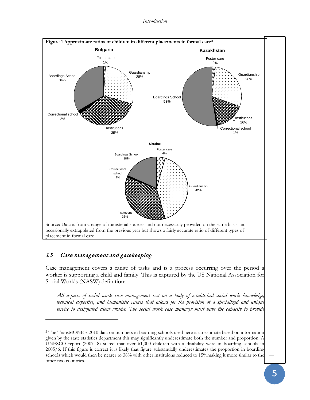*Introduction*

<span id="page-22-1"></span>

<span id="page-22-2"></span><span id="page-22-0"></span>given by the state statistics department this may significantly underestimate both the number and proportion. A UNESCO report (2007: 8) stated that over 61,000 children with a disability were in boarding schools in 2005/6. If this figure is correct it is likely that figure substantially underestimates the proportion in boarding schools which would then be nearer to 38% with other instituions reduced to 15%making it more similar to the other two countries.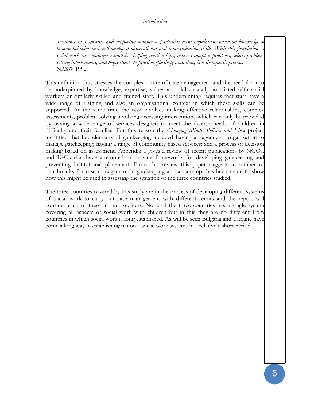*assistance in a sensitive and supportive manner to particular client populations based on knowledge of human behavior and well-developed observational and communication skills. With this foundation, a social work case manager establishes helping relationships, assesses complex problems, selects problemsolving interventions, and helps clients to function effectively and, thus, is a therapeutic process.* NASW 1992.

This definition thus stresses the complex nature of case management and the need for it to be underpinned by knowledge, expertise, values and skills usually associated with social workers or similarly skilled and trained staff. This underpinning requires that staff have a wide range of training and also an organisational context in which these skills can be supported. At the same time the task involves making effective relationships, complex assessments, problem solving involving accessing interventions which can only be provided by having a wide range of services designed to meet the diverse needs of children in difficulty and their families. For this reason the *Changing Minds, Policies and Lives* project identified that key elements of gatekeeping included having an agency or organisation to manage gatekeeping; having a range of community based services; and a process of decision making based on assessment. Appendix 1 gives a review of recent publications by NGOs, and IGOs that have attempted to provide frameworks for developing gatekeeping and preventing institutional placement. From this review this paper suggests a number of benchmarks for case management in gatekeeping and an attempt has been made to show how this might be used in assessing the situation of the three countries studied.

The three countries covered by this study are in the process of developing different systems of social work to carry out case management with different remits and the report will consider each of these in later sections. None of the three countries has a single system covering all aspects of social work with children but in this they are no different from countries in which social work is long established. As will be seen Bulgaria and Ukraine have come a long way in establishing national social work systems in a relatively short period.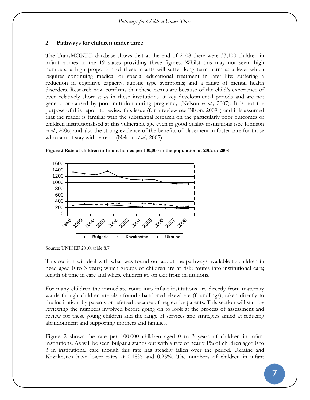## <span id="page-24-0"></span>**2 Pathways for children under three**

The TransMONEE database shows that at the end of 2008 there were 33,100 children in infant homes in the 19 states providing these figures. Whilst this may not seem high numbers, a high proportion of these infants will suffer long term harm at a level which requires continuing medical or special educational treatment in later life: suffering a reduction in cognitive capacity; autistic type symptoms; and a range of mental health disorders. Research now confirms that these harms are because of the child's experience of even relatively short stays in these institutions at key developmental periods and are not genetic or caused by poor nutrition during pregnancy (Nelson *et al.,* 2007). It is not the purpose of this report to review this issue (for a review see Bilson, 2009a) and it is assumed that the reader is familiar with the substantial research on the particularly poor outcomes of children institutionalised at this vulnerable age even in good quality institutions (see Johnson *et al*., 2006) and also the strong evidence of the benefits of placement in foster care for those who cannot stay with parents (Nelson *et al.,* 2007).



<span id="page-24-1"></span>

Source: UNICEF 2010: table 8.7

This section will deal with what was found out about the pathways available to children in need aged 0 to 3 years; which groups of children are at risk; routes into institutional care; length of time in care and where children go on exit from institutions.

For many children the immediate route into infant institutions are directly from maternity wards though children are also found abandoned elsewhere (foundlings), taken directly to the institution by parents or referred because of neglect by parents. This section will start by reviewing the numbers involved before going on to look at the process of assessment and review for these young children and the range of services and strategies aimed at reducing abandonment and supporting mothers and families.

[Figure 2](#page-24-1) shows the rate per 100,000 children aged 0 to 3 years of children in infant institutions. As will be seen Bulgaria stands out with a rate of nearly 1% of children aged 0 to 3 in institutional care though this rate has steadily fallen over the period. Ukraine and Kazakhstan have lower rates at 0.18% and 0.25%. The numbers of children in infant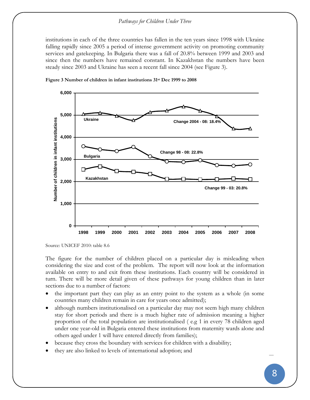#### *Pathways for Children Under Three*

institutions in each of the three countries has fallen in the ten years since 1998 with Ukraine falling rapidly since 2005 a period of intense government activity on promoting community services and gatekeeping. In Bulgaria there was a fall of 20.8% between 1999 and 2003 and since then the numbers have remained constant. In Kazakhstan the numbers have been steady since 2003 and Ukraine has seen a recent fall since 2004 (see [Figure 3\)](#page-25-0).



<span id="page-25-0"></span>**Figure 3 Number of children in infant institutions 31st Dec 1999 to 2008**

The figure for the number of children placed on a particular day is misleading when considering the size and cost of the problem. The report will now look at the information available on entry to and exit from these institutions. Each country will be considered in turn. There will be more detail given of these pathways for young children than in later sections due to a number of factors:

- the important part they can play as an entry point to the system as a whole (in some countries many children remain in care for years once admitted);
- although numbers institutionalised on a particular day may not seem high many children stay for short periods and there is a much higher rate of admission meaning a higher proportion of the total population are institutionalised ( e.g 1 in every 78 children aged under one year-old in Bulgaria entered these institutions from maternity wards alone and others aged under 1 will have entered directly from families);
- because they cross the boundary with services for children with a disability;
- they are also linked to levels of international adoption; and

Source: UNICEF 2010: table 8.6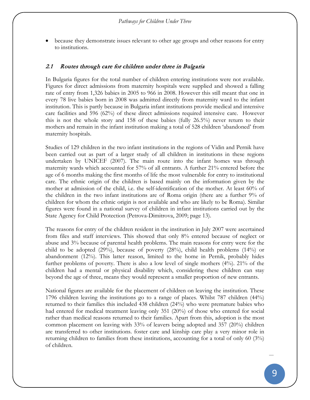• because they demonstrate issues relevant to other age groups and other reasons for entry to institutions.

#### <span id="page-26-0"></span>2.1 Routes through care for children under three in Bulgaria

In Bulgaria figures for the total number of children entering institutions were not available. Figures for direct admissions from maternity hospitals were supplied and showed a falling rate of entry from 1,326 babies in 2005 to 966 in 2008. However this still meant that one in every 78 live babies born in 2008 was admitted directly from maternity ward to the infant institution. This is partly because in Bulgaria infant institutions provide medical and intensive care facilities and 596 (62%) of these direct admissions required intensive care. However this is not the whole story and 158 of these babies (fully 26.5%) never return to their mothers and remain in the infant institution making a total of 528 children 'abandoned' from maternity hospitals.

Studies of 129 children in the two infant institutions in the regions of Vidin and Pernik have been carried out as part of a larger study of all children in institutions in these regions undertaken by UNICEF (2007). The main route into the infant homes was through maternity wards which accounted for 57% of all entrants. A further 21% entered before the age of 6 months making the first months of life the most vulnerable for entry to institutional care. The ethnic origin of the children is based mainly on the information given by the mother at admission of the child, i.e. the self-identification of the mother. At least 60% of the children in the two infant institutions are of Roma origin (there are a further 9% of children for whom the ethnic origin is not available and who are likely to be Roma). Similar figures were found in a national survey of children in infant institutions carried out by the State Agency for Child Protection (Petrova-Dimitrova, 2009; page 13).

The reasons for entry of the children resident in the institution in July 2007 were ascertained from files and staff interviews. This showed that only 8% entered because of neglect or abuse and 3% because of parental health problems. The main reasons for entry were for the child to be adopted (29%), because of poverty (28%), child health problems (14%) or abandonment (12%). This latter reason, limited to the home in Pernik, probably hides further problems of poverty. There is also a low level of single mothers (4%). 21% of the children had a mental or physical disability which, considering these children can stay beyond the age of three, means they would represent a smaller proportion of new entrants.

National figures are available for the placement of children on leaving the institution. These 1796 children leaving the institutions go to a range of places. Whilst 787 children (44%) returned to their families this included 438 children (24%) who were premature babies who had entered for medical treatment leaving only 351 (20%) of those who entered for social rather than medical reasons returned to their families. Apart from this, adoption is the most common placement on leaving with 33% of leavers being adopted and 357 (20%) children are transferred to other institutions. foster care and kinship care play a very minor role in returning children to families from these institutions, accounting for a total of only 60 (3%) of children.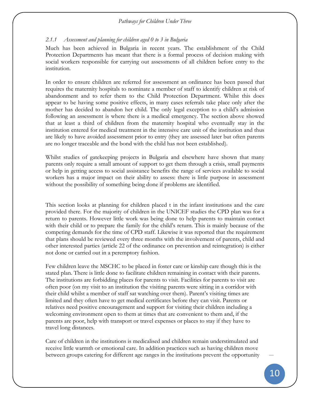#### *Pathways for Children Under Three*

#### *2.1.1 Assessment and planning for children aged 0 to 3 in Bulgaria*

Much has been achieved in Bulgaria in recent years. The establishment of the Child Protection Departments has meant that there is a formal process of decision making with social workers responsible for carrying out assessments of all children before entry to the institution.

In order to ensure children are referred for assessment an ordinance has been passed that requires the maternity hospitals to nominate a member of staff to identify children at risk of abandonment and to refer them to the Child Protection Department. Whilst this does appear to be having some positive effects, in many cases referrals take place only after the mother has decided to abandon her child. The only legal exception to a child's admission following an assessment is where there is a medical emergency. The section above showed that at least a third of children from the maternity hospital who eventually stay in the institution entered for medical treatment in the intensive care unit of the institution and thus are likely to have avoided assessment prior to entry (they are assessed later but often parents are no longer traceable and the bond with the child has not been established).

Whilst studies of gatekeeping projects in Bulgaria and elsewhere have shown that many parents only require a small amount of support to get them through a crisis, small payments or help in getting access to social assistance benefits the range of services available to social workers has a major impact on their ability to assess: there is little purpose in assessment without the possibility of something being done if problems are identified.

This section looks at planning for children placed t in the infant institutions and the care provided there. For the majority of children in the UNICEF studies the CPD plan was for a return to parents. However little work was being done to help parents to maintain contact with their child or to prepare the family for the child's return. This is mainly because of the competing demands for the time of CPD staff. Likewise it was reported that the requirement that plans should be reviewed every three months with the involvement of parents, child and other interested parties (article 22 of the ordinance on prevention and reintegration) is either not done or carried out in a peremptory fashion.

Few children leave the MSCHC to be placed in foster care or kinship care though this is the stated plan. There is little done to facilitate children remaining in contact with their parents. The institutions are forbidding places for parents to visit. Facilities for parents to visit are often poor (on my visit to an institution the visiting parents were sitting in a corridor with their child whilst a member of staff sat watching over them). Parent's visiting times are limited and they often have to get medical certificates before they can visit. Parents or relatives need positive encouragement and support for visiting their children including a welcoming environment open to them at times that are convenient to them and, if the parents are poor, help with transport or travel expenses or places to stay if they have to travel long distances.

Care of children in the institutions is medicalised and children remain understimulated and receive little warmth or emotional care. In addition practices such as having children move between groups catering for different age ranges in the institutions prevent the opportunity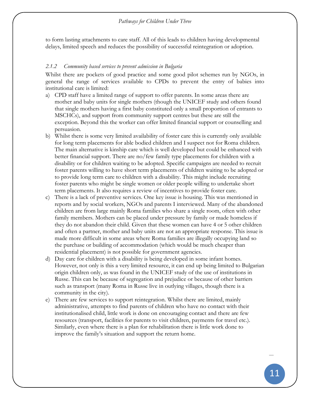to form lasting attachments to care staff. All of this leads to children having developmental delays, limited speech and reduces the possibility of successful reintegration or adoption.

#### *2.1.2 Community based services to prevent admission in Bulgaria*

Whilst there are pockets of good practice and some good pilot schemes run by NGOs, in general the range of services available to CPDs to prevent the entry of babies into institutional care is limited:

- a) CPD staff have a limited range of support to offer parents. In some areas there are mother and baby units for single mothers (though the UNICEF study and others found that single mothers having a first baby constituted only a small proportion of entrants to MSCHCs), and support from community support centres but these are still the exception. Beyond this the worker can offer limited financial support or counselling and persuasion.
- b) Whilst there is some very limited availability of foster care this is currently only available for long term placements for able bodied children and I suspect not for Roma children. The main alternative is kinship care which is well developed but could be enhanced with better financial support. There are no/few family type placements for children with a disability or for children waiting to be adopted. Specific campaigns are needed to recruit foster parents willing to have short term placements of children waiting to be adopted or to provide long term care to children with a disability. This might include recruiting foster parents who might be single women or older people willing to undertake short term placements. It also requires a review of incentives to provide foster care.
- c) There is a lack of preventive services. One key issue is housing. This was mentioned in reports and by social workers, NGOs and parents I interviewed. Many of the abandoned children are from large mainly Roma families who share a single room, often with other family members. Mothers can be placed under pressure by family or made homeless if they do not abandon their child. Given that these women can have 4 or 5 other children and often a partner, mother and baby units are not an appropriate response. This issue is made more difficult in some areas where Roma families are illegally occupying land so the purchase or building of accommodation (which would be much cheaper than residential placement) is not possible for government agencies.
- d) Day care for children with a disability is being developed in some infant homes. However, not only is this a very limited resource, it can end up being limited to Bulgarian origin children only, as was found in the UNICEF study of the use of institutions in Russe. This can be because of segregation and prejudice or because of other barriers such as transport (many Roma in Russe live in outlying villages, though there is a community in the city).
- e) There are few services to support reintegration. Whilst there are limited, mainly administrative, attempts to find parents of children who have no contact with their institutionalised child, little work is done on encouraging contact and there are few resources (transport, facilities for parents to visit children, payments for travel etc.). Similarly, even where there is a plan for rehabilitation there is little work done to improve the family's situation and support the return home.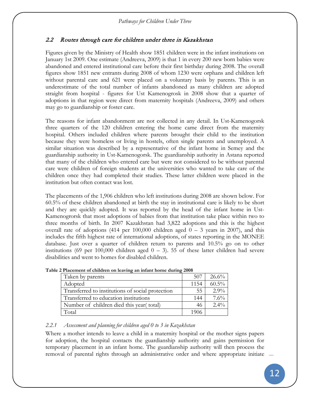# <span id="page-29-0"></span>2.2 Routes through care for children under three in Kazakhstan

Figures given by the Ministry of Health show 1851 children were in the infant institutions on January 1st 2009. One estimate (Andreeva, 2009) is that 1 in every 200 new born babies were abandoned and entered institutional care before their first birthday during 2008. The overall figures show 1851 new entrants during 2008 of whom 1230 were orphans and children left without parental care and 621 were placed on a voluntary basis by parents. This is an underestimate of the total number of infants abandoned as many children are adopted straight from hospital - figures for Ust Kamenogrosk in 2008 show that a quarter of adoptions in that region were direct from maternity hospitals (Andreeva, 2009) and others may go to guardianship or foster care.

The reasons for infant abandonment are not collected in any detail. In Ust-Kamenogorsk three quarters of the 120 children entering the home came direct from the maternity hospital. Others included children where parents brought their child to the institution because they were homeless or living in hostels, often single parents and unemployed. A similar situation was described by a representative of the infant home in Semey and the guardianship authority in Ust-Kamenogorsk. The guardianship authority in Astana reported that many of the children who entered care but were not considered to be without parental care were children of foreign students at the universities who wanted to take care of the children once they had completed their studies. These latter children were placed in the institution but often contact was lost.

The placements of the 1,906 children who left institutions during 2008 are shown below. For 60.5% of these children abandoned at birth the stay in institutional care is likely to be short and they are quickly adopted. It was reported by the head of the infant home in Ust-Kamenogrorsk that most adoptions of babies from that institution take place within two to three months of birth. In 2007 Kazakhstan had 3,822 adoptions and this is the highest overall rate of adoptions (414 per 100,000 children aged  $0 - 3$  years in 2007), and this includes the fifth highest rate of international adoptions, of states reporting in the MONEE database. Just over a quarter of children return to parents and 10.5% go on to other institutions (69 per 100,000 children aged  $0 - 3$ ). 55 of these latter children had severe disabilities and went to homes for disabled children.

| Taken by parents                                 | 507  | $26.6\%$ |  |
|--------------------------------------------------|------|----------|--|
| Adopted                                          | 1154 | $60.5\%$ |  |
| Transferred to institutions of social protection | 55   | $2.9\%$  |  |
| Transferred to education institutions            | 144  | $7.6\%$  |  |
| Number of children died this year (total)        | 46   | $2.4\%$  |  |
| Total                                            |      |          |  |

<span id="page-29-1"></span>**Table 2 Placement of children on leaving an infant home during 2008**

## *2.2.1 Assessment and planning for children aged 0 to 3 in Kazakhstan*

Where a mother intends to leave a child in a maternity hospital or the mother signs papers for adoption, the hospital contacts the guardianship authority and gains permission for temporary placement in an infant home. The guardianship authority will then process the removal of parental rights through an administrative order and where appropriate initiate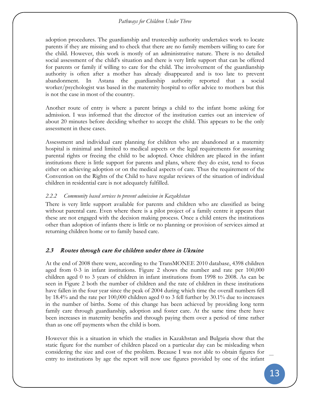#### *Pathways for Children Under Three*

adoption procedures. The guardianship and trusteeship authority undertakes work to locate parents if they are missing and to check that there are no family members willing to care for the child. However, this work is mostly of an administrative nature. There is no detailed social assessment of the child's situation and there is very little support that can be offered for parents or family if willing to care for the child. The involvement of the guardianship authority is often after a mother has already disappeared and is too late to prevent abandonment. In Astana the guardianship authority reported that a social worker/psychologist was based in the maternity hospital to offer advice to mothers but this is not the case in most of the country.

Another route of entry is where a parent brings a child to the infant home asking for admission. I was informed that the director of the institution carries out an interview of about 20 minutes before deciding whether to accept the child. This appears to be the only assessment in these cases.

Assessment and individual care planning for children who are abandoned at a maternity hospital is minimal and limited to medical aspects or the legal requirements for assuming parental rights or freeing the child to be adopted. Once children are placed in the infant institutions there is little support for parents and plans, where they do exist, tend to focus either on achieving adoption or on the medical aspects of care. Thus the requirement of the Convention on the Rights of the Child to have regular reviews of the situation of individual children in residential care is not adequately fulfilled.

#### *2.2.2 Community based services to prevent admission in Kazakhstan*

There is very little support available for parents and children who are classified as being without parental care. Even where there is a pilot project of a family centre it appears that these are not engaged with the decision making process. Once a child enters the institutions other than adoption of infants there is little or no planning or provision of services aimed at returning children home or to family based care.

## <span id="page-30-0"></span>2.3 Routes through care for children under three in Ukraine

At the end of 2008 there were, according to the TransMONEE 2010 database, 4398 children aged from 0-3 in infant institutions. [Figure 2](#page-24-1) shows the number and rate per 100,000 children aged 0 to 3 years of children in infant institutions from 1998 to 2008. As can be seen in [Figure 2](#page-24-1) both the number of children and the rate of children in these institutions have fallen in the four year since the peak of 2004 during which time the overall numbers fell by 18.4% and the rate per 100,000 children aged 0 to 3 fell further by 30.1% due to increases in the number of births. Some of this change has been achieved by providing long term family care through guardianship, adoption and foster care. At the same time there have been increases in maternity benefits and through paying them over a period of time rather than as one off payments when the child is born.

However this is a situation in which the studies in Kazakhstan and Bulgaria show that the static figure for the number of children placed on a particular day can be misleading when considering the size and cost of the problem. Because I was not able to obtain figures for entry to institutions by age the report will now use figures provided by one of the infant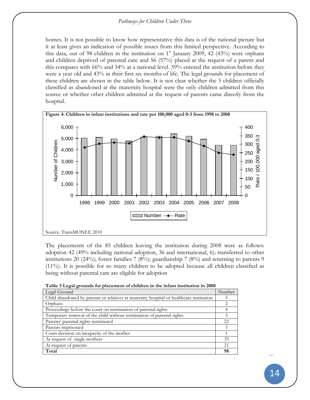#### *Pathways for Children Under Three*

homes. It is not possible to know how representative this data is of the national picture but it at least gives an indication of possible issues from this limited perspective. According to this data, out of 98 children in the institution on  $1<sup>st</sup>$  January 2009, 42 (43%) were orphans and children deprived of parental care and 56 (57%) placed at the request of a parent and this compares with 66% and 34% at a national level. 59% entered the institution before they were a year old and 43% in their first six months of life. The legal grounds for placement of these children are shown in the table below. It is not clear whether the 5 children officially classified as abandoned at the maternity hospital were the only children admitted from this source or whether other children admitted at the request of parents came directly from the hospital.

<span id="page-31-0"></span>

The placements of the 85 children leaving the institution during 2008 were as follows: adoption 42 (49% including national adoption, 36 and international, 6); transferred to other institutions 20 (24%); foster families 7 (8%); guardianship 7 (8%) and returning to parents 9 (11%). It is possible for so many children to be adopted because all children classified as being without parental care are eligible for adoption

| Table 5 Legal grounds for placement of conditent in the milant institution in 2000      |        |  |
|-----------------------------------------------------------------------------------------|--------|--|
| Legal Ground                                                                            | Number |  |
| Child abandoned by parents or relatives at maternity hospital or healthcare institution |        |  |
| Orphans                                                                                 |        |  |
| Proceedings before the court on termination of parental rights                          |        |  |
| Temporary removal of the child without termination of parental rights                   |        |  |
| Parents' parental rights terminated                                                     |        |  |
| Parents imprisoned                                                                      |        |  |
| Court decision on incapacity of the mother                                              |        |  |
| At request of single mothers                                                            | 35     |  |
| At request of parents                                                                   | 21     |  |
| Total                                                                                   | 98     |  |

<span id="page-31-1"></span>

| Table 3 Legal grounds for placement of children in the infant institution in 2008 |  |  |
|-----------------------------------------------------------------------------------|--|--|
|-----------------------------------------------------------------------------------|--|--|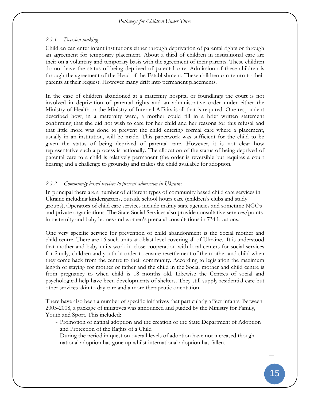## *2.3.1 Decision making*

Children can enter infant institutions either through deprivation of parental rights or through an agreement for temporary placement. About a third of children in institutional care are their on a voluntary and temporary basis with the agreement of their parents. These children do not have the status of being deprived of parental care. Admission of these children is through the agreement of the Head of the Establishment. These children can return to their parents at their request. However many drift into permanent placements.

In the case of children abandoned at a maternity hospital or foundlings the court is not involved in deprivation of parental rights and an administrative order under either the Ministry of Health or the Ministry of Internal Affairs is all that is required. One respondent described how, in a maternity ward, a mother could fill in a brief written statement confirming that she did not wish to care for her child and her reasons for this refusal and that little more was done to prevent the child entering formal care where a placement, usually in an institution, will be made. This paperwork was sufficient for the child to be given the status of being deprived of parental care. However, it is not clear how representative such a process is nationally. The allocation of the status of being deprived of parental care to a child is relatively permanent (the order is reversible but requires a court hearing and a challenge to grounds) and makes the child available for adoption.

# *2.3.2 Community based services to prevent admission in Ukraine*

In principal there are a number of different types of community based child care services in Ukraine including kindergartens, outside school hours care (children's clubs and study groups), Operators of child care services include mainly state agencies and sometime NGOs and private organisations. The State Social Services also provide consultative services/points in maternity and baby homes and women's prenatal consultations in 734 locations.

One very specific service for prevention of child abandonment is the Social mother and child centre. There are 16 such units at oblast level covering all of Ukraine. It is understood that mother and baby units work in close cooperation with local centers for social services for family, children and youth in order to ensure resettlement of the mother and child when they come back from the centre to their community. According to legislation the maximum length of staying for mother or father and the child in the Social mother and child centre is from pregnancy to when child is 18 months old. Likewise the Centres of social and psychological help have been developments of shelters. They still supply residential care but other services akin to day care and a more therapeutic orientation.

There have also been a number of specific initiatives that particularly affect infants. Between 2005-2008, a package of initiatives was announced and guided by the Ministry for Family, Youth and Sport. This included:

- Promotion of natinal adoption and the creation of the State Department of Adoption and Protection of the Rights of a Child

During the period in question overall levels of adoption have not increased though national adoption has gone up whilst international adoption has fallen.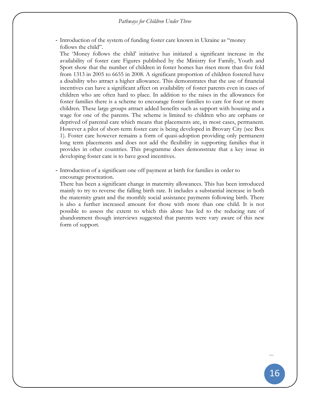- Introduction of the system of funding foster care known in Ukraine as "money follows the child".

The 'Money follows the child' initiative has initiated a significant increase in the availability of foster care Figures published by the Ministry for Family, Youth and Sport show that the number of children in foster homes has risen more than five fold from 1313 in 2005 to 6655 in 2008. A significant proportion of children fostered have a disability who attract a higher allowance. This demonstrates that the use of financial incentives can have a significant affect on availability of foster parents even in cases of children who are often hard to place. In addition to the raises in the allowances for foster families there is a scheme to encourage foster families to care for four or more children. These large groups attract added benefits such as support with housing and a wage for one of the parents. The scheme is limited to children who are orphans or deprived of parental care which means that placements are, in most cases, permanent. However a pilot of short-term foster care is being developed in Brovary City (see [Box](#page-34-1)  [1\)](#page-34-1). Foster care however remains a form of quasi-adoption providing only permanent long term placements and does not add the flexibility in supporting families that it provides in other countries. This programme does demonstrate that a key issue in developing foster care is to have good incentives.

- Introduction of a significant one off payment at birth for families in order to encourage procreation.

There has been a significant change in maternity allowances. This has been introduced mainly to try to reverse the falling birth rate. It includes a substantial increase in both the maternity grant and the monthly social assistance payments following birth. There is also a further increased amount for those with more than one child. It is not possible to assess the extent to which this alone has led to the reducing rate of abandonment though interviews suggested that parents were vary aware of this new form of support.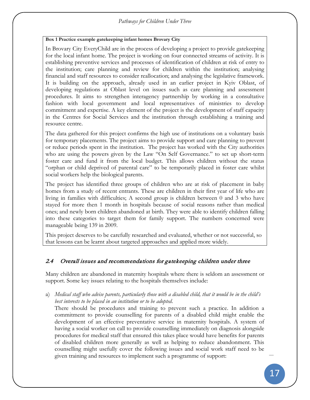## *Pathways for Children Under Three*

#### <span id="page-34-1"></span>**Box 1 Practice example gatekeeping infant homes Brovary City**

In Brovary City EveryChild are in the process of developing a project to provide gatekeeping for the local infant home. The project is working on four connected streams of activity. It is establishing preventive services and processes of identification of children at risk of entry to the institution; care planning and review for children within the institution; analysing financial and staff resources to consider reallocation; and analysing the legislative framework. It is building on the approach, already used in an earlier project in Kyiv Oblast, of developing regulations at Oblast level on issues such as care planning and assessment procedures. It aims to strengthen interagency partnership by working in a consultative fashion with local government and local representatives of ministries to develop commitment and expertise. A key element of the project is the development of staff capacity in the Centres for Social Services and the institution through establishing a training and resource centre.

The data gathered for this project confirms the high use of institutions on a voluntary basis for temporary placements. The project aims to provide support and care planning to prevent or reduce periods spent in the institution. The project has worked with the City authorities who are using the powers given by the Law "On Self Governance." to set up short-term foster care and fund it from the local budget. This allows children without the status "orphan or child deprived of parental care" to be temporarily placed in foster care whilst social workers help the biological parents.

The project has identified three groups of children who are at risk of placement in baby homes from a study of recent entrants. These are children in their first year of life who are living in families with difficulties; A second group is children between 0 and 3 who have stayed for more then 1 month in hospitals because of social reasons rather than medical ones; and newly born children abandoned at birth. They were able to identify children falling into these categories to target them for family support. The numbers concerned were manageable being 139 in 2009.

This project deserves to be carefully researched and evaluated, whether or not successful, so that lessons can be learnt about targeted approaches and applied more widely.

# <span id="page-34-0"></span>2.4 Overall issues and recommendations for gatekeeping children under three

Many children are abandoned in maternity hospitals where there is seldom an assessment or support. Some key issues relating to the hospitals themselves include:

a) *Medical staff who advise parents, particularly those with a disabled child, that it would be in the child's best interests to be placed in an institution or to be adopted*.

There should be procedures and training to prevent such a practice. In addition a commitment to provide counselling for parents of a disabled child might enable the development of an effective preventative service in maternity hospitals. A system of having a social worker on call to provide counselling immediately on diagnosis alongside procedures for medical staff that ensured this takes place would have benefits for parents of disabled children more generally as well as helping to reduce abandonment. This counselling might usefully cover the following issues and social work staff need to be given training and resources to implement such a programme of support: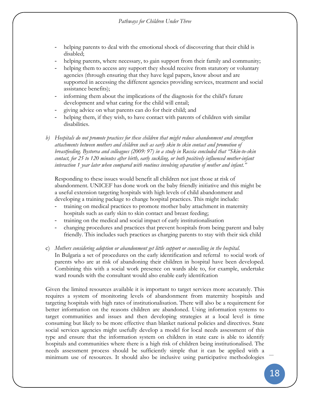- helping parents to deal with the emotional shock of discovering that their child is disabled;
- helping parents, where necessary, to gain support from their family and community;
- helping them to access any support they should receive from statutory or voluntary agencies (through ensuring that they have legal papers, know about and are supported in accessing the different agencies providing services, treatment and social assistance benefits);
- informing them about the implications of the diagnosis for the child's future development and what caring for the child will entail;
- giving advice on what parents can do for their child; and
- helping them, if they wish, to have contact with parents of children with similar disabilities.
- *b) Hospitals do not promote practices for these children that might reduce abandonment and strengthen attachments between mothers and children such as early skin to skin contact and promotion of breastfeeding. Bystorva and colleagues (2009: 97) in a study in Russia concluded that "Skin-to-skin contact, for 25 to 120 minutes after birth, early suckling, or both positively influenced mother-infant interaction 1 year later when compared with routines involving separation of mother and infant."*

Responding to these issues would benefit all children not just those at risk of abandonment. UNICEF has done work on the baby friendly initiative and this might be a useful extension targeting hospitals with high levels of child abandonment and developing a training package to change hospital practices. This might include:

- training on medical practices to promote mother baby attachment in maternity hospitals such as early skin to skin contact and breast feeding;
- training on the medical and social impact of early institutionalisation
- changing procedures and practices that prevent hospitals from being parent and baby friendly. This includes such practices as charging parents to stay with their sick child
- c) *Mothers considering adoption or abandonment get little support or counselling in the hospital*. In Bulgaria a set of procedures on the early identification and referral to social work of parents who are at risk of abandoning their children in hospital have been developed. Combining this with a social work presence on wards able to, for example, undertake ward rounds with the consultant would also enable early identifcation

Given the limited resources available it is important to target services more accurately. This requires a system of monitoring levels of abandonment from maternity hospitals and targeting hospitals with high rates of institutionalisation. There will also be a requirement for better information on the reasons children are abandoned. Using information systems to target communities and issues and then developing strategies at a local level is time consuming but likely to be more effective than blanket national policies and directives. State social services agencies might usefully develop a model for local needs assessment of this type and ensure that the information system on children in state care is able to identify hospitals and communities where there is a high risk of children being institutionalised. The needs assessment process should be sufficiently simple that it can be applied with a minimum use of resources. It should also be inclusive using participative methodologies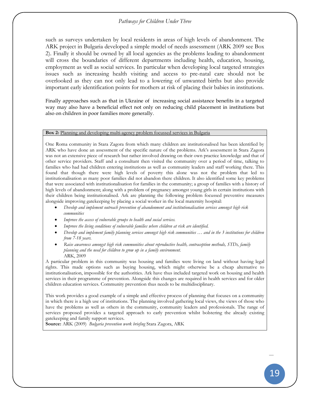#### *Pathways for Children Under Three*

such as surveys undertaken by local residents in areas of high levels of abandonment. The ARK project in Bulgaria developed a simple model of needs assessment (ARK 2009 see Box 2). Finally it should be owned by all local agencies as the problems leading to abandonment will cross the boundaries of different departments including health, education, housing, employment as well as social services. In particular when developing local targeted strategies issues such as increasing health visiting and access to pre-natal care should not be overlooked as they can not only lead to a lowering of unwanted births but also provide important early identification points for mothers at risk of placing their babies in institutions.

Finally approaches such as that in Ukraine of increasing social assistance benefits in a targeted way may also have a beneficial effect not only on reducing child placement in institutions but also on children in poor families more generally.

#### **Box 2:** Planning and developing multi-agency problem focussed services in Bulgaria

One Roma community in Stara Zagora from which many children are institutionalised has been identified by ARK who have done an assessment of the specific nature of the problems. Ark's assessment in Stara Zagora was not an extensive piece of research but rather involved drawing on their own practice knowledge and that of other service providers. Staff and a consultant then visited the community over a period of time, talking to families who had had children entering institutions as well as community leaders and staff working there. This found that though there were high levels of poverty this alone was not the problem that led to institutionalisation as many poor families did not abandon there children. It also identified some key problems that were associated with institutionalisation for families in the community; a group of families with a history of high levels of abandonment; along with a problem of pregnancy amongst young girls in certain institutions with their children being institutionalised. Ark are planning the following problem focussed preventive measures alongside improving gatekeeping by placing a social worker in the local maternity hospital:

- *Develop and implement outreach prevention of abandonment and institutionalisation services amongst high risk communities*
- *Improve the access of vulnerable groups to health and social services.*
- *Improve the living conditions of vulnerable families where children at risk are identified.*
- *Develop and implement family planning services amongst high risk communities … and in the 3 institutions for children from 7-18 years.*
- *Raise awareness amongst high risk communities about reproductive health, contraception methods, STDs, family planning and the need for children to grow up in a family environment.* ARK, 2009

A particular problem in this community was housing and families were living on land without having legal rights. This made options such as buying housing, which might otherwise be a cheap alternative to institutionalisation, impossible for the authorities. Ark have thus included targeted work on housing and health services in their programme of prevention. Alongside this changes are required in health services and for older children education services. Community prevention thus needs to be multidisciplinary.

This work provides a good example of a simple and effective process of planning that focuses on a community in which there is a high use of institutions. The planning involved gathering local views, the views of those who have the problems as well as others in the community, community leaders and professionals. The range of services proposed provides a targeted approach to early prevention whilst bolstering the already existing gatekeeping and family support services.

**Source:** ARK (2009) *Bulgaria prevention work briefing* Stara Zagora, ARK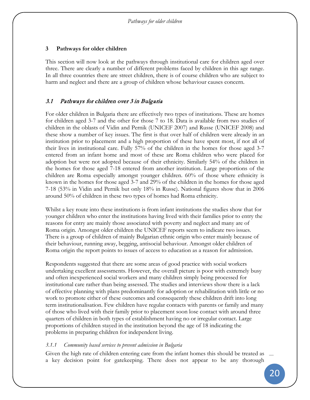This section will now look at the pathways through institutional care for children aged over three. There are clearly a number of different problems faced by children in this age range. In all three countries there are street children, there is of course children who are subject to harm and neglect and there are a group of children whose behaviour causes concern.

## 3.1 Pathways for children over 3 in Bulgaria

For older children in Bulgaria there are effectively two types of institutions. These are homes for children aged 3-7 and the other for those 7 to 18. Data is available from two studies of children in the oblasts of Vidin and Pernik (UNICEF 2007) and Russe (UNICEF 2008) and these show a number of key issues. The first is that over half of children were already in an institution prior to placement and a high proportion of these have spent most, if not all of their lives in institutional care. Fully 57% of the children in the homes for those aged 3-7 entered from an infant home and most of these are Roma children who were placed for adoption but were not adopted because of their ethnicity. Similarly 54% of the children in the homes for those aged 7-18 entered from another institution. Large proportions of the children are Roma especially amongst younger children. 60% of those where ethnicity is known in the homes for those aged 3-7 and 29% of the children in the homes for those aged 7-18 (53% in Vidin and Pernik but only 18% in Russe). National figures show that in 2006 around 50% of children in these two types of homes had Roma ethnicity.

Whilst a key route into these institutions is from infant institutions the studies show that for younger children who enter the institutions having lived with their families prior to entry the reasons for entry are mainly those associated with poverty and neglect and many are of Roma origin. Amongst older children the UNICEF reports seem to indicate two issues. There is a group of children of mainly Bulgarian ethnic origin who enter mainly because of their behaviour, running away, begging, antisocial behaviour. Amongst older children of Roma origin the report points to issues of access to education as a reason for admission.

Respondents suggested that there are some areas of good practice with social workers undertaking excellent assessments. However, the overall picture is poor with extremely busy and often inexperienced social workers and many children simply being processed for institutional care rather than being assessed. The studies and interviews show there is a lack of effective planning with plans predominantly for adoption or rehabilitation with little or no work to promote either of these outcomes and consequently these children drift into long term institutionalisation. Few children have regular contacts with parents or family and many of those who lived with their family prior to placement soon lose contact with around three quarters of children in both types of establishment having no or irregular contact. Large proportions of children stayed in the institution beyond the age of 18 indicating the problems in preparing children for independent living.

## *3.1.1 Community based services to prevent admission in Bulgaria*

Given the high rate of children entering care from the infant homes this should be treated as a key decision point for gatekeeping. There does not appear to be any thorough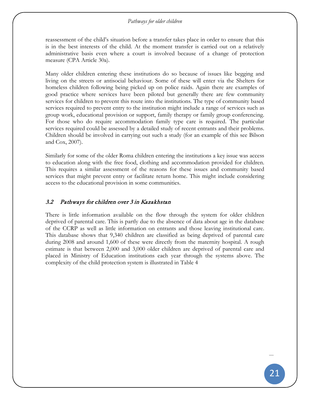reassessment of the child's situation before a transfer takes place in order to ensure that this is in the best interests of the child. At the moment transfer is carried out on a relatively administrative basis even where a court is involved because of a change of protection measure (CPA Article 30a).

Many older children entering these institutions do so because of issues like begging and living on the streets or antisocial behaviour. Some of these will enter via the Shelters for homeless children following being picked up on police raids. Again there are examples of good practice where services have been piloted but generally there are few community services for children to prevent this route into the institutions. The type of community based services required to prevent entry to the institution might include a range of services such as group work, educational provision or support, family therapy or family group conferencing. For those who do require accommodation family type care is required. The particular services required could be assessed by a detailed study of recent entrants and their problems. Children should be involved in carrying out such a study (for an example of this see Bilson and Cox, 2007).

Similarly for some of the older Roma children entering the institutions a key issue was access to education along with the free food, clothing and accommodation provided for children. This requires a similar assessment of the reasons for these issues and community based services that might prevent entry or facilitate return home. This might include considering access to the educational provision in some communities.

## 3.2 Pathways for children over 3 in Kazakhstan

There is little information available on the flow through the system for older children deprived of parental care. This is partly due to the absence of data about age in the database of the CCRP as well as little information on entrants and those leaving institutional care. This database shows that 9,340 children are classified as being deprived of parental care during 2008 and around 1,600 of these were directly from the maternity hospital. A rough estimate is that between 2,000 and 3,000 older children are deprived of parental care and placed in Ministry of Education institutions each year through the systems above. The complexity of the child protection system is illustrated in [Table 4](#page-39-0)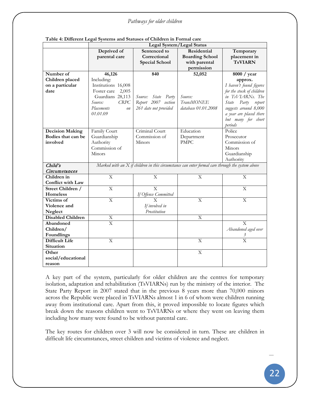|                          | Legal System/Legal Status |                                                                                                    |                        |                                 |  |
|--------------------------|---------------------------|----------------------------------------------------------------------------------------------------|------------------------|---------------------------------|--|
|                          | Deprived of               | Sentenced to                                                                                       | Residential            | Temporary                       |  |
|                          | parental care             | Correctional                                                                                       | <b>Boarding School</b> | placement in                    |  |
|                          |                           | <b>Special School</b>                                                                              | with parental          | <b>TsVIARN</b>                  |  |
|                          |                           |                                                                                                    | permission             |                                 |  |
| Number of                | 46,126                    | 840                                                                                                | 52,052                 | 8000 / year                     |  |
| Children placed          | Including:                |                                                                                                    |                        | approx.                         |  |
| on a particular          | Institutions 16,008       |                                                                                                    |                        | I haven't found figures         |  |
| date                     | 2,005<br>Foster care      |                                                                                                    |                        | for the stock of children       |  |
|                          | Guardians 28,113          | Source: State<br>Party                                                                             | Source:                | in TsVLARNs. The                |  |
|                          | Source:<br>CRPC           | Report 2007 section                                                                                | <b>TransMONEE</b>      | Party<br>report<br><i>State</i> |  |
|                          | Placements<br>on          | 261 date not provided                                                                              | database 01.01.2008    | suggests around 8,000           |  |
|                          | 01.01.09                  |                                                                                                    |                        | a year are placed there         |  |
|                          |                           |                                                                                                    |                        | but many for short              |  |
|                          |                           |                                                                                                    |                        | periods                         |  |
| <b>Decision Making</b>   | Family Court              | Criminal Court                                                                                     | Education              | Police                          |  |
| Bodies that can be       | Guardianship              | Commission of                                                                                      | Department             | Prosecutor                      |  |
| involved                 | Authority                 | Minors                                                                                             | <b>PMPC</b>            | Commission of                   |  |
|                          | Commission of             |                                                                                                    |                        | Minors                          |  |
|                          | Minors                    |                                                                                                    |                        | Guardianship                    |  |
|                          |                           |                                                                                                    |                        | Authority                       |  |
| Child's                  |                           | Marked with an $X$ if children in this circumstance can enter formal care through the system above |                        |                                 |  |
| Circumstances            |                           |                                                                                                    |                        |                                 |  |
| Children in              | X                         | X                                                                                                  | X                      | X                               |  |
| Conflict with Law        |                           |                                                                                                    |                        |                                 |  |
| Street Children /        | $\overline{\mathrm{X}}$   | $\overline{X}$                                                                                     |                        | X                               |  |
| Homeless                 |                           | If Offence Committed                                                                               |                        |                                 |  |
| Victims of               | $\overline{\mathrm{X}}$   | X                                                                                                  | $\overline{X}$         | $\overline{\mathrm{X}}$         |  |
| Violence and             |                           | If involved in                                                                                     |                        |                                 |  |
| Neglect                  |                           | Prostitution                                                                                       |                        |                                 |  |
| <b>Disabled Children</b> | $\mathbf X$               |                                                                                                    | $\mathbf X$            |                                 |  |
| Abandoned                | $\overline{\mathrm{X}}$   |                                                                                                    |                        | $\mathbf{X}$                    |  |
| Children/                |                           |                                                                                                    |                        | Abandoned aged over             |  |
| Foundlings               |                           |                                                                                                    |                        |                                 |  |
| <b>Difficult Life</b>    | X                         |                                                                                                    | X                      | $\overline{X}$                  |  |
| Situation                |                           |                                                                                                    |                        |                                 |  |
| Other                    |                           |                                                                                                    | X                      |                                 |  |
| social/educational       |                           |                                                                                                    |                        |                                 |  |
| reason                   |                           |                                                                                                    |                        |                                 |  |

#### <span id="page-39-0"></span>**Table 4: Different Legal Systems and Statuses of Children in Formal care**

A key part of the system, particularly for older children are the centres for temporary isolation, adaptation and rehabilitation (TsVIARNs) run by the ministry of the interior. The State Party Report in 2007 stated that in the previous 8 years more than 70,000 minors across the Republic were placed in TsVIARNs almost 1 in 6 of whom were children running away from institutional care. Apart from this, it proved impossible to locate figures which break down the reasons children went to TsVIARNs or where they went on leaving them including how many were found to be without parental care.

The key routes for children over 3 will now be considered in turn. These are children in difficult life circumstances, street children and victims of violence and neglect.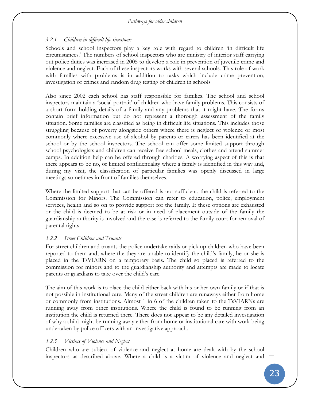## *3.2.1 Children in difficult life situations*

Schools and school inspectors play a key role with regard to children 'in difficult life circumstances.' The numbers of school inspectors who are ministry of interior staff carrying out police duties was increased in 2005 to develop a role in prevention of juvenile crime and violence and neglect. Each of these inspectors works with several schools. This role of work with families with problems is in addition to tasks which include crime prevention, investigation of crimes and random drug testing of children in schools

Also since 2002 each school has staff responsible for families. The school and school inspectors maintain a 'social portrait' of children who have family problems. This consists of a short form holding details of a family and any problems that it might have. The forms contain brief information but do not represent a thorough assessment of the family situation. Some families are classified as being in difficult life situations. This includes those struggling because of poverty alongside others where there is neglect or violence or most commonly where excessive use of alcohol by parents or carers has been identified at the school or by the school inspectors. The school can offer some limited support through school psychologists and children can receive free school meals, clothes and attend summer camps. In addition help can be offered through charities. A worrying aspect of this is that there appears to be no, or limited confidentiality where a family is identified in this way and, during my visit, the classification of particular families was openly discussed in large meetings sometimes in front of families themselves.

Where the limited support that can be offered is not sufficient, the child is referred to the Commission for Minors. The Commission can refer to education, police, employment services, health and so on to provide support for the family. If these options are exhausted or the child is deemed to be at risk or in need of placement outside of the family the guardianship authority is involved and the case is referred to the family court for removal of parental rights.

## *3.2.2 Street Children and Truants*

For street children and truants the police undertake raids or pick up children who have been reported to them and, where the they are unable to identify the child's family, he or she is placed in the TsVIARN on a temporary basis. The child so placed is referred to the commission for minors and to the guardianship authority and attempts are made to locate parents or guardians to take over the child's care.

The aim of this work is to place the child either back with his or her own family or if that is not possible in institutional care. Many of the street children are runaways either from home or commonly from institutions. Almost 1 in 6 of the children taken to the TsVIARNs are running away from other institutions. Where the child is found to be running from an institution the child is returned there. There does not appear to be any detailed investigation of why a child might be running away either from home or institutional care with work being undertaken by police officers with an investigative approach.

## *3.2.3 Victims of Violence and Neglect*

Children who are subject of violence and neglect at home are dealt with by the school inspectors as described above. Where a child is a victim of violence and neglect and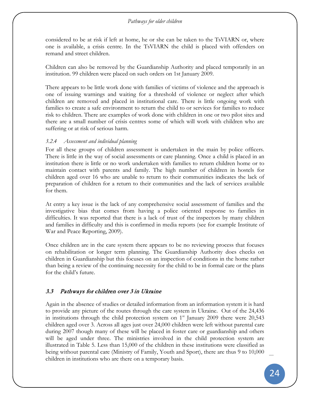considered to be at risk if left at home, he or she can be taken to the TsVIARN or, where one is available, a crisis centre. In the TsVIARN the child is placed with offenders on remand and street children.

Children can also be removed by the Guardianship Authority and placed temporarily in an institution. 99 children were placed on such orders on 1st January 2009.

There appears to be little work done with families of victims of violence and the approach is one of issuing warnings and waiting for a threshold of violence or neglect after which children are removed and placed in institutional care. There is little ongoing work with families to create a safe environment to return the child to or services for families to reduce risk to children. There are examples of work done with children in one or two pilot sites and there are a small number of crisis centres some of which will work with children who are suffering or at risk of serious harm.

## *3.2.4 Assessment and individual planning*

For all these groups of children assessment is undertaken in the main by police officers. There is little in the way of social assessments or care planning. Once a child is placed in an institution there is little or no work undertaken with families to return children home or to maintain contact with parents and family. The high number of children in hostels for children aged over 16 who are unable to return to their communities indicates the lack of preparation of children for a return to their communities and the lack of services available for them.

At entry a key issue is the lack of any comprehensive social assessment of families and the investigative bias that comes from having a police oriented response to families in difficulties. It was reported that there is a lack of trust of the inspectors by many children and families in difficulty and this is confirmed in media reports (see for example Institute of War and Peace Reporting, 2009).

Once children are in the care system there appears to be no reviewing process that focuses on rehabilitation or longer term planning. The Guardianship Authority does checks on children in Guardianship but this focuses on an inspection of conditions in the home rather than being a review of the continuing necessity for the child to be in formal care or the plans for the child's future.

# 3.3 Pathways for children over 3 in Ukraine

Again in the absence of studies or detailed information from an information system it is hard to provide any picture of the routes through the care system in Ukraine. Out of the 24,436 in institutions through the child protection system on  $1<sup>st</sup>$  January 2009 there were 20,543 children aged over 3. Across all ages just over 24,000 children were left without parental care during 2007 though many of these will be placed in foster care or guardianship and others will be aged under three. The ministries involved in the child protection system are illustrated in [Table 5.](#page-42-0) Less than 15,000 of the children in these institutions were classified as being without parental care (Ministry of Family, Youth and Sport), there are thus 9 to 10,000 children in institutions who are there on a temporary basis.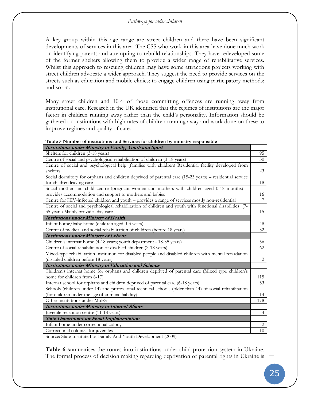A key group within this age range are street children and there have been significant developments of services in this area. The CSS who work in this area have done much work on identifying parents and attempting to rebuild relationships. They have redeveloped some of the former shelters allowing them to provide a wider range of rehabilitative services. Whilst this approach to rescuing children may have some attractions projects working with street children advocate a wider approach. They suggest the need to provide services on the streets such as education and mobile clinics; to engage children using participatory methods; and so on.

Many street children and 10% of those committing offences are running away from institutional care. Research in the UK identified that the regimes of institutions are the major factor in children running away rather than the child's personality. Information should be gathered on institutions with high rates of children running away and work done on these to improve regimes and quality of care.

<span id="page-42-0"></span>

| Table 5 Number of institutions and Services for children by ministry responsible                                                                       |  |
|--------------------------------------------------------------------------------------------------------------------------------------------------------|--|
| $L_{\rm{m}}$ , denote a second on $M_{\rm{m}}$ , $M_{\rm{m}}$ is true of $E$ , and $L_{\rm{m}}$ . We say that $L_{\rm{m}}$ is a second on $L_{\rm{m}}$ |  |

| Institutions under Ministry of Family, Youth and Sport                                                   |                |
|----------------------------------------------------------------------------------------------------------|----------------|
| Shelters for children (3-18 years)                                                                       | 95             |
| Centre of social and psychological rehabilitation of children (3-18 years)                               | 30             |
| Centre of social and psychological help (families with children) Residential facility developed from     |                |
| shelters                                                                                                 | 23             |
| Social dormitory for orphans and children deprived of parental care (15-23 years) – residential service  |                |
| for children leaving care                                                                                | 18             |
| Social mother and child centre (pregnant women and mothers with children aged 0-18 months) -             |                |
| provides accommodation and support to mothers and babies                                                 | 16             |
| Centre for HIV-infected children and youth - provides a range of services mostly non-residential         | 7              |
| Centre of social and psychological rehabilitation of children and youth with functional disabilities (7- |                |
| 35 years) Mainly provides day care                                                                       | 15             |
| Institutions under Ministry of Health                                                                    |                |
| Infant home/baby home (children aged 0-3 years)                                                          | 48             |
| Centre of medical and social rehabilitation of children (before 18 years)                                | 32             |
| Institutions under Ministry of Labour                                                                    |                |
| Children's internat home (4-18 years; youth department - 18-35 years)                                    | 56             |
| Centre of social rehabilitation of disabled children (2-18 years)                                        | 62             |
| Mixed-type rehabilitation institution for disabled people and disabled children with mental retardation  |                |
| (disabled children before 18 years)                                                                      | 2              |
| Institutions under Ministry of Education and Science                                                     |                |
| Children's internat home for orphans and children deprived of parental care (Mixed type children's       |                |
| home for children from 6-17)                                                                             | 115            |
| Internat school for orphans and children deprived of parental care (6-18 years)                          | 53             |
| Schools (children under 14) and professional-technical schools (older than 14) of social rehabilitation  |                |
| (for children under the age of criminal liability)                                                       | 14             |
| Other institutions under MoES                                                                            | 178            |
| Institutions under Ministry of Internal Affairs                                                          |                |
| Juvenile reception centre (11-18 years)                                                                  | $\overline{4}$ |
| <b>State Department for Penal Implementation</b>                                                         |                |
| Infant home under correctional colony                                                                    | 2              |
| Correctional colonies for juveniles                                                                      | 10             |

Source: State Institute For Family And Youth Development (2009)

**[Table 6](#page-44-0) s**ummarises the routes into institutions under child protection system in Ukraine. The formal process of decision making regarding deprivation of parental rights in Ukraine is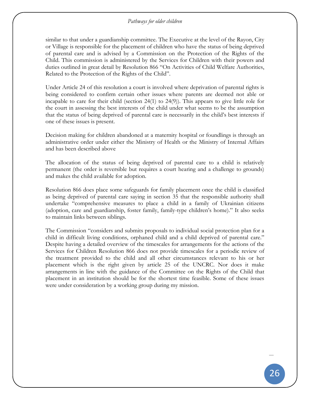similar to that under a guardianship committee. The Executive at the level of the Rayon, City or Village is responsible for the placement of children who have the status of being deprived of parental care and is advised by a Commission on the Protection of the Rights of the Child. This commission is administered by the Services for Children with their powers and duties outlined in great detail by Resolution 866 "On Activities of Child Welfare Authorities, Related to the Protection of the Rights of the Child".

Under Article 24 of this resolution a court is involved where deprivation of parental rights is being considered to confirm certain other issues where parents are deemed not able or incapable to care for their child (section 24(1) to 24(9)). This appears to give little role for the court in assessing the best interests of the child under what seems to be the assumption that the status of being deprived of parental care is necessarily in the child's best interests if one of these issues is present.

Decision making for children abandoned at a maternity hospital or foundlings is through an administrative order under either the Ministry of Health or the Ministry of Internal Affairs and has been described above

The allocation of the status of being deprived of parental care to a child is relatively permanent (the order is reversible but requires a court hearing and a challenge to grounds) and makes the child available for adoption.

Resolution 866 does place some safeguards for family placement once the child is classified as being deprived of parental care saying in section 35 that the responsible authority shall undertake "comprehensive measures to place a child in a family of Ukrainian citizens (adoption, care and guardianship, foster family, family-type children's home)." It also seeks to maintain links between siblings.

The Commission "considers and submits proposals to individual social protection plan for a child in difficult living conditions, orphaned child and a child deprived of parental care." Despite having a detailed overview of the timescales for arrangements for the actions of the Services for Children Resolution 866 does not provide timescales for a periodic review of the treatment provided to the child and all other circumstances relevant to his or her placement which is the right given by article 25 of the UNCRC. Nor does it make arrangements in line with the guidance of the Committee on the Rights of the Child that placement in an institution should be for the shortest time feasible. Some of these issues were under consideration by a working group during my mission.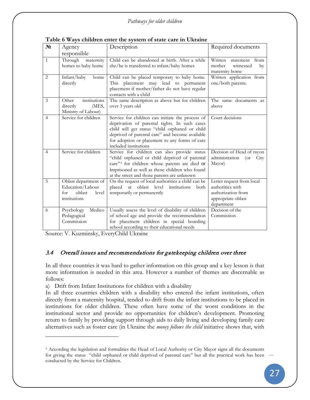| $N_2$          | Agency                                                                             | Description                                                                                                                                                                                                                                                                       | Required documents                                                                                      |
|----------------|------------------------------------------------------------------------------------|-----------------------------------------------------------------------------------------------------------------------------------------------------------------------------------------------------------------------------------------------------------------------------------|---------------------------------------------------------------------------------------------------------|
|                | responsible                                                                        |                                                                                                                                                                                                                                                                                   |                                                                                                         |
| $\mathbf{1}$   | Through<br>maternity<br>homes to baby home                                         | Child can be abandoned at birth. After a while<br>she/he is transferred to infant/baby homes                                                                                                                                                                                      | Written statement<br>from<br>mother<br>witnessed<br>by<br>maternity home                                |
| 2              | Infant/baby<br>home<br>directly                                                    | Child can be placed temporary to baby home.<br>This placement may lead to permanent<br>placement if mother/father do not have regular<br>contacts with a child                                                                                                                    | Written application from<br>one/both parents.                                                           |
| 3              | institutions<br>Other<br>directly<br>(MES,<br>Ministry of Labour)                  | The same description as above but for children<br>over 3 years old                                                                                                                                                                                                                | The same documents as<br>above                                                                          |
| $\overline{4}$ | Service for children                                                               | Service for children can initiate the process of<br>deprivation of parental rights. In such cases<br>child will get status "child orphaned or child<br>deprived of parental care" and become available<br>for adoption or placement to any forms of care<br>included institutions | Court decisions                                                                                         |
| $\overline{4}$ | Service for children                                                               | Service for children can also provide status<br>"child orphaned or child deprived of parental<br>care" <sup>3</sup> for children whose parents are died or<br>imprisoned as well as those children who found<br>at the street and those parents are unknown                       | Decision of Head of rayon<br>administration<br>City<br>$($ or<br>Mayor)                                 |
| 5              | Oblast department of<br>Education/Labour<br>oblast<br>level<br>for<br>institutions | On the request of local authorities a child can be<br>oblast level institutions<br>placed at<br>both<br>temporarily or permanently                                                                                                                                                | Letter request from local<br>authorities with<br>authorization from<br>appropriate oblast<br>department |
| 6              | Medico<br>Psychology<br>Pedagogical<br>Commission                                  | Usually assess the level of disability of children<br>of school age and provide the recommendation<br>for placement children in special boarding<br>school according to their educational needs                                                                                   | Decision of the<br>Commission                                                                           |

<span id="page-44-0"></span>**Table 6 Ways children enter the system of state care in Ukraine**

Source: V. Kuzminsky, EveryChild Ukraine

 $\overline{a}$ 

# 3.4 Overall issues and recommendations for gatekeeping children over three

In all three countries it was hard to gather information on this group and a key lesson is that more information is needed in this area. However a number of themes are discernable as follows:

a) Drift from Infant Institutions for children with a disability

In all three countries children with a disability who entered the infant institutions, often directly from a maternity hospital, tended to drift from the infant institutions to be placed in institutions for older children. These often have some of the worst conditions in the institutional sector and provide no opportunities for children's development. Promoting return to family by providing support through aids to daily living and developing family care alternatives such as foster care (in Ukraine the *money follows the child* initiative shows that, with

<span id="page-44-1"></span><sup>3</sup> According the legislation and formalities the Head of Local Authority or City Mayor signs all the documents for giving the status "child orphaned or child deprived of parental care" but all the practical work has been conducted by the Service for Children.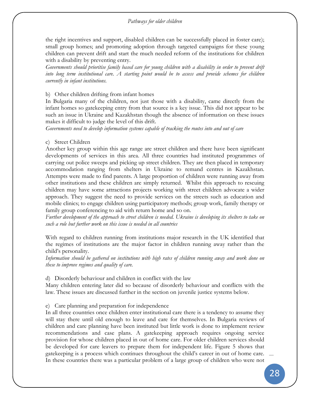the right incentives and support, disabled children can be successfully placed in foster care); small group homes; and promoting adoption through targeted campaigns for these young children can prevent drift and start the much needed reform of the institutions for children with a disability by preventing entry.

*Governments should prioritise family based care for young children with a disability in order to prevent drift into long term institutional care. A starting point would be to assess and provide schemes for children currently in infant institutions.*

### b) Other children drifting from infant homes

In Bulgaria many of the children, not just those with a disability, came directly from the infant homes so gatekeeping entry from that source is a key issue. This did not appear to be such an issue in Ukraine and Kazakhstan though the absence of information on these issues makes it difficult to judge the level of this drift.

*Governments need to develop information systems capable of tracking the routes into and out of care*

### c) Street Children

Another key group within this age range are street children and there have been significant developments of services in this area. All three countries had instituted programmes of carrying out police sweeps and picking up street children. They are then placed in temporary accommodation ranging from shelters in Ukraine to remand centres in Kazakhstan. Attempts were made to find parents. A large proportion of children were running away from other institutions and these children are simply returned. Whilst this approach to rescuing children may have some attractions projects working with street children advocate a wider approach. They suggest the need to provide services on the streets such as education and mobile clinics; to engage children using participatory methods; group work, family therapy or family group conferencing to aid with return home and so on.

*Further development of the approach to street children is needed. Ukraine is developing its shelters to take on such a role but further work on this issue is needed in all countries*

With regard to children running from institutions major research in the UK identified that the regimes of institutions are the major factor in children running away rather than the child's personality.

*Information should be gathered on institutions with high rates of children running away and work done on these to improve regimes and quality of care.*

d) Disorderly behaviour and children in conflict with the law

Many children entering later did so because of disorderly behaviour and conflicts with the law. These issues are discussed further in the section on juvenile justice systems below.

#### e) Care planning and preparation for independence

In all three countries once children enter institutional care there is a tendency to assume they will stay there until old enough to leave and care for themselves. In Bulgaria reviews of children and care planning have been instituted but little work is done to implement review recommendations and case plans. A gatekeeping approach requires ongoing service provision for whose children placed in out of home care. For older children services should be developed for care leavers to prepare them for independent life. Figure 5 shows that gatekeeping is a process which continues throughout the child's career in out of home care. In these countries there was a particular problem of a large group of children who were not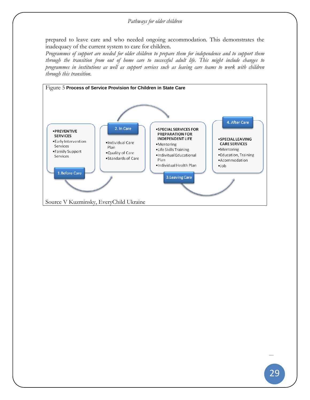prepared to leave care and who needed ongoing accommodation. This demonstrates the inadequacy of the current system to care for children.

Programmes of support are needed for older children to prepare them for independence and to support them *through the transition from out of home care to successful adult life. This might include changes to programmes in institutions as well as support services such as leaving care teams to work with children through this transition.*

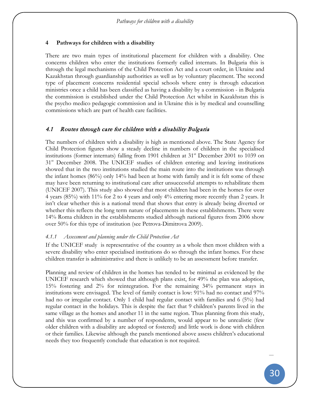## **4 Pathways for children with a disability**

There are two main types of institutional placement for children with a disability. One concerns children who enter the institutions formerly called internats. In Bulgaria this is through the legal mechanisms of the Child Protection Act and a court order, in Ukraine and Kazakhstan through guardianship authorities as well as by voluntary placement. The second type of placement concerns residential special schools where entry is through education ministries once a child has been classified as having a disability by a commission - in Bulgaria the commission is established under the Child Protection Act whilst in Kazakhstan this is the psycho medico pedagogic commission and in Ukraine this is by medical and counselling commissions which are part of health care facilities.

## 4.1 Routes through care for children with a disability Bulgaria

The numbers of children with a disability is high as mentioned above. The State Agency for Child Protection figures show a steady decline in numbers of children in the specialised institutions (former internats) falling from 1901 children at  $31<sup>st</sup>$  December 2001 to 1039 on  $31<sup>st</sup>$  December 2008. The UNICEF studies of children entering and leaving institutions showed that in the two institutions studied the main route into the institutions was through the infant homes (86%) only 14% had been at home with family and it is felt some of these may have been returning to institutional care after unsuccessful attempts to rehabilitate them (UNICEF 2007). This study also showed that most children had been in the homes for over 4 years (85%) with 11% for 2 to 4 years and only 4% entering more recently than 2 years. It isn't clear whether this is a national trend that shows that entry is already being diverted or whether this reflects the long term nature of placements in these establishments. There were 14% Roma children in the establishments studied although national figures from 2006 show over 50% for this type of institution (see Petrova-Dimitrova 2009).

## *4.1.1 Assessment and planning under the Child Protection Act*

If the UNICEF study is representative of the country as a whole then most children with a severe disability who enter specialised institutions do so through the infant homes. For these children transfer is administrative and there is unlikely to be an assessment before transfer.

Planning and review of children in the homes has tended to be minimal as evidenced by the UNICEF research which showed that although plans exist, for 49% the plan was adoption, 15% fostering and 2% for reintegration. For the remaining 34% permanent stays in institutions were envisaged. The level of family contact is low: 91% had no contact and 97% had no or irregular contact. Only 1 child had regular contact with families and 6 (5%) had regular contact in the holidays. This is despite the fact that 9 children's parents lived in the same village as the homes and another 11 in the same region. Thus planning from this study, and this was confirmed by a number of respondents, would appear to be unrealistic (few older children with a disability are adopted or fostered) and little work is done with children or their families. Likewise although the panels mentioned above assess children's educational needs they too frequently conclude that education is not required.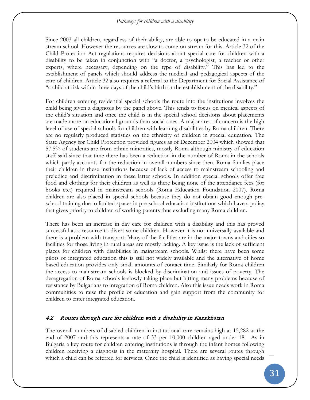### *Pathways for children with a disability*

Since 2003 all children, regardless of their ability, are able to opt to be educated in a main stream school. However the resources are slow to come on stream for this. Article 32 of the Child Protection Act regulations requires decisions about special care for children with a disability to be taken in conjunction with "a doctor, a psychologist, a teacher or other experts, where necessary, depending on the type of disability." This has led to the establishment of panels which should address the medical and pedagogical aspects of the care of children. Article 32 also requires a referral to the Department for Social Assistance of "a child at risk within three days of the child's birth or the establishment of the disability."

For children entering residential special schools the route into the institutions involves the child being given a diagnosis by the panel above. This tends to focus on medical aspects of the child's situation and once the child is in the special school decisions about placements are made more on educational grounds than social ones. A major area of concern is the high level of use of special schools for children with learning disabilities by Roma children. There are no regularly produced statistics on the ethnicity of children in special education. The State Agency for Child Protection provided figures as of December 2004 which showed that 57.5% of students are from ethnic minorities, mostly Roma although ministry of education staff said since that time there has been a reduction in the number of Roma in the schools which partly accounts for the reduction in overall numbers since then. Roma families place their children in these institutions because of lack of access to mainstream schooling and prejudice and discrimination in these latter schools. In addition special schools offer free food and clothing for their children as well as there being none of the attendance fees (for books etc.) required in mainstream schools (Roma Education Foundation 2007). Roma children are also placed in special schools because they do not obtain good enough preschool training due to limited spaces in pre-school education institutions which have a policy that gives priority to children of working parents thus excluding many Roma children.

There has been an increase in day care for children with a disability and this has proved successful as a resource to divert some children. However it is not universally available and there is a problem with transport. Many of the facilities are in the major towns and cities so facilities for those living in rural areas are mostly lacking. A key issue is the lack of sufficient places for children with disabilities in mainstream schools. Whilst there have been some pilots of integrated education this is still not widely available and the alternative of home based education provides only small amounts of contact time. Similarly for Roma children the access to mainstream schools is blocked by discrimination and issues of poverty. The desegregation of Roma schools is slowly taking place but hitting many problems because of resistance by Bulgarians to integration of Roma children. Also this issue needs work in Roma communities to raise the profile of education and gain support from the community for children to enter integrated education.

## 4.2 Routes through care for children with a disability in Kazakhstan

The overall numbers of disabled children in institutional care remains high at 15,282 at the end of 2007 and this represents a rate of 33 per 10,000 children aged under 18. As in Bulgaria a key route for children entering institutions is through the infant homes following children receiving a diagnosis in the maternity hospital. There are several routes through which a child can be referred for services. Once the child is identified as having special needs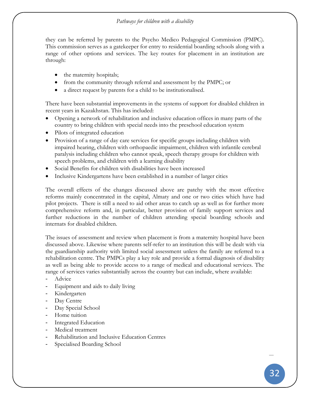they can be referred by parents to the Psycho Medico Pedagogical Commission (PMPC). This commission serves as a gatekeeper for entry to residential boarding schools along with a range of other options and services. The key routes for placement in an institution are through:

- the maternity hospitals;
- from the community through referral and assessment by the PMPC; or
- a direct request by parents for a child to be institutionalised.

There have been substantial improvements in the systems of support for disabled children in recent years in Kazakhstan. This has included:

- Opening a network of rehabilitation and inclusive education offices in many parts of the country to bring children with special needs into the preschool education system
- Pilots of integrated education
- Provision of a range of day care services for specific groups including children with impaired hearing, children with orthopaedic impairment, children with infantile cerebral paralysis including children who cannot speak, speech therapy groups for children with speech problems, and children with a learning disability
- Social Benefits for children with disabilities have been increased
- Inclusive Kindergartens have been established in a number of larger cities

The overall effects of the changes discussed above are patchy with the most effective reforms mainly concentrated in the capital, Almaty and one or two cities which have had pilot projects. There is still a need to aid other areas to catch up as well as for further more comprehensive reform and, in particular, better provision of family support services and further reductions in the number of children attending special boarding schools and internats for disabled children.

The issues of assessment and review when placement is from a maternity hospital have been discussed above. Likewise where parents self-refer to an institution this will be dealt with via the guardianship authority with limited social assessment unless the family are referred to a rehabilitation centre. The PMPCs play a key role and provide a formal diagnosis of disability as well as being able to provide access to a range of medical and educational services. The range of services varies substantially across the country but can include, where available:

- Advice
- Equipment and aids to daily living
- Kindergarten
- Day Centre
- Day Special School
- Home tuition
- Integrated Education
- Medical treatment
- Rehabilitation and Inclusive Education Centres
- Specialised Boarding School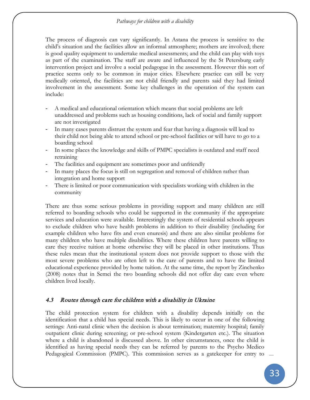### *Pathways for children with a disability*

The process of diagnosis can vary significantly. In Astana the process is sensitive to the child's situation and the facilities allow an informal atmosphere; mothers are involved; there is good quality equipment to undertake medical assessments; and the child can play with toys as part of the examination. The staff are aware and influenced by the St Petersburg early intervention project and involve a social pedagogue in the assessment. However this sort of practice seems only to be common in major cities. Elsewhere practice can still be very medically oriented, the facilities are not child friendly and parents said they had limited involvement in the assessment. Some key challenges in the operation of the system can include:

- A medical and educational orientation which means that social problems are left unaddressed and problems such as housing conditions, lack of social and family support are not investigated
- In many cases parents distrust the system and fear that having a diagnosis will lead to their child not being able to attend school or pre-school facilities or will have to go to a boarding school
- In some places the knowledge and skills of PMPC specialists is outdated and staff need retraining
- The facilities and equipment are sometimes poor and unfriendly
- In many places the focus is still on segregation and removal of children rather than integration and home support
- There is limited or poor communication with specialists working with children in the community

There are thus some serious problems in providing support and many children are still referred to boarding schools who could be supported in the community if the appropriate services and education were available. Interestingly the system of residential schools appears to exclude children who have health problems in addition to their disability (including for example children who have fits and even enuresis) and there are also similar problems for many children who have multiple disabilities. Where these children have parents willing to care they receive tuition at home otherwise they will be placed in other institutions. Thus these rules mean that the institutional system does not provide support to those with the most severe problems who are often left to the care of parents and to have the limited educational experience provided by home tuition. At the same time, the report by Zinchenko (2008) notes that in Semei the two boarding schools did not offer day care even where children lived locally.

## 4.3 Routes through care for children with a disability in Ukraine

The child protection system for children with a disability depends initially on the identification that a child has special needs. This is likely to occur in one of the following settings: Anti-natal clinic when the decision is about termination; maternity hospital; family outpatient clinic during screening; or pre-school system (Kindergarten etc.). The situation where a child is abandoned is discussed above. In other circumstances, once the child is identified as having special needs they can be referred by parents to the Psycho Medico Pedagogical Commission (PMPC). This commission serves as a gatekeeper for entry to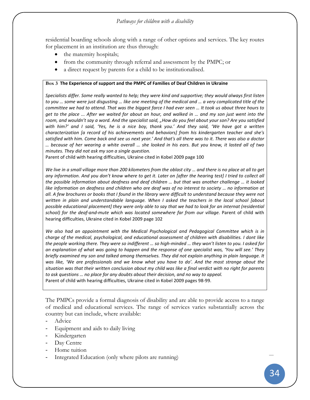residential boarding schools along with a range of other options and services. The key routes for placement in an institution are thus through:

- the maternity hospitals;
- from the community through referral and assessment by the PMPC; or
- a direct request by parents for a child to be institutionalised.

#### <span id="page-51-0"></span>**Box 3 The Experience of support and the PMPC of Families of Deaf Children in Ukraine**

*Specialists differ. Some really wanted to help; they were kind and supportive; they would always first listen to you … some were just disgusting … like one meeting of the medical and … a very complicated title of the committee we had to attend. That was the biggest farce I had ever seen … It took us about three hours to get to the place ... After we waited for about an hour, and walked in … and my son just went into the*  room, and wouldn't say a word. And the specialist said, "How do you feel about your son? Are you satisfied *with him?' and I said, 'Yes, he is a nice boy, thank you.' And they said, 'We have got a written characterization [a record of his achievements and behaviors] from his kindergarten teacher and she's satisfied with him. Come back and see us next year.' And that's all there was to it. There was also a doctor … because of her wearing a white overall … she looked in his ears. But you know, it lasted all of two minutes. They did not ask my son a single question.* 

Parent of child with hearing difficulties, Ukraine cited in Kobel 2009 page 100

*We live in a small village more than 200 kilometers from the oblast city ... and there is no place at all to get any information. And you don't know where to get it. Later on [after the hearing test] I tried to collect all the possible information about deafness and deaf children … but that was another challenge … it looked like information on deafness and children who are deaf was of no interest to society … no information at all. A few brochures or books that I found in the library were difficult to understand because they were not written in plain and understandable language. When I asked the teachers in the local school [about possible educational placement] they were only able to say that we had to look for an internat (residential*  school) for the deaf-and-mute which was located somewhere far from our village. Parent of child with hearing difficulties, Ukraine cited in Kobel 2009 page 102

*We also had an appointment with the Medical Psychological and Pedagogical Committee which is in charge of the medical, psychological, and educational assessment of children with disabilities. I dont like the people working there. They were so indifferent … so high-minded … they won't listen to you. I asked for an explanation of what was going to happen and the response of one specialist was, 'You will see.' They briefly examined my son and talked among themselves. They did not explain anything in plain language. It was like, 'We are professionals and we know what you have to do'. And the most strange about the situation was that their written conclusion about my child was like a final verdict with no right for parents to ask questions … no place for any doubts about their decision, and no way to appeal.* Parent of child with hearing difficulties, Ukraine cited in Kobel 2009 pages 98-99.

The PMPCs provide a formal diagnosis of disability and are able to provide access to a range of medical and educational services. The range of services varies substantially across the country but can include, where available:

- Advice
- Equipment and aids to daily living
- Kindergarten
- Day Centre
- Home tuition
- Integrated Education (only where pilots are running)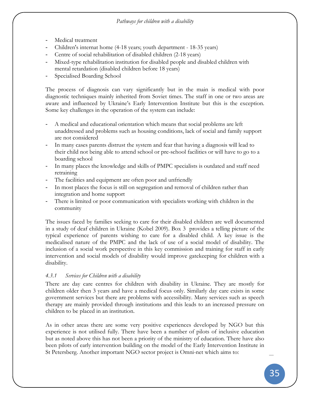- Medical treatment
- Children's internat home (4-18 years; youth department 18-35 years)
- Centre of social rehabilitation of disabled children (2-18 years)
- Mixed-type rehabilitation institution for disabled people and disabled children with mental retardation (disabled children before 18 years)
- Specialised Boarding School

The process of diagnosis can vary significantly but in the main is medical with poor diagnostic techniques mainly inherited from Soviet times. The staff in one or two areas are aware and influenced by Ukraine's Early Intervention Institute but this is the exception. Some key challenges in the operation of the system can include:

- A medical and educational orientation which means that social problems are left unaddressed and problems such as housing conditions, lack of social and family support are not considered
- In many cases parents distrust the system and fear that having a diagnosis will lead to their child not being able to attend school or pre-school facilities or will have to go to a boarding school
- In many places the knowledge and skills of PMPC specialists is outdated and staff need retraining
- The facilities and equipment are often poor and unfriendly
- In most places the focus is still on segregation and removal of children rather than integration and home support
- There is limited or poor communication with specialists working with children in the community

The issues faced by families seeking to care for their disabled children are well documented in a study of deaf children in Ukraine (Kobel 2009). [Box 3](#page-51-0) provides a telling picture of the typical experience of parents wishing to care for a disabled child. A key issue is the medicalised nature of the PMPC and the lack of use of a social model of disability. The inclusion of a social work perspective in this key commission and training for staff in early intervention and social models of disability would improve gatekeeping for children with a disability.

# *4.3.1 Services for Children with a disability*

There are day care centres for children with disability in Ukraine. They are mostly for children older then 3 years and have a medical focus only. Similarly day care exists in some government services but there are problems with accessibility. Many services such as speech therapy are mainly provided through institutions and this leads to an increased pressure on children to be placed in an institution.

As in other areas there are some very positive experiences developed by NGO but this experience is not utilised fully. There have been a number of pilots of inclusive education but as noted above this has not been a priority of the ministry of education. There have also been pilots of early intervention building on the model of the Early Intervention Institute in St Petersberg. Another important NGO sector project is Omni-net which aims to: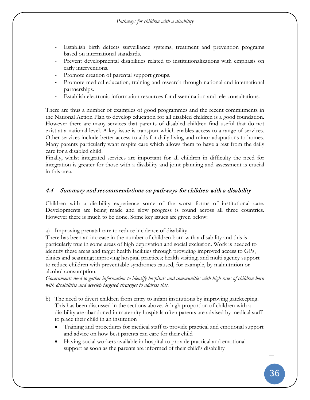- Establish birth defects surveillance systems, treatment and prevention programs based on international standards.
- Prevent developmental disabilities related to institutionalizations with emphasis on early interventions.
- Promote creation of parental support groups.
- Promote medical education, training and research through national and international partnerships.
- Establish electronic information resources for dissemination and tele-consultations.

There are thus a number of examples of good programmes and the recent commitments in the National Action Plan to develop education for all disabled children is a good foundation. However there are many services that parents of disabled children find useful that do not exist at a national level. A key issue is transport which enables access to a range of services. Other services include better access to aids for daily living and minor adaptations to homes. Many parents particularly want respite care which allows them to have a rest from the daily care for a disabled child.

Finally, whilst integrated services are important for all children in difficulty the need for integration is greater for those with a disability and joint planning and assessment is crucial in this area.

## 4.4 Summary and recommendations on pathways for children with a disability

Children with a disability experience some of the worst forms of institutional care. Developments are being made and slow progress is found across all three countries. However there is much to be done. Some key issues are given below:

a) Improving prenatal care to reduce incidence of disability

There has been an increase in the number of children born with a disability and this is particularly true in some areas of high deprivation and social exclusion. Work is needed to identify these areas and target health facilities through providing improved access to GPs, clinics and scanning; improving hospital practices; health visiting; and multi agency support to reduce children with preventable syndromes caused, for example, by malnutrition or alcohol consumption.

*Governments need to gather information to identify hospitals and communities with high rates of children born with disabilities and develop targeted strategies to address this.*

- b) The need to divert children from entry to infant institutions by improving gatekeeping. This has been discussed in the sections above. A high proportion of children with a disability are abandoned in maternity hospitals often parents are advised by medical staff to place their child in an institution
	- Training and procedures for medical staff to provide practical and emotional support and advice on how best parents can care for their child
	- Having social workers available in hospital to provide practical and emotional support as soon as the parents are informed of their child's disability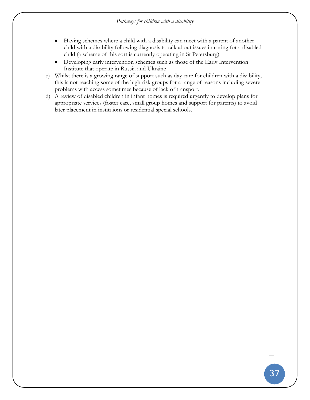- Having schemes where a child with a disability can meet with a parent of another child with a disability following diagnosis to talk about issues in caring for a disabled child (a scheme of this sort is currently operating in St Petersburg)
- Developing early intervention schemes such as those of the Early Intervention Institute that operate in Russia and Ukraine
- c) Whilst there is a growing range of support such as day care for children with a disability, this is not reaching some of the high risk groups for a range of reasons including severe problems with access sometimes because of lack of transport.
- d) A review of disabled children in infant homes is required urgently to develop plans for appropriate services (foster care, small group homes and support for parents) to avoid later placement in instituions or residential special schools.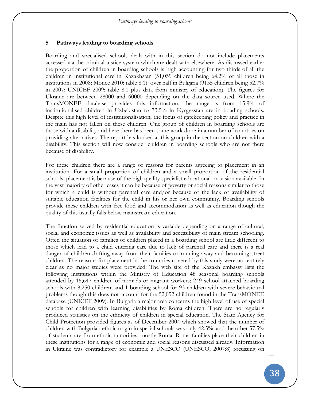### **5 Pathways leading to boarding schools**

Boarding and specialised schools dealt with in this section do not include placements accessed via the criminal justice system which are dealt with elsewhere. As discussed earlier the proportion of children in boarding schools is high accounting for two thirds of all the children in institutional care in Kazakhstan (51,059 children being 64.2% of all those in institutions in 2008; Monee 2010: table 8.1) over half in Bulgaria (9155 children being 52.7% in 2007; UNICEF 2009: table 8.1 plus data from ministry of education). The figures for Ukraine are between 28000 and 60000 depending on the data source used. Where the TransMONEE database provides this information, the range is from 15.9% of institutionalised children in Uzbekistan to 73.5% in Kyrgyzstan are in boading schools. Despite this high level of institutionalisation, the focus of gatekeeping policy and practice in the main has not fallen on these children. One group of children in boarding schools are those with a disability and here there has been some work done in a number of countries on providing alternatives. The report has looked at this group in the section on children with a disability. This section will now consider children in boarding schools who are not there because of disability.

For these children there are a range of reasons for parents agreeing to placement in an institution. For a small proportion of children and a small proportion of the residential schools, placement is because of the high quality specialist educational provision available. In the vast majority of other cases it can be because of poverty or social reasons similar to those for which a child is without parental care and/or because of the lack of availability of suitable education facilities for the child in his or her own community. Boarding schools provide these children with free food and accommodation as well as education though the quality of this usually falls below mainstream education.

The function served by residential education is variable depending on a range of cultural, social and economic issues as well as availability and accessibility of main stream schooling. Often the situation of families of children placed in a boarding school are little different to those which lead to a child entering care due to lack of parental care and there is a real danger of children drifting away from their families or running away and becoming street children. The reasons for placement in the countries covered by this study were not entirely clear as no major studies were provided. The web site of the Kazakh embassy lists the following institutions within the Ministry of Education 48 seasonal boarding schools attended by 15,647 children of nomads or migrant workers; 249 school-attached boarding schools with 8,250 children; and 1 boarding school for 93 children with severe behavioural problems though this does not account for the 52,052 children found in the TransMONEE database (UNICEF 2009). In Bulgaria a major area concerns the high level of use of special schools for children with learning disabilities by Roma children. There are no regularly produced statistics on the ethnicity of children in special education. The State Agency for Child Protection provided figures as of December 2004 which showed that the number of children with Bulgarian ethnic origin in special schools was only 42.5%, and the other 57.5% of students are from ethnic minorities, mostly Roma. Roma families place their children in these institutions for a range of economic and social reasons discussed already. Information in Ukraine was contradictory for example a UNESCO (UNESCO, 2007:8) focussing on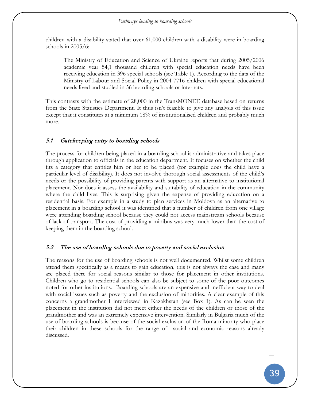children with a disability stated that over 61,000 children with a disability were in boarding schools in 2005/6:

The Ministry of Education and Science of Ukraine reports that during 2005/2006 academic year 54,1 thousand children with special education needs have been receiving education in 396 special schools (see Table 1). According to the data of the Ministry of Labour and Social Policy in 2004 7716 children with special educational needs lived and studied in 56 boarding schools or internats.

This contrasts with the estimate of 28,000 in the TransMONEE database based on returns from the State Statistics Department. It thus isn't feasible to give any analysis of this issue except that it constitutes at a minimum 18% of institutionalised children and probably much more.

## 5.1 Gatekeeping entry to boarding schools

The process for children being placed in a boarding school is administrative and takes place through application to officials in the education department. It focuses on whether the child fits a category that entitles him or her to be placed (for example does the child have a particular level of disability). It does not involve thorough social assessments of the child's needs or the possibility of providing parents with support as an alternative to institutional placement. Nor does it assess the availability and suitability of education in the community where the child lives. This is surprising given the expense of providing education on a residential basis. For example in a study to plan services in Moldova as an alternative to placement in a boarding school it was identified that a number of children from one village were attending boarding school because they could not access mainstream schools because of lack of transport. The cost of providing a minibus was very much lower than the cost of keeping them in the boarding school.

## 5.2 The use of boarding schools due to poverty and social exclusion

The reasons for the use of boarding schools is not well documented. Whilst some children attend them specifically as a means to gain education, this is not always the case and many are placed there for social reasons similar to those for placement in other institutions. Children who go to residential schools can also be subject to some of the poor outcomes noted for other institutions. Boarding schools are an expensive and inefficient way to deal with social issues such as poverty and the exclusion of minorities. A clear example of this concerns a grandmother I interviewed in Kazakhstan (see [Box 1\)](#page-34-0). As can be seen the placement in the institution did not meet either the needs of the children or those of the grandmother and was an extremely expensive intervention. Similarly in Bulgaria much of the use of boarding schools is because of the social exclusion of the Roma minority who place their children in these schools for the range of social and economic reasons already discussed.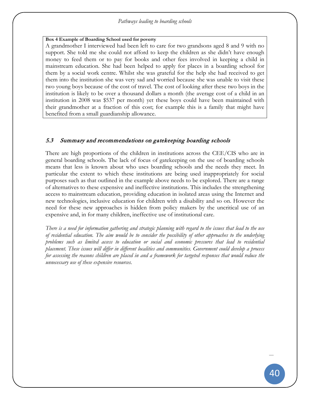### **Box 4 Example of Boarding School used for poverty**

A grandmother I interviewed had been left to care for two grandsons aged 8 and 9 with no support. She told me she could not afford to keep the children as she didn't have enough money to feed them or to pay for books and other fees involved in keeping a child in mainstream education. She had been helped to apply for places in a boarding school for them by a social work centre. Whilst she was grateful for the help she had received to get them into the institution she was very sad and worried because she was unable to visit these two young boys because of the cost of travel. The cost of looking after these two boys in the institution is likely to be over a thousand dollars a month (the average cost of a child in an institution in 2008 was \$537 per month) yet these boys could have been maintained with their grandmother at a fraction of this cost; for example this is a family that might have benefited from a small guardianship allowance.

## 5.3 Summary and recommendations on gatekeeping boarding schools

There are high proportions of the children in institutions across the CEE/CIS who are in general boarding schools. The lack of focus of gatekeeping on the use of boarding schools means that less is known about who uses boarding schools and the needs they meet. In particular the extent to which these institutions are being used inappropriately for social purposes such as that outlined in the example above needs to be explored. There are a range of alternatives to these expensive and ineffective institutions. This includes the strengthening access to mainstream education, providing education in isolated areas using the Internet and new technologies, inclusive education for children with a disability and so on. However the need for these new approaches is hidden from policy makers by the uncritical use of an expensive and, in for many children, ineffective use of institutional care.

*There is a need for information gathering and strategic planning with regard to the issues that lead to the use of residential education. The aim would be to consider the possibility of other approaches to the underlying problems such as limited access to education or social and economic pressures that lead to residential placement. These issues will differ in different localities and communities. Government could develop a process for assessing the reasons children are placed in and a framework for targeted responses that would reduce the unnecessary use of these expensive resources.*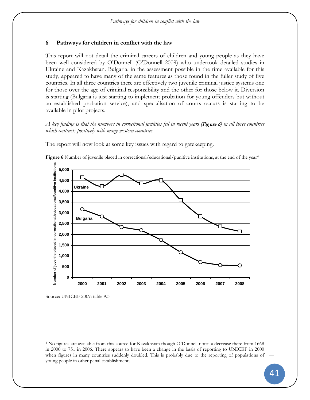## **6 Pathways for children in conflict with the law**

This report will not detail the criminal careers of children and young people as they have been well considered by O'Donnell (O'Donnell 2009) who undertook detailed studies in Ukraine and Kazakhstan. Bulgaria, in the assessment possible in the time available for this study, appeared to have many of the same features as those found in the fuller study of five countries. In all three countries there are effectively two juvenile criminal justice systems one for those over the age of criminal responsibility and the other for those below it. Diversion is starting (Bulgaria is just starting to implement probation for young offenders but without an established probation service), and specialisation of courts occurs is starting to be available in pilot projects.

### *A key finding is that the numbers in correctional facilities fell in recent years (*[Figure 6](#page-58-0)*) in all three countries which contrasts positively with many western countries.*

The report will now look at some key issues with regard to gatekeeping.



<span id="page-58-0"></span>**Figure 6** Number of juvenile placed in correctional/educational/punitive institutions, at the end of the year<sup>[4](#page-58-1)</sup>

 $\overline{a}$ 

Source: UNICEF 2009: table 9.3

<span id="page-58-1"></span><sup>4</sup> No figures are available from this source for Kazakhstan though O'Donnell notes a decrease there from 1668 in 2000 to 751 in 2006. There appears to have been a change in the basis of reporting to UNICEF in 2000 when figures in many countries suddenly doubled. This is probably due to the reporting of populations of young people in other penal establishments.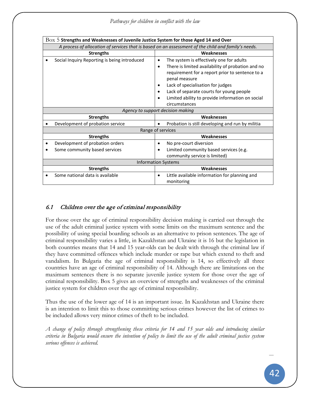| $\rm Box~5$ Strengths and Weaknesses of Juvenile Justice System for those Aged 14 and Over          |                                                                                                                                                                                                                                                                                                                                           |  |  |
|-----------------------------------------------------------------------------------------------------|-------------------------------------------------------------------------------------------------------------------------------------------------------------------------------------------------------------------------------------------------------------------------------------------------------------------------------------------|--|--|
| A process of allocation of services that is based on an assessment of the child and family's needs. |                                                                                                                                                                                                                                                                                                                                           |  |  |
| <b>Strengths</b>                                                                                    | Weaknesses                                                                                                                                                                                                                                                                                                                                |  |  |
| Social Inquiry Reporting is being introduced                                                        | The system is effectively one for adults<br>$\bullet$<br>There is limited availability of probation and no<br>٠<br>requirement for a report prior to sentence to a<br>penal measure<br>Lack of specialisation for judges<br>Lack of separate courts for young people<br>Limited ability to provide information on social<br>circumstances |  |  |
| Agency to support decision making                                                                   |                                                                                                                                                                                                                                                                                                                                           |  |  |
| <b>Strengths</b>                                                                                    | Weaknesses                                                                                                                                                                                                                                                                                                                                |  |  |
| Development of probation service                                                                    | Probation is still developing and run by militia<br>$\bullet$                                                                                                                                                                                                                                                                             |  |  |
| Range of services                                                                                   |                                                                                                                                                                                                                                                                                                                                           |  |  |
| <b>Strengths</b>                                                                                    | Weaknesses                                                                                                                                                                                                                                                                                                                                |  |  |
| Development of probation orders<br>Some community based services                                    | No pre-court diversion<br>$\bullet$<br>Limited community based services (e.g.<br>$\bullet$<br>community service is limited)                                                                                                                                                                                                               |  |  |
| <b>Information Systems</b>                                                                          |                                                                                                                                                                                                                                                                                                                                           |  |  |
| <b>Strengths</b>                                                                                    | Weaknesses                                                                                                                                                                                                                                                                                                                                |  |  |
| Some national data is available                                                                     | Little available information for planning and<br>monitoring                                                                                                                                                                                                                                                                               |  |  |

# 6.1 Children over the age of criminal responsibility

For those over the age of criminal responsibility decision making is carried out through the use of the adult criminal justice system with some limits on the maximum sentence and the possibility of using special boarding schools as an alternative to prison sentences. The age of criminal responsibility varies a little, in Kazakhstan and Ukraine it is 16 but the legislation in both countries means that 14 and 15 year-olds can be dealt with through the criminal law if they have committed offences which include murder or rape but which extend to theft and vandalism. In Bulgaria the age of criminal responsibility is 14, so effectively all three countries have an age of criminal responsibility of 14. Although there are limitations on the maximum sentences there is no separate juvenile justice system for those over the age of criminal responsibility. Box 5 gives an overview of strengths and weaknesses of the criminal justice system for children over the age of criminal responsibility.

Thus the use of the lower age of 14 is an important issue. In Kazakhstan and Ukraine there is an intention to limit this to those committing serious crimes however the list of crimes to be included allows very minor crimes of theft to be included.

*A change of policy through strengthening these criteria for 14 and 15 year olds and introducing similar criteria in Bulgaria would ensure the intention of policy to limit the use of the adult criminal justice system serious offences is achieved.*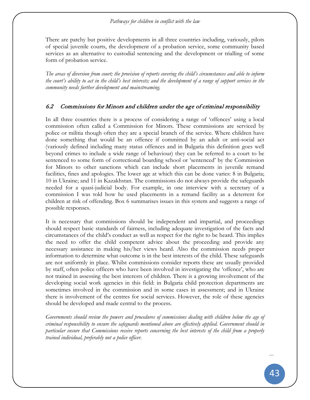#### *Pathways for children in conflict with the law*

There are patchy but positive developments in all three countries including, variously, pilots of special juvenile courts, the development of a probation service, some community based services as an alternative to custodial sentencing and the development or trialling of some form of probation service.

*The areas of diversion from court; the provision of reports covering the child's circumstances and able to inform the court's ability to act in the child's best interests; and the development of a range of support services in the community needs further development and mainstreaming.* 

## 6.2 Commissions for Minors and children under the age of criminal responsibility

In all three countries there is a process of considering a range of 'offences' using a local commission often called a Commission for Minors. These commissions are serviced by police or militia though often they are a special branch of the service. Where children have done something that would be an offence if committed by an adult or anti-social act (variously defined including many status offences and in Bulgaria this definition goes well beyond crimes to include a wide range of behaviour) they can be referred to a court to be sentenced to some form of correctional boarding school or 'sentenced' by the Commission for Minors to other sanctions which can include short placements in juvenile remand facilities, fines and apologies. The lower age at which this can be done varies: 8 in Bulgaria; 10 in Ukraine; and 11 in Kazakhstan. The commissions do not always provide the safeguards needed for a quasi-judicial body. For example, in one interview with a secretary of a commission I was told how he used placements in a remand facility as a deterrent for children at risk of offending. Box 6 summarises issues in this system and suggests a range of possible responses.

It is necessary that commissions should be independent and impartial, and proceedings should respect basic standards of fairness, including adequate investigation of the facts and circumstances of the child's conduct as well as respect for the right to be heard. This implies the need to offer the child competent advice about the proceeding and provide any necessary assistance in making his/her views heard. Also the commission needs proper information to determine what outcome is in the best interests of the child. These safeguards are not uniformly in place. Whilst commissions consider reports these are usually provided by staff, often police officers who have been involved in investigating the 'offence', who are not trained in assessing the best interests of children. There is a growing involvement of the developing social work agencies in this field: in Bulgaria child protection departments are sometimes involved in the commission and in some cases in assessment; and in Ukraine there is involvement of the centres for social services. However, the role of these agencies should be developed and made central to the process.

*Governments should review the powers and procedures of commissions dealing with children below the age of criminal responsibility to ensure the safeguards mentioned above are effectively applied. Government should in particular ensure that Commissions receive reports concerning the best interests of the child from a properly trained individual, preferably not a police officer.*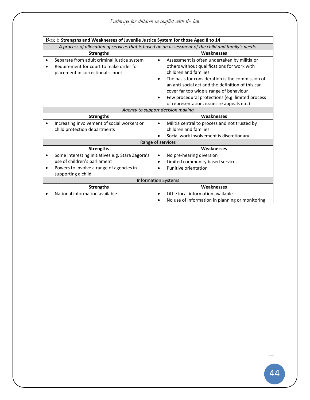| $\rm Box$ $6$ Strengths and Weaknesses of Juvenile Justice System for those Aged 8 to 14 |                                                                                                     |                                                               |  |  |  |
|------------------------------------------------------------------------------------------|-----------------------------------------------------------------------------------------------------|---------------------------------------------------------------|--|--|--|
|                                                                                          | A process of allocation of services that is based on an assessment of the child and family's needs. |                                                               |  |  |  |
|                                                                                          | <b>Strengths</b>                                                                                    | <b>Weaknesses</b>                                             |  |  |  |
|                                                                                          | Separate from adult criminal justice system                                                         | Assessment is often undertaken by militia or<br>$\bullet$     |  |  |  |
|                                                                                          | Requirement for court to make order for                                                             | others without qualifications for work with                   |  |  |  |
|                                                                                          | placement in correctional school                                                                    | children and families                                         |  |  |  |
|                                                                                          |                                                                                                     | The basis for consideration is the commission of<br>$\bullet$ |  |  |  |
|                                                                                          |                                                                                                     | an anti-social act and the definition of this can             |  |  |  |
|                                                                                          |                                                                                                     | cover far too wide a range of behaviour                       |  |  |  |
|                                                                                          |                                                                                                     | Few procedural protections (e.g. limited process<br>$\bullet$ |  |  |  |
|                                                                                          |                                                                                                     | of representation, issues re appeals etc.)                    |  |  |  |
|                                                                                          | Agency to support decision making                                                                   |                                                               |  |  |  |
|                                                                                          | <b>Strengths</b>                                                                                    | Weaknesses                                                    |  |  |  |
|                                                                                          | Increasing involvement of social workers or                                                         | Militia central to process and not trusted by<br>$\bullet$    |  |  |  |
|                                                                                          | child protection departments                                                                        | children and families                                         |  |  |  |
|                                                                                          |                                                                                                     | Social work involvement is discretionary                      |  |  |  |
|                                                                                          | Range of services                                                                                   |                                                               |  |  |  |
|                                                                                          | <b>Strengths</b>                                                                                    | Weaknesses                                                    |  |  |  |
|                                                                                          | Some interesting initiatives e.g. Stara Zagora's                                                    | No pre-hearing diversion<br>٠                                 |  |  |  |
|                                                                                          | use of children's parliament                                                                        | Limited community based services<br>$\bullet$                 |  |  |  |
|                                                                                          | Powers to involve a range of agencies in                                                            | Punitive orientation<br>$\bullet$                             |  |  |  |
|                                                                                          | supporting a child                                                                                  |                                                               |  |  |  |
|                                                                                          |                                                                                                     | <b>Information Systems</b>                                    |  |  |  |
|                                                                                          | <b>Strengths</b>                                                                                    | Weaknesses                                                    |  |  |  |
|                                                                                          | National information available                                                                      | Little local information available<br>$\bullet$               |  |  |  |
|                                                                                          |                                                                                                     | No use of information in planning or monitoring               |  |  |  |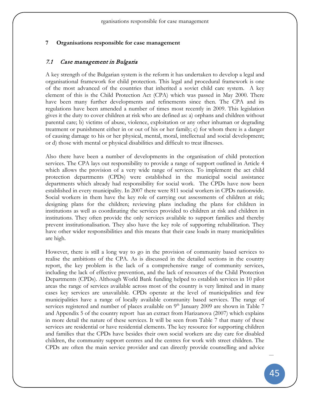#### **7 Organisations responsible for case management**

#### 7.1 Case management in Bulgaria

A key strength of the Bulgarian system is the reform it has undertaken to develop a legal and organisational framework for child protection. This legal and procedural framework is one of the most advanced of the countries that inherited a soviet child care system. A key element of this is the Child Protection Act (CPA) which was passed in May 2000. There have been many further developments and refinements since then. The CPA and its regulations have been amended a number of times most recently in 2009. This legislation gives it the duty to cover children at risk who are defined as: a) orphans and children without parental care; b) victims of abuse, violence, exploitation or any other inhuman or degrading treatment or punishment either in or out of his or her family; c) for whom there is a danger of causing damage to his or her physical, mental, moral, intellectual and social development; or d) those with mental or physical disabilities and difficult to treat illnesses.

Also there have been a number of developments in the organisation of child protection services. The CPA lays out responsibility to provide a range of support outlined in Article 4 which allows the provision of a very wide range of services. To implement the act child protection departments (CPDs) were established in the municipal social assistance departments which already had responsibility for social work. The CPDs have now been established in every municipality. In 2007 there were 811 social workers in CPDs nationwide. Social workers in them have the key role of carrying out assessments of children at risk; designing plans for the children; reviewing plans including the plans for children in institutions as well as coordinating the services provided to children at risk and children in institutions. They often provide the only services available to support families and thereby prevent institutionalisation. They also have the key role of supporting rehabilitation. They have other wider responsibilities and this means that their case loads in many municipalities are high.

However, there is still a long way to go in the provision of community based services to realise the ambitions of the CPA. As is discussed in the detailed sections in the country report, the key problem is the lack of a comprehensive range of community services, including the lack of effective prevention, and the lack of resources of the Child Protection Departments (CPDs). Although World Bank funding helped to establish services in 10 pilot areas the range of services available across most of the country is very limited and in many cases key services are unavailable. CPDs operate at the level of municipalities and few municipalities have a range of locally available community based services. The range of services registered and number of places available on 9<sup>th</sup> January 2009 are shown in [Table 7](#page-63-0) and Appendix 5 of the country report has an extract from Harizanova (2007) which explains in more detail the nature of these services. It will be seen from [Table 7](#page-63-0) that many of these services are residential or have residential elements. The key resource for supporting children and families that the CPDs have besides their own social workers are day care for disabled children, the community support centres and the centres for work with street children. The CPDs are often the main service provider and can directly provide counselling and advice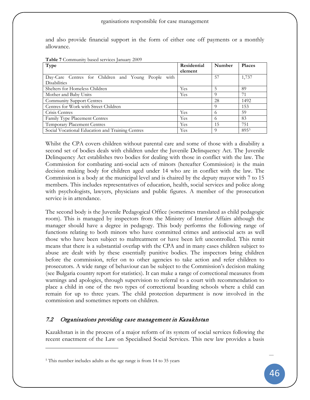#### rganisations responsible for case management

and also provide financial support in the form of either one off payments or a monthly allowance.

<span id="page-63-0"></span>**Table 7** Community based services January 2009

| <b>Type</b>                                         | Residential | Number   | <b>Places</b> |
|-----------------------------------------------------|-------------|----------|---------------|
|                                                     | element     |          |               |
| Day-Care Centres for Children and Young People with |             | 57       | 1,737         |
| <b>Disabilities</b>                                 |             |          |               |
| Shelters for Homeless Children                      | Yes         | 5        | 89            |
| Mother and Baby Units                               | Yes         | $\Omega$ | 71            |
| Community Support Centres                           |             | 28       | 1492          |
| Centres for Work with Street Children               |             | $\Omega$ | 153           |
| Crisis Centres                                      | Yes         | 6        | 59            |
| Family Type Placement Centres                       | Yes         | 6        | 83            |
| <b>Temporary Placement Centres</b>                  | Yes         | 15       | 751           |
| Social Vocational Education and Training Centres    | Yes         | 9        | 8955          |

Whilst the CPA covers children without parental care and some of those with a disability a second set of bodies deals with children under the Juvenile Delinquency Act. The Juvenile Delinquency Act establishes two bodies for dealing with those in conflict with the law. The Commission for combating anti-social acts of minors (hereafter Commission) is the main decision making body for children aged under 14 who are in conflict with the law. The Commission is a body at the municipal level and is chaired by the deputy mayor with 7 to 15 members. This includes representatives of education, health, social services and police along with psychologists, lawyers, physicians and public figures. A member of the prosecution service is in attendance.

The second body is the Juvenile Pedagogical Office (sometimes translated as child pedagogic room). This is managed by inspectors from the Ministry of Interior Affairs although the manager should have a degree in pedagogy. This body performs the following range of functions relating to both minors who have committed crimes and antisocial acts as well those who have been subject to maltreatment or have been left uncontrolled. This remit means that there is a substantial overlap with the CPA and in many cases children subject to abuse are dealt with by these essentially punitive bodies. The inspectors bring children before the commission, refer on to other agencies to take action and refer children to prosecutors. A wide range of behaviour can be subject to the Commission's decision making (see Bulgaria country report for statistics). It can make a range of correctional measures from warnings and apologies, through supervision to referral to a court with recommendation to place a child in one of the two types of correctional boarding schools where a child can remain for up to three years. The child protection department is now involved in the commission and sometimes reports on children.

## 7.2 Organisations providing case management in Kazakhstan

Kazakhstan is in the process of a major reform of its system of social services following the recent enactment of the Law on Specialised Social Services. This new law provides a basis

 $\overline{a}$ 

<span id="page-63-1"></span><sup>5</sup> This number includes adults as the age range is from 14 to 35 years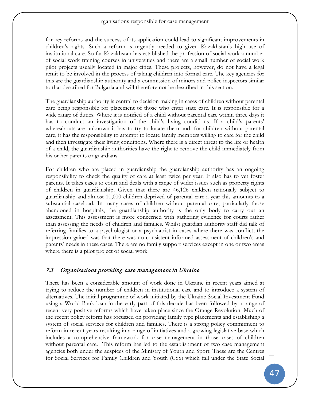for key reforms and the success of its application could lead to significant improvements in children's rights. Such a reform is urgently needed to given Kazakhstan's high use of institutional care. So far Kazakhstan has established the profession of social work a number of social work training courses in universities and there are a small number of social work pilot projects usually located in major cities. These projects, however, do not have a legal remit to be involved in the process of taking children into formal care. The key agencies for this are the guardianship authority and a commission of minors and police inspectors similar to that described for Bulgaria and will therefore not be described in this section.

The guardianship authority is central to decision making in cases of children without parental care being responsible for placement of those who enter state care. It is responsible for a wide range of duties. Where it is notified of a child without parental care within three days it has to conduct an investigation of the child's living conditions. If a child's parents' whereabouts are unknown it has to try to locate them and, for children without parental care, it has the responsibility to attempt to locate family members willing to care for the child and then investigate their living conditions. Where there is a direct threat to the life or health of a child, the guardianship authorities have the right to remove the child immediately from his or her parents or guardians.

For children who are placed in guardianship the guardianship authority has an ongoing responsibility to check the quality of care at least twice per year. It also has to vet foster parents. It takes cases to court and deals with a range of wider issues such as property rights of children in guardianship. Given that there are 46,126 children nationally subject to guardianship and almost 10,000 children deprived of parental care a year this amounts to a substantial caseload. In many cases of children without parental care, particularly those abandoned in hospitals, the guardianship authority is the only body to carry out an assessment. This assessment is more concerned with gathering evidence for courts rather than assessing the needs of children and families. Whilst guardian authority staff did talk of referring families to a psychologist or a psychiatrist in cases where there was conflict, the impression gained was that there was no consistent informed assessment of children's and parents' needs in these cases. There are no family support services except in one or two areas where there is a pilot project of social work.

## 7.3 Organisations providing case management in Ukraine

There has been a considerable amount of work done in Ukraine in recent years aimed at trying to reduce the number of children in institutional care and to introduce a system of alternatives. The initial programme of work initiated by the Ukraine Social Investment Fund using a World Bank loan in the early part of this decade has been followed by a range of recent very positive reforms which have taken place since the Orange Revolution. Much of the recent policy reform has focussed on providing family type placements and establishing a system of social services for children and families. There is a strong policy commitment to reform in recent years resulting in a range of initiatives and a growing legislative base which includes a comprehensive framework for case management in those cases of children without parental care. This reform has led to the establishment of two case management agencies both under the auspices of the Ministry of Youth and Sport. These are the Centres for Social Services for Family Children and Youth (CSS) which fall under the State Social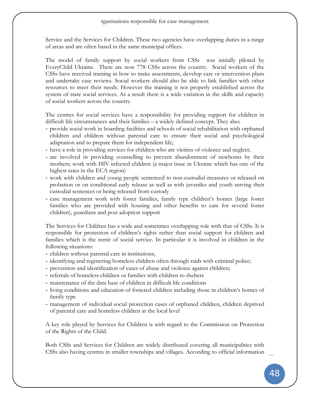#### rganisations responsible for case management

Service and the Services for Children. These two agencies have overlapping duties in a range of areas and are often based in the same municipal offices.

The model of family support by social workers from CSSs was initially piloted by EveryChild Ukraine. There are now 778 CSSs across the country. Social workers of the CSSs have received training in how to make assessments, develop care or intervention plans and undertake case reviews. Social workers should also be able to link families with other resources to meet their needs. However the training is not properly established across the system of state social services. As a result there is a wide variation in the skills and capacity of social workers across the country.

The centres for social services have a responsibility for providing support for children in difficult life circumstances and their families – a widely defined concept. They also:

- provide social work in boarding facilities and schools of social rehabilitation with orphaned children and children without parental care to ensure their social and psychological adaptation and to prepare them for independent life;
- have a role in providing services for children who are victims of violence and neglect;
- are involved in providing counselling to prevent abandonment of newborns by their mothers; work with HIV infected children (a major issue in Ukraine which has one of the highest rates in the ECA region)
- work with children and young people sentenced to non-custodial measures or released on probation or on conditional early release as well as with juveniles and youth serving their custodial sentences or being released from custody
- case management work with foster families, family type children's homes (large foster families who are provided with housing and other benefits to care for several foster children), guardians and post adoption support

The Services for Children has a wide and sometimes overlapping role with that of CSSs. It is responsible for protection of children's rights rather than social support for children and families which is the remit of social service. In particular it is involved in children in the following situations:

- children without parental care in institutions;
- identifying and registering homeless children often through raids with criminal police;
- prevention and identification of cases of abuse and violence against children;
- referrals of homeless children or families with children to shelters
- maintenance of the data base of children in difficult life conditions
- living conditions and education of fostered children including those in children's homes of family type
- management of individual social protection cases of orphaned children, children deprived of parental care and homeless children at the local level

A key role played by Services for Children is with regard to the Commission on Protection of the Rights of the Child.

Both CSSs and Services for Children are widely distributed covering all municipalities with CSSs also having centres in smaller townships and villages. According to official information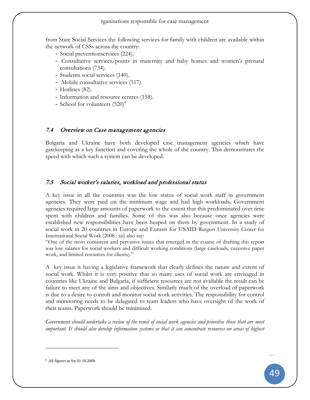from State Social Services the following services for family with children are available within the network of CSSs across the country:

- Social preventionservices (224).
- Consultative services/points in maternity and baby homes and women's prenatal consultations (734).
- Students social services (140).
- Mobile consultative services (517).
- Hotlines (82).
- Information and resource centres (158).
- School for volunteers  $(520)^6$  $(520)^6$

### 7.4 Overview on Case management agencies

Bulgaria and Ukraine have both developed case management agencies which have gatekeeping as a key function and covering the whole of the country. This demonstrates the speed with which such a system can be developed.

## 7.5 Social worker's salaries, workload and professional status

A key issue in all the countries was the low status of social work staff in government agencies. They were paid on the minimum wage and had high workloads. Government agencies required large amounts of paperwork to the extent that this predominated over time spent with children and families. Some of this was also because once agencies were established new responsibilities have been heaped on them by government. In a study of social work in 20 countries in Europe and Eurasis for USAID Rutgers University Center for International Social Work (2008 : xii) also say:

"One of the most consistent and pervasive issues that emerged in the course of drafting this report was low salaries for social workers and difficult working conditions (large caseloads, excessive paper work, and limited resources for clients)."

A key issue is having a legislative framework that clearly defines the nature and extent of social work. Whilst it is very positive that so many uses of social work are envisaged in countries like Ukraine and Bulgaria, if sufficient resources are not available the result can be failure to meet any of the aims and objectives. Similarly much of the overload of paperwork is due to a desire to conrolt and monitor social work activities. The responsibility for control and monitoring needs to be delegated to team leaders who have oversight of the work of their teams. Paperwork should be minimised.

*Government should undertake a review of the remit of social work agencies and prioritise those that are most important. It should also develop information systems so that it can concentrate resources on areas of highest* 

 $\overline{a}$ 

<span id="page-66-0"></span> $6$  All figures as for 01.10.2009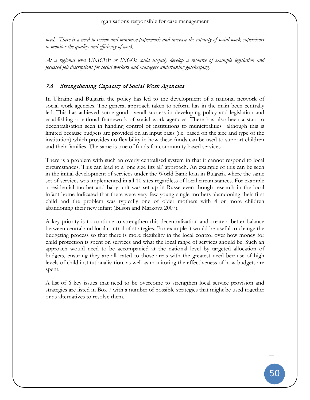#### rganisations responsible for case management

*need. There is a need to review and minimise paperwork and increase the capacity of social work supervisors to monitor the quality and efficiency of work.*

*At a regional level UNICEF or INGOs could usefully develop a resource of example legislation and focussed job descriptions for social workers and managers undertaking gatekeeping.*

## 7.6 Strengthening Capacity of Social Work Agencies

In Ukraine and Bulgaria the policy has led to the development of a national network of social work agencies. The general approach taken to reform has in the main been centrally led. This has achieved some good overall success in developing policy and legislation and establishing a national framework of social work agencies. There has also been a start to decentralisation seen in handing control of institutions to municipalities although this is limited because budgets are provided on an input basis (i.e. based on the size and type of the institution) which provides no flexibility in how these funds can be used to support children and their families. The same is true of funds for community based services.

There is a problem with such an overly centralised system in that it cannot respond to local circumstances. This can lead to a 'one size fits all' approach. An example of this can be seen in the initial development of services under the World Bank loan in Bulgaria where the same set of services was implemented in all 10 sites regardless of local circumstances. For example a residential mother and baby unit was set up in Russe even though research in the local infant home indicated that there were very few young single mothers abandoning their first child and the problem was typically one of older mothers with 4 or more children abandoning their new infant (Bilson and Markova 2007).

A key priority is to continue to strengthen this decentralization and create a better balance between central and local control of strategies. For example it would be useful to change the budgeting process so that there is more flexibility in the local control over how money for child protection is spent on services and what the local range of services should be. Such an approach would need to be accompanied at the national level by targeted allocation of budgets, ensuring they are allocated to those areas with the greatest need because of high levels of child institutionalisation, as well as monitoring the effectiveness of how budgets are spent.

A list of 6 key issues that need to be overcome to strengthen local service provision and strategies are listed in [Box 7](#page-68-0) with a number of possible strategies that might be used together or as alternatives to resolve them.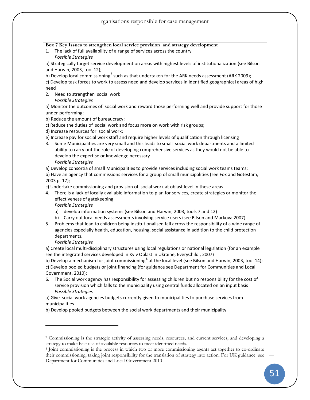<span id="page-68-0"></span>**Box 7 Key Issues to strengthen local service provision and strategy development** 1. The lack of full availability of a range of services across the country *Possible Strategies* a) Strategically target service development on areas with highest levels of institutionalization (see Bilson and Harwin, 2003, tool 12); b) Develop local commissioning<sup>[7](#page-68-1)</sup> such as that undertaken for the ARK needs assessment (ARK 2009); c) Develop task forces to work to assess need and develop services in identified geographical areas of high need 2. Need to strengthen social work *Possible Strategies* a) Monitor the outcomes of social work and reward those performing well and provide support for those under-performing; b) Reduce the amount of bureaucracy; c) Reduce the duties of social work and focus more on work with risk groups; d) Increase resources for social work; e) Increase pay for social work staff and require higher levels of qualification through licensing 3. Some Municipalities are very small and this leads to small social work departments and a limited ability to carry out the role of developing comprehensive services as they would not be able to develop the expertise or knowledge necessary *Possible Strategies* a) Develop consortia of small Municipalities to provide services including social work teams teams; b) Have an agency that commissions services for a group of small municipalities (see Fox and Gotestam, 2003 p. 17); c) Undertake commissioning and provision of social work at oblast level in these areas 4. There is a lack of locally available information to plan for services, create strategies or monitor the effectiveness of gatekeeping *Possible Strategies* a) develop information systems (see Bilson and Harwin, 2003, tools 7 and 12) b) Carry out local needs assessments involving service users (see Bilson and Markova 2007) 5. Problems that lead to children being institutionalised fall across the responsibility of a wide range of agencies especially health, education, housing, social assistance in addition to the child protection departments. *Possible Strategies* a) Create local multi-disciplinary structures using local regulations or national legislation (for an example see the integrated services developed in Kyiv Oblast in Ukraine, EveryChild , 2007) b) Develop a mechanism for joint commissioning<sup>[8](#page-68-2)</sup> at the local level (see Bilson and Harwin, 2003, tool 14); c) Develop pooled budgets or joint financing (for guidance see Department for Communities and Local Government, 2010); 6. The Social work agency has responsibility for assessing children but no responsibility for the cost of service provision which falls to the municipality using central funds allocated on an input basis *Possible Strategies* a) Give social work agencies budgets currently given to municipalities to purchase services from municipalities

b) Develop pooled budgets between the social work departments and their municipality

 $\overline{a}$ 

<span id="page-68-1"></span><sup>7</sup> Commissioning is the strategic activity of assessing needs, resources, and current services, and developing a strategy to make best use of available resources to meet identified needs.

<span id="page-68-2"></span><sup>8</sup> Joint commissioning is the process in which two or more commissioning agents act together to co-ordinate their commissioning, taking joint responsibility for the translation of strategy into action. For UK guidance see Department for Communities and Local Government 2010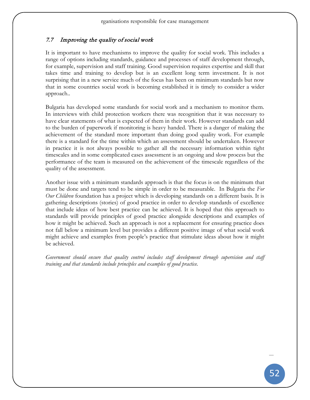## 7.7 Improving the quality of social work

It is important to have mechanisms to improve the quality for social work. This includes a range of options including standards, guidance and processes of staff development through, for example, supervision and staff training. Good supervision requires expertise and skill that takes time and training to develop but is an excellent long term investment. It is not surprising that in a new service much of the focus has been on minimum standards but now that in some countries social work is becoming established it is timely to consider a wider approach..

Bulgaria has developed some standards for social work and a mechanism to monitor them. In interviews with child protection workers there was recognition that it was necessary to have clear statements of what is expected of them in their work. However standards can add to the burden of paperwork if monitoring is heavy handed. There is a danger of making the achievement of the standard more important than doing good quality work. For example there is a standard for the time within which an assessment should be undertaken. However in practice it is not always possible to gather all the necessary information within tight timescales and in some complicated cases assessment is an ongoing and slow process but the performance of the team is measured on the achievement of the timescale regardless of the quality of the assessment.

Another issue with a minimum standards approach is that the focus is on the minimum that must be done and targets tend to be simple in order to be measurable. In Bulgaria the *For Our Children* foundation has a project which is developing standards on a different basis. It is gathering descriptions (stories) of good practice in order to develop standards of excellence that include ideas of how best practice can be achieved. It is hoped that this approach to standards will provide principles of good practice alongside descriptions and examples of how it might be achieved. Such an approach is not a replacement for ensuring practice does not fall below a minimum level but provides a different positive image of what social work might achieve and examples from people's practice that stimulate ideas about how it might be achieved.

*Government should ensure that quality control includes staff development through supervision and staff training and that standards include principles and examples of good practice.*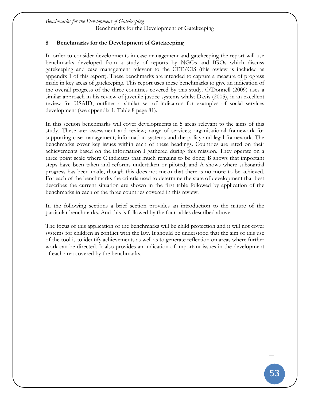*Benchmarks for the Development of Gatekeeping* Benchmarks for the Development of Gatekeeping

## **8 Benchmarks for the Development of Gatekeeping**

In order to consider developments in case management and gatekeeping the report will use benchmarks developed from a study of reports by NGOs and IGOs which discuss gatekeeping and case management relevant to the CEE/CIS (this review is included as appendix 1 of this report). These benchmarks are intended to capture a measure of progress made in key areas of gatekeeping. This report uses these benchmarks to give an indication of the overall progress of the three countries covered by this study. O'Donnell (2009) uses a similar approach in his review of juvenile justice systems whilst Davis (2005), in an excellent review for USAID, outlines a similar set of indicators for examples of social services development (see appendix 1: [Table 8](#page-98-0) page [81\)](#page-98-0).

In this section benchmarks will cover developments in 5 areas relevant to the aims of this study. These are: assessment and review; range of services; organisational framework for supporting case management; information systems and the policy and legal framework. The benchmarks cover key issues within each of these headings. Countries are rated on their achievements based on the information I gathered during this mission. They operate on a three point scale where C indicates that much remains to be done; B shows that important steps have been taken and reforms undertaken or piloted; and A shows where substantial progress has been made, though this does not mean that there is no more to be achieved. For each of the benchmarks the criteria used to determine the state of development that best describes the current situation are shown in the first table followed by application of the benchmarks in each of the three countries covered in this review.

In the following sections a brief section provides an introduction to the nature of the particular benchmarks. And this is followed by the four tables described above.

The focus of this application of the benchmarks will be child protection and it will not cover systems for children in conflict with the law. It should be understood that the aim of this use of the tool is to identify achievements as well as to generate reflection on areas where further work can be directed. It also provides an indication of important issues in the development of each area covered by the benchmarks.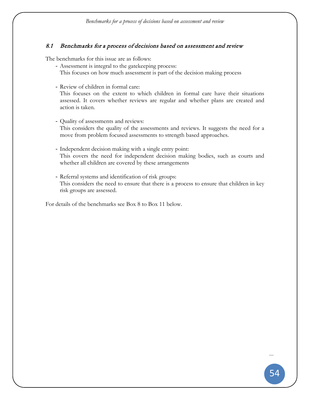## 8.1 Benchmarks for a process of decisions based on assessment and review

The benchmarks for this issue are as follows:

- Assessment is integral to the gatekeeping process:
	- This focuses on how much assessment is part of the decision making process
- Review of children in formal care:

This focuses on the extent to which children in formal care have their situations assessed. It covers whether reviews are regular and whether plans are created and action is taken.

- Quality of assessments and reviews: This considers the quality of the assessments and reviews. It suggests the need for a move from problem focused assessments to strength based approaches.
- Independent decision making with a single entry point: This covers the need for independent decision making bodies, such as courts and whether all children are covered by these arrangements
- Referral systems and identification of risk groups: This considers the need to ensure that there is a process to ensure that children in key risk groups are assessed.

For details of the benchmarks see [Box 8](#page-72-0) to [Box 11](#page-75-0) below.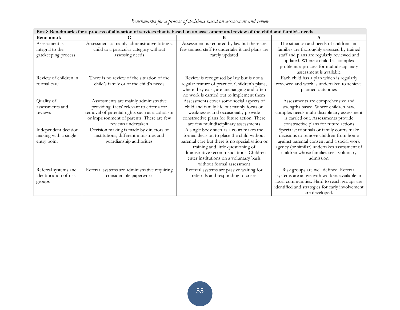|                        |                                                                                   | Box 8 Benchmarks for a process of allocation of services that is based on an assessment and review of the child and family's needs. |                                                                                      |
|------------------------|-----------------------------------------------------------------------------------|-------------------------------------------------------------------------------------------------------------------------------------|--------------------------------------------------------------------------------------|
| <b>Benchmark</b>       | C                                                                                 | B                                                                                                                                   | A                                                                                    |
| Assessment is          | Assessment is mainly administrative fitting a                                     | Assessment is required by law but there are                                                                                         | The situation and needs of children and                                              |
| integral to the        | child to a particular category without                                            | few trained staff to undertake it and plans are                                                                                     | families are thoroughly assessed by trained                                          |
| gatekeeping process    | assessing needs                                                                   | rarely updated                                                                                                                      | staff and plans are regularly reviewed and                                           |
|                        |                                                                                   |                                                                                                                                     | updated. Where a child has complex                                                   |
|                        |                                                                                   |                                                                                                                                     | problems a process for multidisciplinary                                             |
|                        |                                                                                   |                                                                                                                                     | assessment is available                                                              |
| Review of children in  | There is no review of the situation of the                                        | Review is recognised by law but is not a                                                                                            | Each child has a plan which is regularly                                             |
| formal care            | child's family or of the child's needs                                            | regular feature of practice. Children's plans,                                                                                      | reviewed and work is undertaken to achieve                                           |
|                        |                                                                                   | where they exist, are unchanging and often                                                                                          | planned outcomes                                                                     |
|                        |                                                                                   | no work is carried out to implement them                                                                                            |                                                                                      |
| Quality of             | Assessments are mainly administrative                                             | Assessments cover some social aspects of                                                                                            | Assessments are comprehensive and                                                    |
| assessments and        | providing 'facts' relevant to criteria for                                        | child and family life but mainly focus on                                                                                           | strengths based. Where children have                                                 |
| reviews                | removal of parental rights such as alcoholism                                     | weaknesses and occasionally provide                                                                                                 | complex needs multi-disciplinary assessment                                          |
|                        | or imprisonment of parents. There are few<br>reviews undertaken                   | constructive plans for future action. There                                                                                         | is carried out. Assessments provide                                                  |
|                        |                                                                                   | are few multidisciplinary assessments                                                                                               | constructive plans for future actions                                                |
| Independent decision   | Decision making is made by directors of<br>institutions, different ministries and | A single body such as a court makes the                                                                                             | Specialist tribunals or family courts make<br>decisions to remove children from home |
| making with a single   | guardianship authorities                                                          | formal decision to place the child without<br>parental care but there is no specialisation or                                       | against parental consent and a social work                                           |
| entry point            |                                                                                   | training and little questioning of                                                                                                  | agency (or similar) undertakes assessment of                                         |
|                        |                                                                                   | administrative recommendations. Children                                                                                            | children whose families seek voluntary                                               |
|                        |                                                                                   | enter institutions on a voluntary basis                                                                                             | admission                                                                            |
|                        |                                                                                   | without formal assessment                                                                                                           |                                                                                      |
| Referral systems and   | Referral systems are administrative requiring                                     | Referral systems are passive waiting for                                                                                            | Risk groups are well defined. Referral                                               |
| identification of risk | considerable paperwork                                                            | referrals and responding to crises                                                                                                  | systems are active with workers available in                                         |
| groups                 |                                                                                   |                                                                                                                                     | local communities. Hard to reach groups are                                          |
|                        |                                                                                   |                                                                                                                                     | identified and strategies for early involvement                                      |
|                        |                                                                                   |                                                                                                                                     | are developed.                                                                       |

*Benchmarks for a process of decisions based on assessment and review*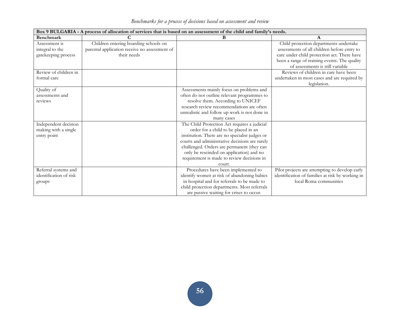| Benchmarks for a process of decisions based on assessment and review |  |  |  |  |  |
|----------------------------------------------------------------------|--|--|--|--|--|
|                                                                      |  |  |  |  |  |

| Box 9 BULGARIA - A process of allocation of services that is based on an assessment of the child and family's needs. |                                               |                                                |                                                  |  |  |  |  |  |
|----------------------------------------------------------------------------------------------------------------------|-----------------------------------------------|------------------------------------------------|--------------------------------------------------|--|--|--|--|--|
| <b>Benchmark</b>                                                                                                     | C                                             | B                                              | A                                                |  |  |  |  |  |
| Assessment is                                                                                                        | Children entering boarding schools on         |                                                | Child protection departments undertake           |  |  |  |  |  |
| integral to the                                                                                                      | parental application receive no assessment of |                                                | assessments of all children before entry to      |  |  |  |  |  |
| gatekeeping process                                                                                                  | their needs                                   |                                                | care under child protection act. There have      |  |  |  |  |  |
|                                                                                                                      |                                               |                                                | been a range of training events. The quality     |  |  |  |  |  |
|                                                                                                                      |                                               |                                                | of assessments is still variable                 |  |  |  |  |  |
| Review of children in                                                                                                |                                               |                                                | Reviews of children in care have been            |  |  |  |  |  |
| formal care                                                                                                          |                                               |                                                | undertaken in most cases and are required by     |  |  |  |  |  |
|                                                                                                                      |                                               |                                                | legislation.                                     |  |  |  |  |  |
| Quality of                                                                                                           |                                               | Assessments mainly focus on problems and       |                                                  |  |  |  |  |  |
| assessments and                                                                                                      |                                               | often do not outline relevant programmes to    |                                                  |  |  |  |  |  |
| reviews                                                                                                              |                                               | resolve them. According to UNICEF              |                                                  |  |  |  |  |  |
|                                                                                                                      |                                               | research review recommendations are often      |                                                  |  |  |  |  |  |
|                                                                                                                      |                                               | unrealistic and follow up work is not done in  |                                                  |  |  |  |  |  |
|                                                                                                                      |                                               | many cases                                     |                                                  |  |  |  |  |  |
| Independent decision                                                                                                 |                                               | The Child Protection Act requires a judicial   |                                                  |  |  |  |  |  |
| making with a single                                                                                                 |                                               | order for a child to be placed in an           |                                                  |  |  |  |  |  |
| entry point                                                                                                          |                                               | institution. There are no specialist judges or |                                                  |  |  |  |  |  |
|                                                                                                                      |                                               | courts and administrative decisions are rarely |                                                  |  |  |  |  |  |
|                                                                                                                      |                                               | challenged. Orders are permanent (they can     |                                                  |  |  |  |  |  |
|                                                                                                                      |                                               | only be rescinded on application) and no       |                                                  |  |  |  |  |  |
|                                                                                                                      |                                               | requirement is made to review decisions in     |                                                  |  |  |  |  |  |
|                                                                                                                      |                                               | court.                                         |                                                  |  |  |  |  |  |
| Referral systems and                                                                                                 |                                               | Procedures have been implemented to            | Pilot projects are attempting to develop early   |  |  |  |  |  |
| identification of risk                                                                                               |                                               | identify women at risk of abandoning babies    | identification of families at risk by working in |  |  |  |  |  |
| groups                                                                                                               |                                               | in hospital and for referrals to be made to    | local Roma communities                           |  |  |  |  |  |
|                                                                                                                      |                                               | child protection departments. Most referrals   |                                                  |  |  |  |  |  |
|                                                                                                                      |                                               | are passive waiting for crises to occur.       |                                                  |  |  |  |  |  |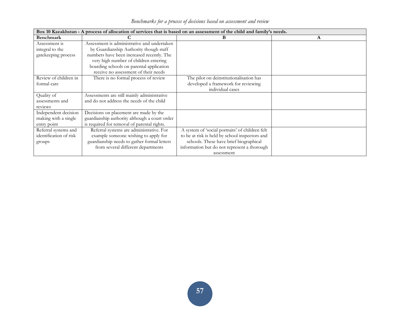|                        | Box 10 Kazakhstan - A process of allocation of services that is based on an assessment of the child and family's needs. |                                                 |  |  |  |  |  |  |  |
|------------------------|-------------------------------------------------------------------------------------------------------------------------|-------------------------------------------------|--|--|--|--|--|--|--|
| <b>Benchmark</b>       |                                                                                                                         | в                                               |  |  |  |  |  |  |  |
| Assessment is          | Assessment is administrative and undertaken                                                                             |                                                 |  |  |  |  |  |  |  |
| integral to the        | by Guardianship Authority though staff                                                                                  |                                                 |  |  |  |  |  |  |  |
| gatekeeping process    | numbers have been increased recently. The                                                                               |                                                 |  |  |  |  |  |  |  |
|                        | very high number of children entering                                                                                   |                                                 |  |  |  |  |  |  |  |
|                        | boarding schools on parental application                                                                                |                                                 |  |  |  |  |  |  |  |
|                        | receive no assessment of their needs                                                                                    |                                                 |  |  |  |  |  |  |  |
| Review of children in  | There is no formal process of review                                                                                    | The pilot on deinstitutionalisation has         |  |  |  |  |  |  |  |
| formal care            |                                                                                                                         | developed a framework for reviewing             |  |  |  |  |  |  |  |
|                        |                                                                                                                         | individual cases                                |  |  |  |  |  |  |  |
| Quality of             | Assessments are still mainly administrative                                                                             |                                                 |  |  |  |  |  |  |  |
| assessments and        | and do not address the needs of the child                                                                               |                                                 |  |  |  |  |  |  |  |
| reviews                |                                                                                                                         |                                                 |  |  |  |  |  |  |  |
| Independent decision   | Decisions on placement are made by the                                                                                  |                                                 |  |  |  |  |  |  |  |
| making with a single   | guardianship authority although a court order                                                                           |                                                 |  |  |  |  |  |  |  |
| entry point            | is required for removal of parental rights.                                                                             |                                                 |  |  |  |  |  |  |  |
| Referral systems and   | Referral systems are administrative. For                                                                                | A system of 'social portraits' of children felt |  |  |  |  |  |  |  |
| identification of risk | example someone wishing to apply for                                                                                    | to be at risk is held by school inspectors and  |  |  |  |  |  |  |  |
| groups                 | guardianship needs to gather formal letters                                                                             | schools. These have brief biographical          |  |  |  |  |  |  |  |
|                        | from several different departments                                                                                      | information but do not represent a thorough     |  |  |  |  |  |  |  |
|                        |                                                                                                                         | assessment                                      |  |  |  |  |  |  |  |

*Benchmarks for a process of decisions based on assessment and review*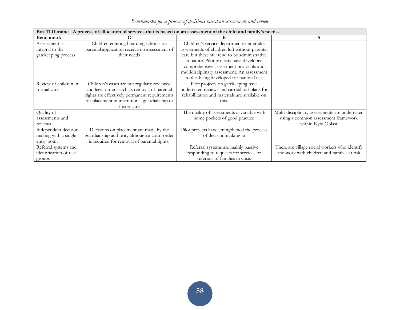|                        | Box 11 Ukraine - A process of allocation of services that is based on an assessment of the child and family's needs. |                                                |                                               |  |  |  |  |  |  |
|------------------------|----------------------------------------------------------------------------------------------------------------------|------------------------------------------------|-----------------------------------------------|--|--|--|--|--|--|
| Benchmark              |                                                                                                                      |                                                | A                                             |  |  |  |  |  |  |
| Assessment is          | Children entering boarding schools on                                                                                | Children's service departments undertake       |                                               |  |  |  |  |  |  |
| integral to the        | parental application receive no assessment of                                                                        | assessments of children left without parental  |                                               |  |  |  |  |  |  |
| gatekeeping process    | their needs                                                                                                          | care but these still tend to be administrative |                                               |  |  |  |  |  |  |
|                        |                                                                                                                      | in nature. Pilot projects have developed       |                                               |  |  |  |  |  |  |
|                        |                                                                                                                      | comprehensive assessment protocols and         |                                               |  |  |  |  |  |  |
|                        |                                                                                                                      | multidisciplinary assessment. An assessment    |                                               |  |  |  |  |  |  |
|                        |                                                                                                                      | tool is being developed for national use       |                                               |  |  |  |  |  |  |
| Review of children in  | Children's cases are not regularly reviewed                                                                          | Pilot projects on gatekeeping have             |                                               |  |  |  |  |  |  |
| formal care            | and legal orders such as removal of parental                                                                         | undertaken reviews and carried out plans for   |                                               |  |  |  |  |  |  |
|                        | rights are effectively permanent requirements                                                                        | rehabilitation and materials are available on  |                                               |  |  |  |  |  |  |
|                        | for placement in institutions, guardianship or                                                                       | this.                                          |                                               |  |  |  |  |  |  |
|                        | foster care                                                                                                          |                                                |                                               |  |  |  |  |  |  |
| Quality of             |                                                                                                                      | The quality of assessments is variable with    | Multi-disciplinary assessments are undertaken |  |  |  |  |  |  |
| assessments and        |                                                                                                                      | some pockets of good practice                  | using a common assessment framework           |  |  |  |  |  |  |
| reviews                |                                                                                                                      |                                                | within Kyiv Oblast                            |  |  |  |  |  |  |
| Independent decision   | Decisions on placement are made by the                                                                               | Pilot projects have strengthened the process   |                                               |  |  |  |  |  |  |
| making with a single   | guardianship authority although a court order                                                                        | of decision making in                          |                                               |  |  |  |  |  |  |
| entry point            | is required for removal of parental rights.                                                                          |                                                |                                               |  |  |  |  |  |  |
| Referral systems and   |                                                                                                                      | Referral systems are mainly passive            | There are village social workers who identify |  |  |  |  |  |  |
| identification of risk |                                                                                                                      | responding to requests for services or         | and work with children and families at risk   |  |  |  |  |  |  |
| groups                 |                                                                                                                      | referrals of families in crisis                |                                               |  |  |  |  |  |  |

*Benchmarks for a process of decisions based on assessment and review*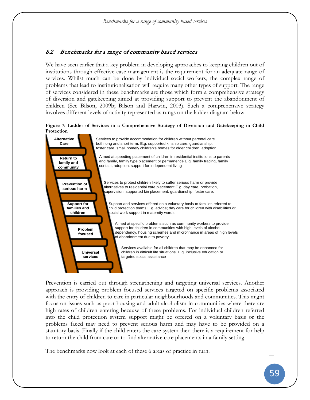# 8.2 Benchmarks for a range of community based services

We have seen earlier that a key problem in developing approaches to keeping children out of institutions through effective case management is the requirement for an adequate range of services. Whilst much can be done by individual social workers, the complex range of problems that lead to institutionalisation will require many other types of support. The range of services considered in these benchmarks are those which form a comprehensive strategy of diversion and gatekeeping aimed at providing support to prevent the abandonment of children (See Bilson, 2009b; Bilson and Harwin, 2003). Such a comprehensive strategy involves different levels of activity represented as rungs on the ladder diagram below.

**Figure 7: Ladder of Services in a Comprehensive Strategy of Diversion and Gatekeeping in Child Protection**



Prevention is carried out through strengthening and targeting universal services. Another approach is providing problem focused services targeted on specific problems associated with the entry of children to care in particular neighbourhoods and communities. This might focus on issues such as poor housing and adult alcoholism in communities where there are high rates of children entering because of these problems. For individual children referred into the child protection system support might be offered on a voluntary basis or the problems faced may need to prevent serious harm and may have to be provided on a statutory basis. Finally if the child enters the care system then there is a requirement for help to return the child from care or to find alternative care placements in a family setting.

The benchmarks now look at each of these 6 areas of practice in turn.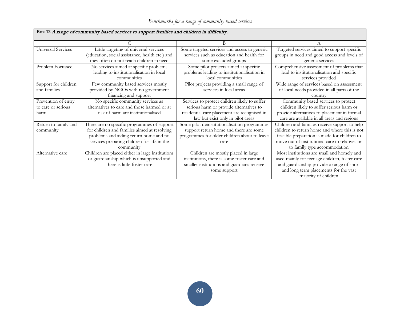| box iz A lange of community based services to support families and children in difficulty. |                                                  |                                               |                                                |  |  |  |  |  |
|--------------------------------------------------------------------------------------------|--------------------------------------------------|-----------------------------------------------|------------------------------------------------|--|--|--|--|--|
|                                                                                            |                                                  | В                                             |                                                |  |  |  |  |  |
| Universal Services                                                                         | Little targeting of universal services           | Some targeted services and access to generic  | Targeted services aimed to support specific    |  |  |  |  |  |
|                                                                                            | (education, social assistance, health etc.) and  | services such as education and health for     | groups in need and good access and levels of   |  |  |  |  |  |
|                                                                                            | they often do not reach children in need         | some excluded groups                          | generic services                               |  |  |  |  |  |
| Problem Focussed                                                                           | No services aimed at specific problems           | Some pilot projects aimed at specific         | Comprehensive assessment of problems that      |  |  |  |  |  |
|                                                                                            | leading to institutionalisation in local         | problems leading to institutionalisation in   | lead to institutionalisation and specific      |  |  |  |  |  |
|                                                                                            | communities                                      | local communities                             | services provided                              |  |  |  |  |  |
| Support for children                                                                       | Few community based services mostly              | Pilot projects providing a small range of     | Wide range of services based on assessment     |  |  |  |  |  |
| and families                                                                               | provided by NGOs with no government              | services in local areas                       | of local needs provided in all parts of the    |  |  |  |  |  |
|                                                                                            | financing and support                            |                                               | country                                        |  |  |  |  |  |
| Prevention of entry                                                                        | No specific community services as                | Services to protect children likely to suffer | Community based services to protect            |  |  |  |  |  |
| to care or serious                                                                         | alternatives to care and those harmed or at      | serious harm or provide alternatives to       | children likely to suffer serious harm or      |  |  |  |  |  |
| harm                                                                                       | risk of harm are institutionalised               | residential care placement are recognised in  | provide alternatives to placement in formal    |  |  |  |  |  |
|                                                                                            |                                                  | law but exist only in pilot areas             | care are available in all areas and regions    |  |  |  |  |  |
| Return to family and                                                                       | There are no specific programmes of support      | Some pilot deinstitutionalisation programmes  | Children and families receive support to help  |  |  |  |  |  |
| community                                                                                  | for children and families aimed at resolving     | support return home and there are some        | children to return home and where this is not  |  |  |  |  |  |
|                                                                                            | problems and aiding return home and no           | programmes for older children about to leave  | feasible preparation is made for children to   |  |  |  |  |  |
|                                                                                            | services preparing children for life in the      | care                                          | move out of institutional care to relatives or |  |  |  |  |  |
|                                                                                            | community                                        |                                               | to family type accommodation                   |  |  |  |  |  |
| Alternative care                                                                           | Children are placed either in large institutions | Children are mostly placed in large           | Most institutions are small and homely and     |  |  |  |  |  |
|                                                                                            | or guardianship which is unsupported and         | institutions, there is some foster care and   | used mainly for teenage children, foster care  |  |  |  |  |  |
|                                                                                            | there is little foster care                      | smaller institutions and guardians receive    | and guardianship provide a range of short      |  |  |  |  |  |
|                                                                                            |                                                  | some support                                  | and long term placements for the vast          |  |  |  |  |  |
|                                                                                            |                                                  |                                               | majority of children                           |  |  |  |  |  |

# **Box 12** A range of community based services to support families and children in difficulty.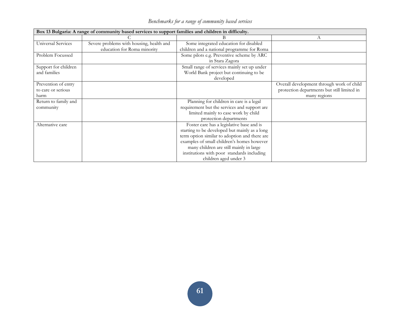| Box 13 Bulgaria: A range of community based services to support families and children in difficulty. |                                          |                                               |                                             |  |  |  |  |  |
|------------------------------------------------------------------------------------------------------|------------------------------------------|-----------------------------------------------|---------------------------------------------|--|--|--|--|--|
|                                                                                                      |                                          | В                                             | А                                           |  |  |  |  |  |
| Universal Services                                                                                   | Severe problems with housing, health and | Some integrated education for disabled        |                                             |  |  |  |  |  |
|                                                                                                      | education for Roma minority              | children and a national programme for Roma    |                                             |  |  |  |  |  |
| Problem Focussed                                                                                     |                                          | Some pilots e.g. Preventive scheme by ARC     |                                             |  |  |  |  |  |
|                                                                                                      |                                          | in Stara Zagora                               |                                             |  |  |  |  |  |
| Support for children                                                                                 |                                          | Small range of services mainly set up under   |                                             |  |  |  |  |  |
| and families                                                                                         |                                          | World Bank project but continuing to be       |                                             |  |  |  |  |  |
|                                                                                                      |                                          | developed                                     |                                             |  |  |  |  |  |
| Prevention of entry                                                                                  |                                          |                                               | Overall development through work of child   |  |  |  |  |  |
| to care or serious                                                                                   |                                          |                                               | protection departments but still limited in |  |  |  |  |  |
| harm                                                                                                 |                                          |                                               | many regions                                |  |  |  |  |  |
| Return to family and                                                                                 |                                          | Planning for children in care is a legal      |                                             |  |  |  |  |  |
| community                                                                                            |                                          | requirement but the services and support are  |                                             |  |  |  |  |  |
|                                                                                                      |                                          | limited mainly to case work by child          |                                             |  |  |  |  |  |
|                                                                                                      |                                          | protection departments                        |                                             |  |  |  |  |  |
| Alternative care                                                                                     |                                          | Foster care has a legislative base and is     |                                             |  |  |  |  |  |
|                                                                                                      |                                          | starting to be developed but mainly as a long |                                             |  |  |  |  |  |
|                                                                                                      |                                          | term option similar to adoption and there are |                                             |  |  |  |  |  |
|                                                                                                      |                                          | examples of small children's homes however    |                                             |  |  |  |  |  |
|                                                                                                      |                                          | many children are still mainly in large       |                                             |  |  |  |  |  |
|                                                                                                      |                                          | institutions with poor standards including    |                                             |  |  |  |  |  |
|                                                                                                      |                                          | children aged under 3                         |                                             |  |  |  |  |  |

*Benchmarks for a range of community based services*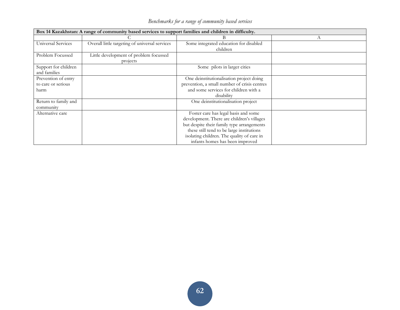| Box 14 Kazakhstan: A range of community based services to support families and children in difficulty. |                                                |                                              |   |  |  |  |  |  |
|--------------------------------------------------------------------------------------------------------|------------------------------------------------|----------------------------------------------|---|--|--|--|--|--|
|                                                                                                        |                                                | В                                            | А |  |  |  |  |  |
| Universal Services                                                                                     | Overall little targeting of universal services | Some integrated education for disabled       |   |  |  |  |  |  |
|                                                                                                        |                                                | children                                     |   |  |  |  |  |  |
| Problem Focussed                                                                                       | Little development of problem focussed         |                                              |   |  |  |  |  |  |
|                                                                                                        | projects                                       |                                              |   |  |  |  |  |  |
| Support for children                                                                                   |                                                | Some pilots in larger cities                 |   |  |  |  |  |  |
| and families                                                                                           |                                                |                                              |   |  |  |  |  |  |
| Prevention of entry                                                                                    |                                                | One deinstitutionalisation project doing     |   |  |  |  |  |  |
| to care or serious                                                                                     |                                                | prevention, a small number of crisis centres |   |  |  |  |  |  |
| harm                                                                                                   |                                                | and some services for children with a        |   |  |  |  |  |  |
|                                                                                                        |                                                | disability                                   |   |  |  |  |  |  |
| Return to family and                                                                                   |                                                | One deinstitutionalisation project           |   |  |  |  |  |  |
| community                                                                                              |                                                |                                              |   |  |  |  |  |  |
| Alternative care                                                                                       |                                                | Foster care has legal basis and some         |   |  |  |  |  |  |
|                                                                                                        |                                                | development. There are children's villages   |   |  |  |  |  |  |
|                                                                                                        |                                                | but despite their family type arrangements   |   |  |  |  |  |  |
|                                                                                                        |                                                | these still tend to be large institutions    |   |  |  |  |  |  |
|                                                                                                        |                                                | isolating children. The quality of care in   |   |  |  |  |  |  |
|                                                                                                        |                                                | infants homes has been improved              |   |  |  |  |  |  |

*Benchmarks for a range of community based services*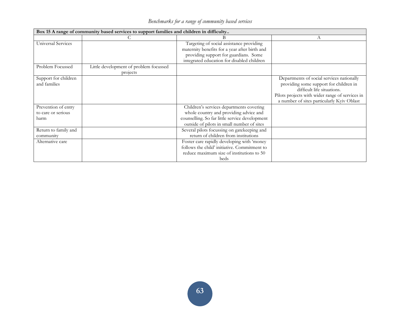| Benchmarks for a range of community based services |  |  |  |
|----------------------------------------------------|--|--|--|
|                                                    |  |  |  |

| Box 15 A range of community based services to support families and children in difficulty |                                        |                                                |                                                 |  |  |  |  |
|-------------------------------------------------------------------------------------------|----------------------------------------|------------------------------------------------|-------------------------------------------------|--|--|--|--|
|                                                                                           |                                        |                                                | А                                               |  |  |  |  |
| Universal Services                                                                        |                                        | Targeting of social assistance providing       |                                                 |  |  |  |  |
|                                                                                           |                                        | maternity benefits for a year after birth and  |                                                 |  |  |  |  |
|                                                                                           |                                        | providing support for guardians. Some          |                                                 |  |  |  |  |
|                                                                                           |                                        | integrated education for disabled children     |                                                 |  |  |  |  |
| Problem Focussed                                                                          | Little development of problem focussed |                                                |                                                 |  |  |  |  |
|                                                                                           | projects                               |                                                |                                                 |  |  |  |  |
| Support for children                                                                      |                                        |                                                | Departments of social services nationally       |  |  |  |  |
| and families                                                                              |                                        |                                                | providing some support for children in          |  |  |  |  |
|                                                                                           |                                        |                                                | difficult life situations.                      |  |  |  |  |
|                                                                                           |                                        |                                                | Pilots projects with wider range of services in |  |  |  |  |
|                                                                                           |                                        |                                                | a number of sites particularly Kyiv Oblast      |  |  |  |  |
| Prevention of entry                                                                       |                                        | Children's services departments covering       |                                                 |  |  |  |  |
| to care or serious                                                                        |                                        | whole country and providing advice and         |                                                 |  |  |  |  |
| harm                                                                                      |                                        | counselling. So far little service development |                                                 |  |  |  |  |
|                                                                                           |                                        | outside of pilots in small number of sites     |                                                 |  |  |  |  |
| Return to family and                                                                      |                                        | Several pilots focussing on gatekeeping and    |                                                 |  |  |  |  |
| community                                                                                 |                                        | return of children from institutions           |                                                 |  |  |  |  |
| Alternative care                                                                          |                                        | Foster care rapidly developing with 'money     |                                                 |  |  |  |  |
|                                                                                           |                                        | follows the child' initiative. Commitment to   |                                                 |  |  |  |  |
|                                                                                           |                                        | reduce maximum size of institutions to 50      |                                                 |  |  |  |  |
|                                                                                           |                                        | beds                                           |                                                 |  |  |  |  |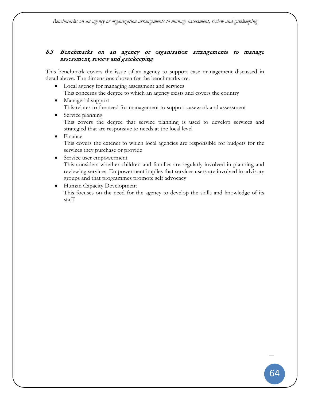# 8.3 Benchmarks on an agency or organization arrangements to manage assessment, review and gatekeeping

This benchmark covers the issue of an agency to support case management discussed in detail above. The dimensions chosen for the benchmarks are:

- Local agency for managing assessment and services This concerns the degree to which an agency exists and covers the country
- Managerial support This relates to the need for management to support casework and assessment
- Service planning This covers the degree that service planning is used to develop services and strategied that are responsive to needs at the local level
- Finance This covers the extenet to which local agencies are responsible for budgets for the services they purchase or provide
- Service user empowerment This considers whether children and families are regularly involved in planning and reviewing services. Empowerment implies that services users are involved in advisory groups and that programmes promote self advocacy
- Human Capacity Development This focuses on the need for the agency to develop the skills and knowledge of its staff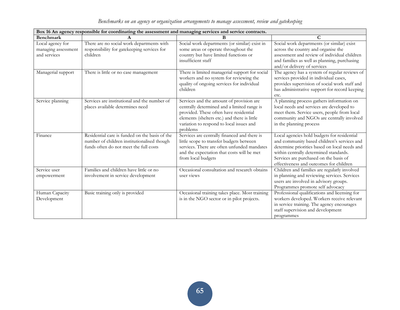|                                                         | Box 16 An agency responsible for coordinating the assessment and managing services and service contracts.                               |                                                                                                                                                                                                                                           |                                                                                                                                                                                                                                                                            |  |  |  |  |  |  |
|---------------------------------------------------------|-----------------------------------------------------------------------------------------------------------------------------------------|-------------------------------------------------------------------------------------------------------------------------------------------------------------------------------------------------------------------------------------------|----------------------------------------------------------------------------------------------------------------------------------------------------------------------------------------------------------------------------------------------------------------------------|--|--|--|--|--|--|
| Benchmark                                               |                                                                                                                                         | B                                                                                                                                                                                                                                         | C                                                                                                                                                                                                                                                                          |  |  |  |  |  |  |
| Local agency for<br>managing assessment<br>and services | There are no social work departments with<br>responsibility for gatekeeping services for<br>children                                    | Social work departments (or similar) exist in<br>some areas or operate throughout the<br>country but have limited functions or<br>insufficient staff                                                                                      | Social work departments (or similar) exist<br>across the country and organise the<br>assessment and review of individual children<br>and families as well as planning, purchasing<br>and/or delivery of services                                                           |  |  |  |  |  |  |
| Managerial support                                      | There is little or no case management                                                                                                   | There is limited managerial support for social<br>workers and no system for reviewing the<br>quality of ongoing services for individual<br>children                                                                                       | The agency has a system of regular reviews of<br>services provided in individual cases,<br>provides supervision of social work staff and<br>has administrative support for record keeping<br>etc.                                                                          |  |  |  |  |  |  |
| Service planning                                        | Services are institutional and the number of<br>places available determines need                                                        | Services and the amount of provision are<br>centrally determined and a limited range is<br>provided. These often have residential<br>elements (shelters etc.) and there is little<br>variation to respond to local issues and<br>problems | A planning process gathers information on<br>local needs and services are developed to<br>meet them. Service users, people from local<br>community and NGOs are centrally involved<br>in the planning process                                                              |  |  |  |  |  |  |
| Finance                                                 | Residential care is funded on the basis of the<br>number of children institutionalised though<br>funds often do not meet the full costs | Services are centrally financed and there is<br>little scope to transfer budgets between<br>services. There are often unfunded mandates<br>and the expectation that costs will be met<br>from local budgets                               | Local agencies hold budgets for residential<br>and community based children's services and<br>determine priorities based on local needs and<br>within centrally determined standards.<br>Services are purchased on the basis of<br>effectiveness and outcomes for children |  |  |  |  |  |  |
| Service user<br>empowerment                             | Families and children have little or no<br>involvement in service development                                                           | Occasional consultation and research obtains<br>user views                                                                                                                                                                                | Children and families are regularly involved<br>in planning and reviewing services. Services<br>users are involved in advisory groups.<br>Programmes promote self advocacy                                                                                                 |  |  |  |  |  |  |
| Human Capacity<br>Development                           | Basic training only is provided                                                                                                         | Occasional training takes place. Most training<br>is in the NGO sector or in pilot projects.                                                                                                                                              | Professional qualifications and licensing for<br>workers developed. Workers receive relevant<br>in service training. The agency encourages<br>staff supervision and development<br>programmes                                                                              |  |  |  |  |  |  |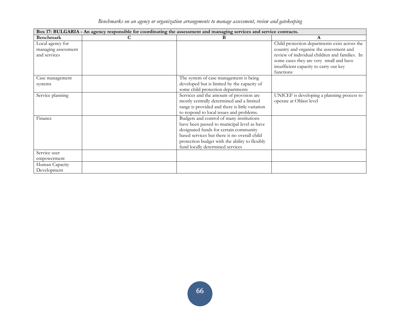| Benchmarks on an agency or organization arrangements to manage assessment, review and gatekeeping |  |  |  |  |  |  |
|---------------------------------------------------------------------------------------------------|--|--|--|--|--|--|

| Box 17: BULGARIA - An agency responsible for coordinating the assessment and managing services and service contracts. |   |                                                                                                                                                                                                                                                                         |                                                                                                                                                                                                                                              |  |  |
|-----------------------------------------------------------------------------------------------------------------------|---|-------------------------------------------------------------------------------------------------------------------------------------------------------------------------------------------------------------------------------------------------------------------------|----------------------------------------------------------------------------------------------------------------------------------------------------------------------------------------------------------------------------------------------|--|--|
| Benchmark                                                                                                             | C | B                                                                                                                                                                                                                                                                       | A                                                                                                                                                                                                                                            |  |  |
| Local agency for<br>managing assessment<br>and services                                                               |   |                                                                                                                                                                                                                                                                         | Child protection departments exist across the<br>country and organise the assessment and<br>review of individual children and families. In<br>some cases they are very small and have<br>insufficient capacity to carry out key<br>functions |  |  |
| Case management<br>systems                                                                                            |   | The system of case management is being<br>developed but is limited by the capacity of<br>some child protection departments                                                                                                                                              |                                                                                                                                                                                                                                              |  |  |
| Service planning                                                                                                      |   | Services and the amount of provision are<br>mostly centrally determined and a limited<br>range is provided and there is little variation<br>to respond to local issues and problems.                                                                                    | UNICEF is developing a planning process to<br>operate at Oblast level                                                                                                                                                                        |  |  |
| Finance                                                                                                               |   | Budgets and control of many institutions<br>have been passed to municipal level as have<br>designated funds for certain community<br>based services but there is no overall child<br>protection budget with the ability to flexibly<br>fund locally determined services |                                                                                                                                                                                                                                              |  |  |
| Service user<br>empowerment                                                                                           |   |                                                                                                                                                                                                                                                                         |                                                                                                                                                                                                                                              |  |  |
| Human Capacity<br>Development                                                                                         |   |                                                                                                                                                                                                                                                                         |                                                                                                                                                                                                                                              |  |  |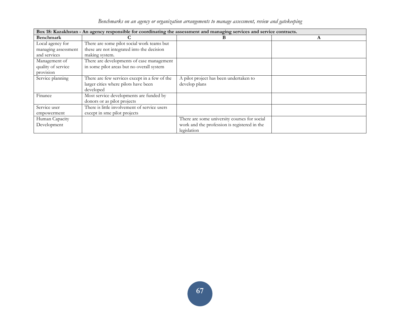|  | Benchmarks on an agency or organization arrangements to manage assessment, review and gatekeeping |  |
|--|---------------------------------------------------------------------------------------------------|--|

| Box 18: Kazakhstan - An agency responsible for coordinating the assessment and managing services and service contracts. |                                               |                                              |   |  |
|-------------------------------------------------------------------------------------------------------------------------|-----------------------------------------------|----------------------------------------------|---|--|
| Benchmark                                                                                                               |                                               | в                                            | A |  |
| Local agency for                                                                                                        | There are some pilot social work teams but    |                                              |   |  |
| managing assessment                                                                                                     | these are not integrated into the decision    |                                              |   |  |
| and services                                                                                                            | making system.                                |                                              |   |  |
| Management of                                                                                                           | There are developments of case management     |                                              |   |  |
| quality of service                                                                                                      | in some pilot areas but no overall system     |                                              |   |  |
| provision                                                                                                               |                                               |                                              |   |  |
| Service planning                                                                                                        | There are few services except in a few of the | A pilot project has been undertaken to       |   |  |
|                                                                                                                         | larger cities where pilots have been          | develop plans                                |   |  |
|                                                                                                                         | developed                                     |                                              |   |  |
| Finance                                                                                                                 | Most service developments are funded by       |                                              |   |  |
|                                                                                                                         | donors or as pilot projects                   |                                              |   |  |
| Service user                                                                                                            | There is little involvement of service users  |                                              |   |  |
| empowerment                                                                                                             | except in sme pilot projects                  |                                              |   |  |
| Human Capacity                                                                                                          |                                               | There are some university courses for social |   |  |
| Development                                                                                                             |                                               | work and the profession is registered in the |   |  |
|                                                                                                                         |                                               | legislation                                  |   |  |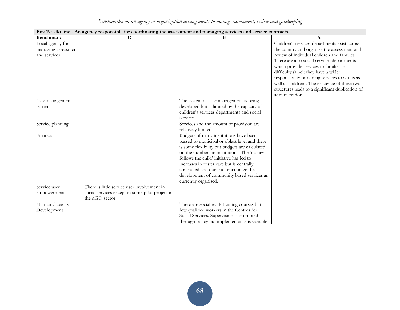| Benchmarks on an agency or organization arrangements to manage assessment, review and gatekeeping |  |  |  |  |  |  |
|---------------------------------------------------------------------------------------------------|--|--|--|--|--|--|

| Box 19: Ukraine - An agency responsible for coordinating the assessment and managing services and service contracts. |                                                                                                                  |                                                                                                                                                                                                                                                                                                                                                                                                 |                                                                                                                                                                                                                                                                                                                                                                                                                                                     |  |  |
|----------------------------------------------------------------------------------------------------------------------|------------------------------------------------------------------------------------------------------------------|-------------------------------------------------------------------------------------------------------------------------------------------------------------------------------------------------------------------------------------------------------------------------------------------------------------------------------------------------------------------------------------------------|-----------------------------------------------------------------------------------------------------------------------------------------------------------------------------------------------------------------------------------------------------------------------------------------------------------------------------------------------------------------------------------------------------------------------------------------------------|--|--|
| <b>Benchmark</b>                                                                                                     | C                                                                                                                | B                                                                                                                                                                                                                                                                                                                                                                                               | A                                                                                                                                                                                                                                                                                                                                                                                                                                                   |  |  |
| Local agency for<br>managing assessment<br>and services                                                              |                                                                                                                  |                                                                                                                                                                                                                                                                                                                                                                                                 | Children's services departments exist across<br>the country and organise the assessment and<br>review of individual children and families.<br>There are also social services departments<br>which provide services to families in<br>difficulty (albeit they have a wider<br>responsibility providing services to adults as<br>well as children). The existence of these two<br>structures leads to a significant duplication of<br>administration. |  |  |
| Case management<br>systems                                                                                           |                                                                                                                  | The system of case management is being<br>developed but is limited by the capacity of<br>children's services departments and social<br>services                                                                                                                                                                                                                                                 |                                                                                                                                                                                                                                                                                                                                                                                                                                                     |  |  |
| Service planning                                                                                                     |                                                                                                                  | Services and the amount of provision are<br>relatively limited                                                                                                                                                                                                                                                                                                                                  |                                                                                                                                                                                                                                                                                                                                                                                                                                                     |  |  |
| Finance                                                                                                              |                                                                                                                  | Budgets of many institutions have been<br>passed to municipal or oblast level and there<br>is some flexibility but budgets are calculated<br>on the numbers in institutions. The 'money<br>follows the child' initiative has led to<br>increases in foster care but is centrally<br>controlled and does not encourage the<br>development of community based services as<br>currently organised. |                                                                                                                                                                                                                                                                                                                                                                                                                                                     |  |  |
| Service user<br>empowerment                                                                                          | There is little service user involvement in<br>social services except in some pilot project in<br>the nGO sector |                                                                                                                                                                                                                                                                                                                                                                                                 |                                                                                                                                                                                                                                                                                                                                                                                                                                                     |  |  |
| Human Capacity<br>Development                                                                                        |                                                                                                                  | There are social work training courses but<br>few qualified workers in the Centres for<br>Social Services. Supervision is promoted<br>through policy but implementation is variable                                                                                                                                                                                                             |                                                                                                                                                                                                                                                                                                                                                                                                                                                     |  |  |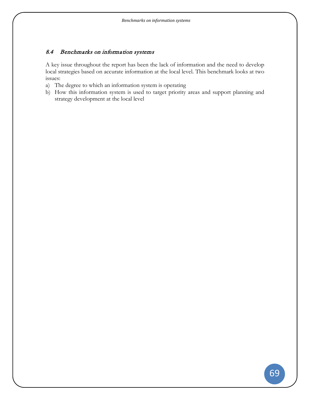## 8.4 Benchmarks on information systems

A key issue throughout the report has been the lack of information and the need to develop local strategies based on accurate information at the local level. This benchmark looks at two issues:

- a) The degree to which an information system is operating
- b) How this information system is used to target priority areas and support planning and strategy development at the local level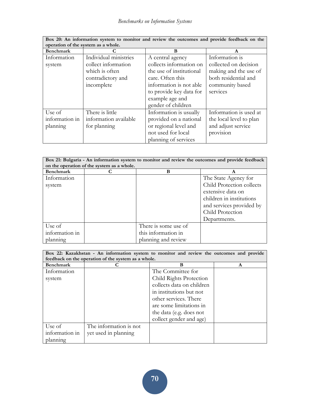| Box 20: An information system to monitor and review the outcomes and provide feedback on the |                                     |                          |                         |  |
|----------------------------------------------------------------------------------------------|-------------------------------------|--------------------------|-------------------------|--|
|                                                                                              | operation of the system as a whole. |                          |                         |  |
| <b>Benchmark</b>                                                                             |                                     | B                        | A                       |  |
| Information                                                                                  | Individual ministries               | A central agency         | Information is          |  |
| system                                                                                       | collect information                 | collects information on  | collected on decision   |  |
|                                                                                              | which is often                      | the use of institutional | making and the use of   |  |
|                                                                                              | contradictory and                   | care. Often this         | both residential and    |  |
|                                                                                              | incomplete                          | information is not able  | community based         |  |
|                                                                                              |                                     | to provide key data for  | services                |  |
|                                                                                              |                                     | example age and          |                         |  |
|                                                                                              |                                     | gender of children       |                         |  |
| Use of                                                                                       | There is little                     | Information is usually   | Information is used at  |  |
| information in                                                                               | information available               | provided on a national   | the local level to plan |  |
| planning                                                                                     | for planning                        | or regional level and    | and adjust service      |  |
|                                                                                              |                                     | not used for local       | provision               |  |
|                                                                                              |                                     | planning of services     |                         |  |

| Box 21: Bulgaria - An information system to monitor and review the outcomes and provide feedback<br>on the operation of the system as a whole. |  |                      |                           |  |  |
|------------------------------------------------------------------------------------------------------------------------------------------------|--|----------------------|---------------------------|--|--|
| <b>Benchmark</b>                                                                                                                               |  | B                    | A                         |  |  |
| Information                                                                                                                                    |  |                      | The State Agency for      |  |  |
| system                                                                                                                                         |  |                      | Child Protection collects |  |  |
|                                                                                                                                                |  |                      | extensive data on         |  |  |
|                                                                                                                                                |  |                      | children in institutions  |  |  |
|                                                                                                                                                |  |                      | and services provided by  |  |  |
|                                                                                                                                                |  |                      | Child Protection          |  |  |
|                                                                                                                                                |  |                      | Departments.              |  |  |
| Use of                                                                                                                                         |  | There is some use of |                           |  |  |
| information in                                                                                                                                 |  | this information in  |                           |  |  |
| planning                                                                                                                                       |  | planning and review  |                           |  |  |

| Box 22: Kazakhstan - An information system to monitor and review the outcomes and provide<br>feedback on the operation of the system as a whole. |                        |                           |   |  |  |
|--------------------------------------------------------------------------------------------------------------------------------------------------|------------------------|---------------------------|---|--|--|
| <b>Benchmark</b>                                                                                                                                 |                        | B                         | A |  |  |
| Information                                                                                                                                      |                        | The Committee for         |   |  |  |
| system                                                                                                                                           |                        | Child Rights Protection   |   |  |  |
|                                                                                                                                                  |                        | collects data on children |   |  |  |
|                                                                                                                                                  |                        | in institutions but not   |   |  |  |
|                                                                                                                                                  |                        | other services. There     |   |  |  |
|                                                                                                                                                  |                        | are some limitations in   |   |  |  |
|                                                                                                                                                  |                        | the data (e.g. does not   |   |  |  |
|                                                                                                                                                  |                        | collect gender and age)   |   |  |  |
| Use of                                                                                                                                           | The information is not |                           |   |  |  |
| information in                                                                                                                                   | yet used in planning   |                           |   |  |  |
| planning                                                                                                                                         |                        |                           |   |  |  |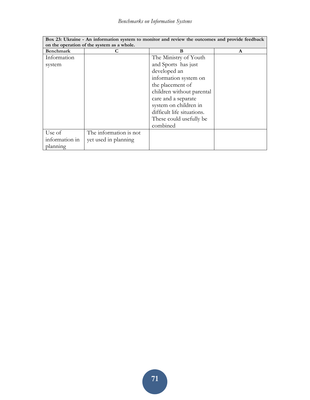| Box 23: Ukraine - An information system to monitor and review the outcomes and provide feedback |                                            |                            |   |  |
|-------------------------------------------------------------------------------------------------|--------------------------------------------|----------------------------|---|--|
|                                                                                                 | on the operation of the system as a whole. |                            |   |  |
| <b>Benchmark</b>                                                                                |                                            | B                          | A |  |
| Information                                                                                     |                                            | The Ministry of Youth      |   |  |
| system                                                                                          |                                            | and Sports has just        |   |  |
|                                                                                                 |                                            | developed an               |   |  |
|                                                                                                 |                                            | information system on      |   |  |
|                                                                                                 |                                            | the placement of           |   |  |
|                                                                                                 |                                            | children without parental  |   |  |
|                                                                                                 |                                            | care and a separate        |   |  |
|                                                                                                 |                                            | system on children in      |   |  |
|                                                                                                 |                                            | difficult life situations. |   |  |
|                                                                                                 |                                            | These could usefully be.   |   |  |
|                                                                                                 |                                            | combined                   |   |  |
| Use of                                                                                          | The information is not                     |                            |   |  |
| information in                                                                                  | yet used in planning                       |                            |   |  |
| planning                                                                                        |                                            |                            |   |  |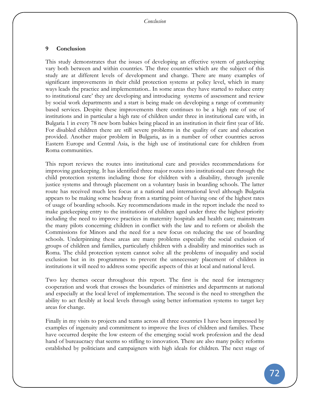#### **9 Conclusion**

This study demonstrates that the issues of developing an effective system of gatekeeping vary both between and within countries. The three countries which are the subject of this study are at different levels of development and change. There are many examples of significant improvements in their child protection systems at policy level, which in many ways leads the practice and implementation.. In some areas they have started to reduce entry to institutional care' they are developing and introducing systems of assessment and review by social work departments and a start is being made on developing a range of community based services. Despite these improvements there continues to be a high rate of use of institutions and in particular a high rate of children under three in institutional care with, in Bulgaria 1 in every 78 new born babies being placed in an institution in their first year of life. For disabled children there are still severe problems in the quality of care and education provided. Another major problem in Bulgaria, as in a number of other countries across Eastern Europe and Central Asia, is the high use of institutional care for children from Roma communities.

This report reviews the routes into institutional care and provides recommendations for improving gatekeeping. It has identified three major routes into institutional care through the child protection systems including those for children with a disability, through juvenile justice systems and through placement on a voluntary basis in boarding schools. The latter route has received much less focus at a national and international level although Bulgaria appears to be making some headway from a starting point of having one of the highest rates of usage of boarding schools. Key recommendations made in the report include the need to make gatekeeping entry to the institutions of children aged under three the highest priority including the need to improve practices in maternity hospitals and health care; mainstream the many pilots concerning children in conflict with the law and to reform or abolish the Commissions for Minors and the need for a new focus on reducing the use of boarding schools. Underpinning these areas are many problems especially the social exclusion of groups of children and families, particularly children with a disability and minorities such as Roma. The child protection system cannot solve all the problems of inequality and social exclusion but in its programmes to prevent the unnecessary placement of children in institutions it will need to address some specific aspects of this at local and national level.

Two key themes occur throughout this report. The first is the need for interagency cooperation and work that crosses the boundaries of ministries and departments at national and especially at the local level of implementation. The second is the need to strengthen the ability to act flexibly at local levels through using better information systems to target key areas for change.

Finally in my visits to projects and teams across all three countries I have been impressed by examples of ingenuity and commitment to improve the lives of children and families. These have occurred despite the low esteem of the emerging social work profession and the dead hand of bureaucracy that seems so stifling to innovation. There are also many policy reforms established by politicians and campaigners with high ideals for children. The next stage of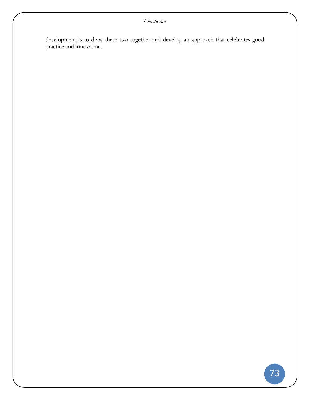development is to draw these two together and develop an approach that celebrates good practice and innovation.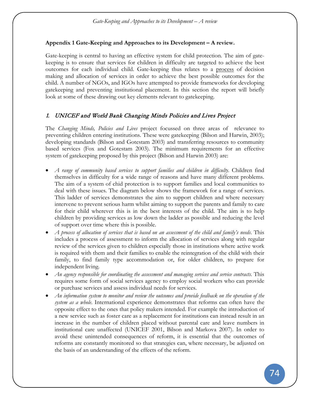### **Appendix 1 Gate-Keeping and Approaches to its Development – A review.**

Gate-keeping is central to having an effective system for child protection. The aim of gatekeeping is to ensure that services for children in difficulty are targeted to achieve the best outcomes for each individual child. Gate-keeping thus relates to a process of decision making and allocation of services in order to achieve the best possible outcomes for the child. A number of NGOs, and IGOs have attempted to provide frameworks for developing gatekeeping and preventing institutional placement. In this section the report will briefly look at some of these drawing out key elements relevant to gatekeeping.

## 1. UNICEF and World Bank Changing Minds Policies and Lives Project

The *Changing Minds, Policies and Lives* project focussed on three areas of relevance to preventing children entering institutions. These were gatekeeping (Bilson and Harwin, 2003); developing standards (Bilson and Gotestam 2003) and transferring resources to community based services (Fox and Gotestam 2003). The minimum requirements for an effective system of gatekeeping proposed by this project (Bilson and Harwin 2003) are:

- *A range of community based services to support families and children in difficulty*. Children find themselves in difficulty for a wide range of reasons and have many different problems. The aim of a system of chid protection is to support families and local communities to deal with these issues. The diagram below shows the framework for a range of services. This ladder of services demonstrates the aim to support children and where necessary intervene to prevent serious harm whilst aiming to support the parents and family to care for their child wherever this is in the best interests of the child. The aim is to help children by providing services as low down the ladder as possible and reducing the level of support over time where this is possible.
- *A process of allocation of services that is based on an assessment of the child and family's needs*. This includes a process of assessment to inform the allocation of services along with regular review of the services given to children especially those in institutions where active work is required with them and their families to enable the reintegration of the child with their family, to find family type accommodation or, for older children, to prepare for independent living.
- *An agency responsible for coordinating the assessment and managing services and service contracts*. This requires some form of social services agency to employ social workers who can provide or purchase services and assess individual needs for services.
- *An information system to monitor and review the outcomes and provide feedback on the operation of the system as a whole*. International experience demonstrates that reforms can often have the opposite effect to the ones that policy makers intended. For example the introduction of a new service such as foster care as a replacement for institutions can instead result in an increase in the number of children placed without parental care and leave numbers in institutional care unaffected (UNICEF 2001, Bilson and Markova 2007). In order to avoid these unintended consequences of reform, it is essential that the outcomes of reforms are constantly monitored so that strategies can, where necessary, be adjusted on the basis of an understanding of the effects of the reform.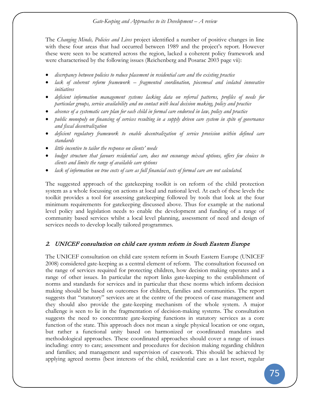#### *Gate-Keeping and Approaches to its Development – A review*

The *Changing Minds, Policies and Lives* project identified a number of positive changes in line with these four areas that had occurred between 1989 and the project's report. However these were seen to be scattered across the region, lacked a coherent policy framework and were characterised by the following issues (Reichenberg and Posarac 2003 page vii):

- *discrepancy between policies to reduce placement in residential care and the existing practice*
- *lack of coherent reform framework – fragmented coordination, piecemeal and isolated innovative initiatives*
- *deficient information management systems lacking data on referral patterns, profiles of needs for particular groups, service availability and no contact with local decision making, policy and practice*
- *absence of a systematic care plan for each child in formal care endorsed in law, policy and practice*
- *public monopoly on financing of services resulting in a supply driven care system in spite of governance and fiscal decentralization*
- *deficient regulatory framework to enable decentralization of service provision within defined care standards*
- *little incentive to tailor the response on clients' needs*
- *budget structure that favours residential care, does not encourage mixed options, offers few choices to clients and limits the range of available care options*
- *lack of information on true costs of care as full financial costs of formal care are not calculated.*

The suggested approach of the gatekeeping toolkit is on reform of the child protection system as a whole focussing on actions at local and national level. At each of these levels the toolkit provides a tool for assessing gatekeeping followed by tools that look at the four minimum requirements for gatekeeping discussed above. Thus for example at the national level policy and legislation needs to enable the development and funding of a range of community based services whilst a local level planning, assessment of need and design of services needs to develop locally tailored programmes.

#### 2. UNICEF consultation on child care system reform in South Eastern Europe

The UNICEF consultation on child care system reform in South Eastern Europe (UNICEF 2008) considered gate-keeping as a central element of reform. The consultation focussed on the range of services required for protecting children, how decision making operates and a range of other issues. In particular the report links gate-keeping to the establishment of norms and standards for services and in particular that these norms which inform decision making should be based on outcomes for children, families and communities. The report suggests that "statutory" services are at the centre of the process of case management and they should also provide the gate-keeping mechanism of the whole system. A major challenge is seen to lie in the fragmentation of decision-making systems. The consultation suggests the need to concentrate gate-keeping functions in statutory services as a core function of the state. This approach does not mean a single physical location or one organ, but rather a functional unity based on harmonized or coordinated mandates and methodological approaches. These coordinated approaches should cover a range of issues including: entry to care; assessment and procedures for decision making regarding children and families; and management and supervision of casework. This should be achieved by applying agreed norms (best interests of the child, residential care as a last resort, regular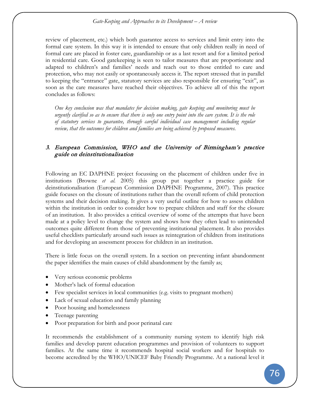review of placement, etc.) which both guarantee access to services and limit entry into the formal care system. In this way it is intended to ensure that only children really in need of formal care are placed in foster care, guardianship or as a last resort and for a limited period in residential care. Good gatekeeping is seen to tailor measures that are proportionate and adapted to children's and families' needs and reach out to those entitled to care and protection, who may not easily or spontaneously access it. The report stressed that in parallel to keeping the "entrance" gate, statutory services are also responsible for ensuring "exit", as soon as the care measures have reached their objectives. To achieve all of this the report concludes as follows:

*One key conclusion was that mandates for decision making, gate keeping and monitoring must be urgently clarified so as to ensure that there is only one entry point into the care system. It is the role of statutory services to guarantee, through careful individual case management including regular review, that the outcomes for children and families are being achieved by proposed measures.*

# 3. European Commission, WHO and the University of Birmingham's practice guide on deinstitutionalisation

Following an EC DAPHNE project focussing on the placement of children under five in institutions (Browne *et al.* 2005) this group put together a practice guide for deinstitutionalisation (European Commission DAPHNE Programme, 2007). This practice guide focuses on the closure of institutions rather than the overall reform of child protection systems and their decision making. It gives a very useful outline for how to assess children within the institution in order to consider how to prepare children and staff for the closure of an institution. It also provides a critical overview of some of the attempts that have been made at a policy level to change the system and shows how they often lead to unintended outcomes quite different from those of preventing institutional placement. It also provides useful checklists particularly around such issues as reintegration of children from institutions and for developing an assessment process for children in an institution.

There is little focus on the overall system. In a section on preventing infant abandonment the paper identifies the main causes of child abandonment by the family as;

- Very serious economic problems
- Mother's lack of formal education
- Few specialist services in local communities (e.g. visits to pregnant mothers)
- Lack of sexual education and family planning
- Poor housing and homelessness
- Teenage parenting
- Poor preparation for birth and poor perinatal care

It recommends the establishment of a community nursing system to identify high risk families and develop parent education programmes and provision of volunteers to support families. At the same time it recommends hospital social workers and for hospitals to become accredited by the WHO/UNICEF Baby Friendly Programme. At a national level it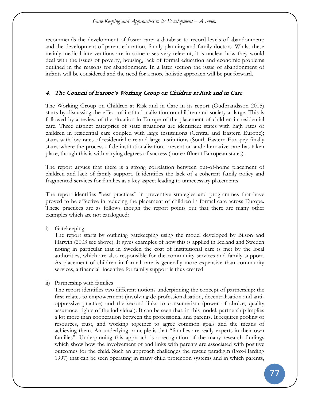recommends the development of foster care; a database to record levels of abandonment; and the development of parent education, family planning and family doctors. Whilst these mainly medical interventions are in some cases very relevant, it is unclear how they would deal with the issues of poverty, housing, lack of formal education and economic problems outlined in the reasons for abandonment. In a later section the issue of abandonment of infants will be considered and the need for a more holistic approach will be put forward.

## 4. The Council of Europe's Working Group on Children at Risk and in Care

The Working Group on Children at Risk and in Care in its report (Gudbrandsson 2005) starts by discussing the effect of institutionalisation on children and society at large. This is followed by a review of the situation in Europe of the placement of children in residential care. Three distinct categories of state situations are identified: states with high rates of children in residential care coupled with large institutions (Central and Eastern Europe); states with low rates of residential care and large institutions (South Eastern Europe); finally states where the process of de-institutionalisation, prevention and alternative care has taken place, though this is with varying degrees of success (more affluent European states).

The report argues that there is a strong correlation between out-of-home placement of children and lack of family support. It identifies the lack of a coherent family policy and fragmented services for families as a key aspect leading to unnecessary placements.

The report identifies "best practices" in preventive strategies and programmes that have proved to be effective in reducing the placement of children in formal care across Europe. These practices are as follows though the report points out that there are many other examples which are not catalogued:

i) Gatekeeping

The report starts by outlining gatekeeping using the model developed by Bilson and Harwin (2003 see above). It gives examples of how this is applied in Iceland and Sweden noting in particular that in Sweden the cost of institutional care is met by the local authorities, which are also responsible for the community services and family support. As placement of children in formal care is generally more expensive than community services, a financial incentive for family support is thus created.

ii) Partnership with families

The report identifies two different notions underpinning the concept of partnership: the first relates to empowerment (involving de-professionalisation, decentralisation and antioppressive practice) and the second links to consumerism (power of choice, quality assurance, rights of the individual). It can be seen that, in this model, partnership implies a lot more than cooperation between the professional and parents. It requires pooling of resources, trust, and working together to agree common goals and the means of achieving them. An underlying principle is that "families are really experts in their own families". Underpinning this approach is a recognition of the many research findings which show how the involvement of and links with parents are associated with positive outcomes for the child. Such an approach challenges the rescue paradigm (Fox-Harding 1997) that can be seen operating in many child protection systems and in which parents,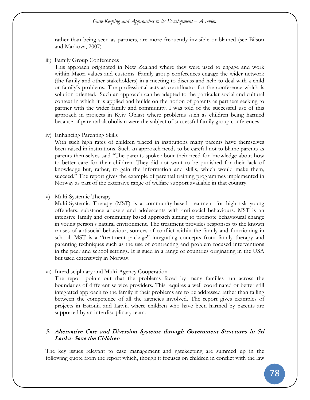#### *Gate-Keeping and Approaches to its Development – A review*

rather than being seen as partners, are more frequently invisible or blamed (see Bilson and Markova, 2007).

iii) Family Group Conferences

This approach originated in New Zealand where they were used to engage and work within Maori values and customs. Family group conferences engage the wider network (the family and other stakeholders) in a meeting to discuss and help to deal with a child or family's problems. The professional acts as coordinator for the conference which is solution oriented. Such an approach can be adapted to the particular social and cultural context in which it is applied and builds on the notion of parents as partners seeking to partner with the wider family and community. I was told of the successful use of this approach in projects in Kyiv Oblast where problems such as children being harmed because of parental alcoholism were the subject of successful family group conferences.

iv) Enhancing Parenting Skills

With such high rates of children placed in institutions many parents have themselves been raised in institutions. Such an approach needs to be careful not to blame parents as parents themselves said "The parents spoke about their need for knowledge about how to better care for their children. They did not want to be punished for their lack of knowledge but, rather, to gain the information and skills, which would make them, succeed." The report gives the example of parental training programmes implemented in Norway as part of the extensive range of welfare support available in that country.

v) Multi-Systemic Therapy

Multi-Systemic Therapy (MST) is a community-based treatment for high-risk young offenders, substance abusers and adolescents with anti-social behaviours. MST is an intensive family and community based approach aiming to promote behavioural change in young person's natural environment. The treatment provides responses to the known causes of antisocial behaviour, sources of conflict within the family and functioning in school. MST is a "treatment package" integrating concepts from family therapy and parenting techniques such as the use of contracting and problem focused interventions in the peer and school settings. It is sued in a range of countries originating in the USA but used extensively in Norway.

vi) Interdisciplinary and Multi-Agency Cooperation

The report points out that the problems faced by many families run across the boundaries of different service providers. This requires a well coordinated or better still integrated approach to the family if their problems are to be addressed rather than falling between the competence of all the agencies involved. The report gives examples of projects in Estonia and Latvia where children who have been harmed by parents are supported by an interdisciplinary team.

## 5. Alternative Care and Diversion Systems through Government Structures in Sri Lanka- Save the Children

The key issues relevant to case management and gatekeeping are summed up in the following quote from the report which, though it focuses on children in conflict with the law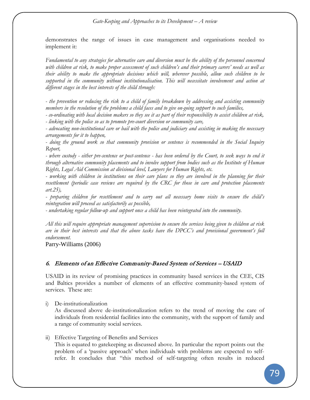demonstrates the range of issues in case management and organisations needed to implement it:

*Fundamental to any strategies for alternative care and diversion must be the ability of the personnel concerned with children at risk, to make proper assessment of such children's and their primary carers' needs as well as their ability to make the appropriate decisions which will, wherever possible, allow such children to be supported in the community without institutionalisation. This will necessitate involvement and action at different stages in the best interests of the child through:*

*- the prevention or reducing the risk to a child of family breakdown by addressing and assisting community members in the resolution of the problems a child faces and to give on-going support to such families,*

*- co-ordinating with local decision makers so they see it as part of their responsibility to assist children at risk, - linking with the police so as to promote pre-court diversion or community care,*

*- advocating non-institutional care or bail with the police and judiciary and assisting in making the necessary arrangements for it to happen,*

*- doing the ground work so that community provision or sentence is recommended in the Social Inquiry Report,*

*- where custody - either pre-sentence or post-sentence - has been ordered by the Court, to seek ways to end it through alternative community placements and to involve support from bodies such as the Institute of Human Rights, Legal Aid Commission at divisional level, Lawyers for Human Rights, etc.*

*- working with children in institutions on their care plans so they are involved in the planning for their resettlement (periodic case reviews are required by the CRC for those in care and protection placements art.25),*

*- preparing children for resettlement and to carry out all necessary home visits to ensure the child's reintegration will proceed as satisfactorily as possible,*

*- undertaking regular follow-up and support once a child has been reintegrated into the community.*

*All this will require appropriate management supervision to ensure the services being given to children at risk are in their best interests and that the above tasks have the DPCC's and provisional government's full endorsement.* 

Parry-Williams (2006)

#### 6. Elements of an Effective Community-Based System of Services – USAID

USAID in its review of promising practices in community based services in the CEE, CIS and Baltics provides a number of elements of an effective community-based system of services. These are:

i) De-institutionalization

As discussed above de-institutionalization refers to the trend of moving the care of individuals from residential facilities into the community, with the support of family and a range of community social services.

ii) Effective Targeting of Benefits and Services

This is equated to gatekeeping as discussed above. In particular the report points out the problem of a 'passive approach' when individuals with problems are expected to selfrefer. It concludes that "this method of self-targeting often results in reduced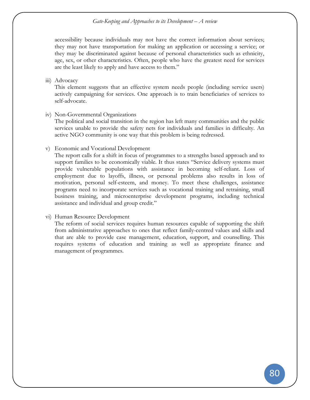*Gate-Keeping and Approaches to its Development – A review*

accessibility because individuals may not have the correct information about services; they may not have transportation for making an application or accessing a service; or they may be discriminated against because of personal characteristics such as ethnicity, age, sex, or other characteristics. Often, people who have the greatest need for services are the least likely to apply and have access to them."

iii) Advocacy

This element suggests that an effective system needs people (including service users) actively campaigning for services. One approach is to train beneficiaries of services to self-advocate.

iv) Non-Governmental Organizations

The political and social transition in the region has left many communities and the public services unable to provide the safety nets for individuals and families in difficulty. An active NGO community is one way that this problem is being redressed.

v) Economic and Vocational Development

The report calls for a shift in focus of programmes to a strengths based approach and to support families to be economically viable. It thus states "Service delivery systems must provide vulnerable populations with assistance in becoming self-reliant. Loss of employment due to layoffs, illness, or personal problems also results in loss of motivation, personal self-esteem, and money. To meet these challenges, assistance programs need to incorporate services such as vocational training and retraining, small business training, and microenterprise development programs, including technical assistance and individual and group credit."

#### vi) Human Resource Development

The reform of social services requires human resources capable of supporting the shift from administrative approaches to ones that reflect family-centred values and skills and that are able to provide case management, education, support, and counselling. This requires systems of education and training as well as appropriate finance and management of programmes.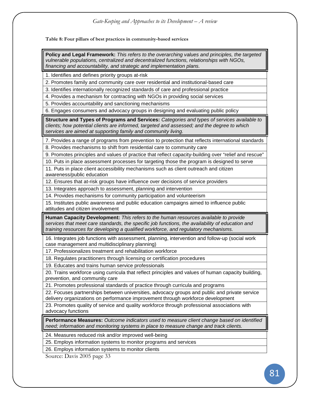**Table 8: Four pillars of best practices in community-based services**

**Policy and Legal Framework:** *This refers to the overarching values and principles, the targeted vulnerable populations, centralized and decentralized functions, relationships with NGOs, financing and accountability, and strategic and implementation plans.* 

1. Identifies and defines priority groups at-risk

2. Promotes family and community care over residential and institutional-based care

3. Identifies internationally recognized standards of care and professional practice

4. Provides a mechanism for contracting with NGOs in providing social services

5. Provides accountability and sanctioning mechanisms

6. Engages consumers and advocacy groups in designing and evaluating public policy

**Structure and Types of Programs and Services:** *Categories and types of services available to clients; how potential clients are informed, targeted and assessed; and the degree to which services are aimed at supporting family and community living.*

7. Provides a range of programs from prevention to protection that reflects international standards

8. Provides mechanisms to shift from residential care to community care

9. Promotes principles and values of practice that reflect capacity-building over "relief and rescue"

10. Puts in place assessment processes for targeting those the program is designed to serve

11. Puts in place client accessibility mechanisms such as client outreach and citizen awareness/public education

12. Ensures that at-risk groups have influence over decisions of service providers

13. Integrates approach to assessment, planning and intervention

14. Provides mechanisms for community participation and volunteerism

15. Institutes public awareness and public education campaigns aimed to influence public attitudes and citizen involvement

**Human Capacity Development:** *This refers to the human resources available to provide services that meet care standards, the specific job functions, the availability of education and training resources for developing a qualified workforce, and regulatory mechanisms.*

16. Integrates job functions with assessment, planning, intervention and follow-up (social work case management and multidisciplinary planning)

17. Professionalizes treatment and rehabilitation workforce

18. Regulates practitioners through licensing or certification procedures

19. Educates and trains human service professionals

20. Trains workforce using curricula that reflect principles and values of human capacity building, prevention, and community care

21. Promotes professional standards of practice through curricula and programs

22. Focuses partnerships between universities, advocacy groups and public and private service delivery organizations on performance improvement through workforce development

23. Promotes quality of service and quality workforce through professional associations with advocacy functions

**Performance Measures:** *Outcome indicators used to measure client change based on identified need; information and monitoring systems in place to measure change and track clients.*

24. Measures reduced risk and/or improved well-being

25. Employs information systems to monitor programs and services

26. Employs information systems to monitor clients

Source: Davis 2005 page 33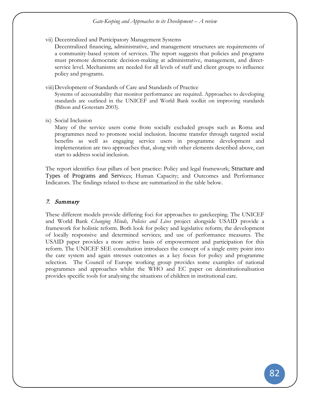vii) Decentralized and Participatory Management Systems

Decentralized financing, administrative, and management structures are requirements of a community-based system of services. The report suggests that policies and programs must promote democratic decision-making at administrative, management, and directservice level. Mechanisms are needed for all levels of staff and client groups to influence policy and programs.

viii)Development of Standards of Care and Standards of Practice

Systems of accountability that monitor performance are required. Approaches to developing standards are outlined in the UNICEF and World Bank toolkit on improving standards (Bilson and Gotestam 2003).

ix) Social Inclusion

Many of the service users come from socially excluded groups such as Roma and programmes need to promote social inclusion. Income transfer through targeted social benefits as well as engaging service users in programme development and implementation are two approaches that, along with other elements described above, can start to address social inclusion.

The report identifies four pillars of best practice: Policy and legal framework; Structure and Types of Programs and Services; Human Capacity; and Outcomes and Performance Indicators. The findings related to these are summarized in the table below.

### 7. Summary

These different models provide differing foci for approaches to gatekeeping. The UNICEF and World Bank *Changing Minds, Policies and Lives* project alongside USAID provide a framework for holistic reform. Both look for policy and legislative reform; the development of locally responsive and determined services; and use of performance measures. The USAID paper provides a more active basis of empowerment and participation for this reform. The UNICEF SEE consultation introduces the concept of a single entry point into the care system and again stresses outcomes as a key focus for policy and programme selection. The Council of Europe working group provides some examples of national programmes and approaches whilst the WHO and EC paper on deinstitutionalisation provides specific tools for analysing the situations of children in institutional care.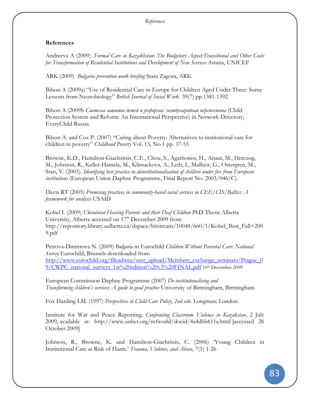### *References*

### **References**

Andreeva A (2009) .*Formal Care in Kazakhstan: The Budgetary Aspect:Transitional and Other Costs for Transformation of Residential Institutions and Development of New Services* Astana, UNICEF

ARK (2009) *Bulgaria prevention work briefing* Stara Zagora, ARK

Bilson A (2009a) "Use of Residential Care in Europe for Children Aged Under Three: Some Lessons from Neurobiology" *British Journal of Social Work* 39(7) pp.1381-1392

Bilson A (2009b *Система защиты детей и реформа: международная перспектива* (Child Protection System and Reform: An International Perspective) in Network Directory, EveryChild Russia

Bilson A. and Cox P. (2007) "Caring about Poverty: Alternatives to institutional care for children in poverty" *Childhood Poverty* Vol. 13, No 1 pp. 37-55

Browne, K.D., Hamilton-Giachritsis, C.E., Chou, S., Agathonos, H., Anaut, M., Herczog, M., Johnson, R., Keller-Hamela, M., Klimackova, A., Leth, I., Mulheir, G., Ostergren, M., Stan, V. (2005). *Identifying best practice in deinstitutionalisation of children under five from European institutions* (European Union Daphne Programme, Final Report No. 2003/046/C).

Davis RT (2005) *Promising practices in community-based social services in CEE/CIS/Baltics: A framework for analysis* USAID

Kobel I. (2009) *Ukrainian Hearing Parents and their Deaf Children* PhD Thesis Alberta University, Alberta accessed on 17<sup>th</sup> December 2009 from http://repository.library.ualberta.ca/dspace/bitstream/10048/660/1/Kobel\_Ihor\_Fall+200 9.pdf

Petrova-Dimitrova N. (2009) *Bulgaria* in Eurochild *Children Without Parental Care: National Survey* Eurochild, Brussels downloaded from [http://www.eurochild.org/fileadmin/user\\_upload/Members\\_exchange\\_seminars/Prague\\_0](http://www.eurochild.org/fileadmin/user_upload/Members_exchange_seminars/Prague_09/CWPC_national_surveys_1st%20edition%20v3%20FINAL.pdf) [9/CWPC\\_national\\_surveys\\_1st%20edition%20v3%20FINAL.pdf](http://www.eurochild.org/fileadmin/user_upload/Members_exchange_seminars/Prague_09/CWPC_national_surveys_1st%20edition%20v3%20FINAL.pdf) 10th December 2009

European Commission Daphne Programme (2007) *De-institutionalising and Transforming children's services: A guide to good practice* University of Birmingham, Birmingham

Fox Harding LM. (1997) *Perspectives in Child Care Policy*, *2nd edn.* Longman: London.

Institute for War and Peace Reporting, *Confronting Classroom Violence in Kazakstan*, 2 July 2009, available at: http://www.unhcr.org/refworld/docid/4a4dbb611a.html [accessed 26 October 2009]

Johnson, R., Browne, K. and Hamilton-Giachritsis, C. (2006) 'Young Children in Institutional Care at Risk of Harm.' *Trauma, Violence, and Abuse*, 7(1) 1-26